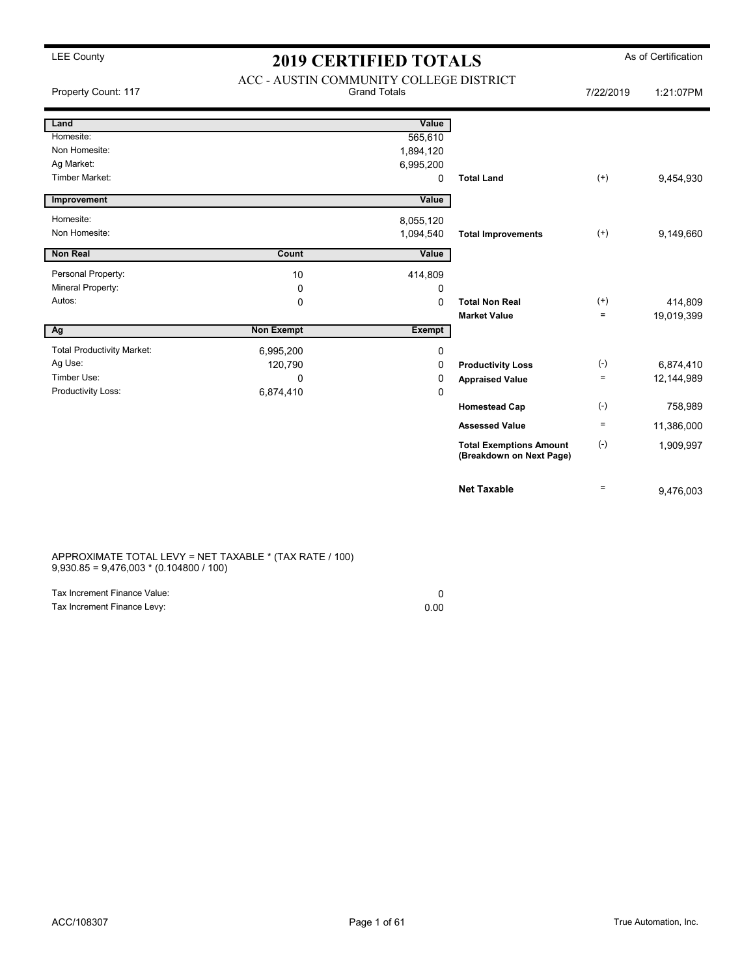| Property Count: 117               | ACC - AUSTIN COMMUNITY COLLEGE DISTRICT<br><b>Grand Totals</b> |               |                                                            | 7/22/2019 | 1:21:07PM  |
|-----------------------------------|----------------------------------------------------------------|---------------|------------------------------------------------------------|-----------|------------|
| Land                              |                                                                | Value         |                                                            |           |            |
| Homesite:                         |                                                                | 565,610       |                                                            |           |            |
| Non Homesite:                     |                                                                | 1,894,120     |                                                            |           |            |
| Ag Market:                        |                                                                | 6,995,200     |                                                            |           |            |
| Timber Market:                    |                                                                | 0             | <b>Total Land</b>                                          | $^{(+)}$  | 9,454,930  |
| Improvement                       |                                                                | Value         |                                                            |           |            |
| Homesite:                         |                                                                | 8,055,120     |                                                            |           |            |
| Non Homesite:                     |                                                                | 1,094,540     | <b>Total Improvements</b>                                  | $(+)$     | 9,149,660  |
| <b>Non Real</b>                   | Count                                                          | Value         |                                                            |           |            |
| Personal Property:                | 10                                                             | 414,809       |                                                            |           |            |
| Mineral Property:                 | 0                                                              | 0             |                                                            |           |            |
| Autos:                            | 0                                                              | $\mathbf 0$   | <b>Total Non Real</b>                                      | $^{(+)}$  | 414,809    |
|                                   |                                                                |               | <b>Market Value</b>                                        | $\equiv$  | 19,019,399 |
| Ag                                | <b>Non Exempt</b>                                              | <b>Exempt</b> |                                                            |           |            |
| <b>Total Productivity Market:</b> | 6,995,200                                                      | 0             |                                                            |           |            |
| Ag Use:                           | 120,790                                                        | 0             | <b>Productivity Loss</b>                                   | $(-)$     | 6,874,410  |
| Timber Use:                       | $\Omega$                                                       | 0             | <b>Appraised Value</b>                                     | $\equiv$  | 12,144,989 |
| Productivity Loss:                | 6,874,410                                                      | $\mathbf 0$   |                                                            |           |            |
|                                   |                                                                |               | <b>Homestead Cap</b>                                       | $(-)$     | 758,989    |
|                                   |                                                                |               | <b>Assessed Value</b>                                      | $\equiv$  | 11,386,000 |
|                                   |                                                                |               | <b>Total Exemptions Amount</b><br>(Breakdown on Next Page) | $(-)$     | 1,909,997  |
|                                   |                                                                |               | <b>Net Taxable</b>                                         | $\equiv$  | 9,476,003  |

APPROXIMATE TOTAL LEVY = NET TAXABLE \* (TAX RATE / 100) 9,930.85 = 9,476,003 \* (0.104800 / 100)

| Tax Increment Finance Value: |      |
|------------------------------|------|
| Tax Increment Finance Levy:  | 0.00 |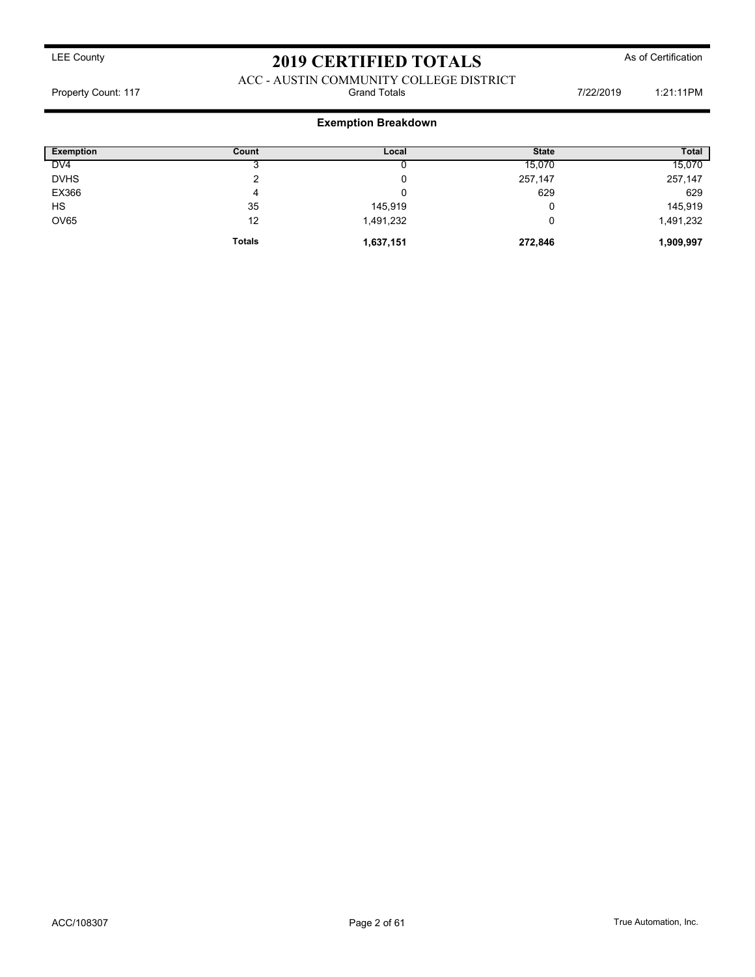### ACC - AUSTIN COMMUNITY COLLEGE DISTRICT<br>Grand Totals Property Count: 117 **Property Count: 117** Crand Totals **Grand Totals** 7/22/2019 1:21:11PM

### Exemption Breakdown

| <b>Exemption</b> | Count         | Local     | <b>State</b> | <b>Total</b> |
|------------------|---------------|-----------|--------------|--------------|
| DV <sub>4</sub>  |               |           | 15,070       | 15,070       |
| <b>DVHS</b>      | ◠             | υ         | 257,147      | 257,147      |
| EX366            | 4             | u         | 629          | 629          |
| <b>HS</b>        | 35            | 145,919   |              | 145,919      |
| <b>OV65</b>      | 12            | 1,491,232 |              | 1,491,232    |
|                  | <b>Totals</b> | 1,637,151 | 272,846      | 1,909,997    |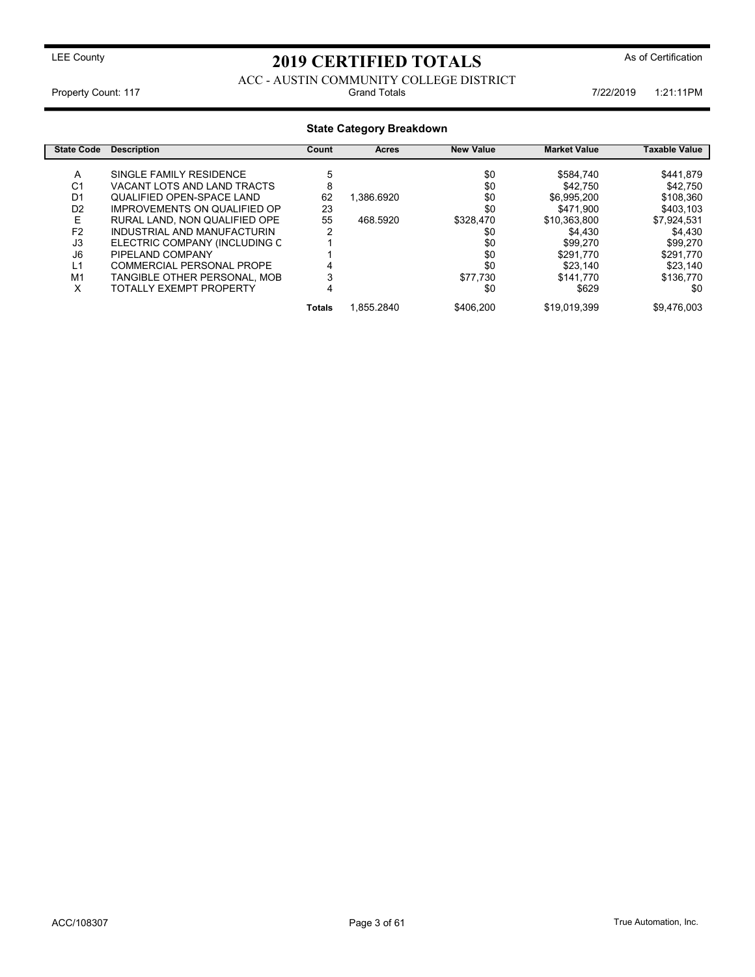### ACC - AUSTIN COMMUNITY COLLEGE DISTRICT<br>Grand Totals Property Count: 117 **Property Count: 117** Transfer Count: 117 Transfer Count: 117 Transfer Count: 117

### State Category Breakdown

| <b>State Code</b> | <b>Description</b>            | Count  | <b>Acres</b> | <b>New Value</b> | <b>Market Value</b> | Taxable Value |
|-------------------|-------------------------------|--------|--------------|------------------|---------------------|---------------|
|                   |                               |        |              |                  |                     |               |
| A                 | SINGLE FAMILY RESIDENCE       |        |              | \$0              | \$584.740           | \$441.879     |
| C1                | VACANT LOTS AND LAND TRACTS   | 8      |              | \$0              | \$42,750            | \$42.750      |
| D <sub>1</sub>    | QUALIFIED OPEN-SPACE LAND     | 62     | 1.386.6920   | \$0              | \$6,995,200         | \$108,360     |
| D <sub>2</sub>    | IMPROVEMENTS ON QUALIFIED OP  | 23     |              | \$0              | \$471.900           | \$403,103     |
| Е                 | RURAL LAND. NON QUALIFIED OPE | 55     | 468.5920     | \$328,470        | \$10.363.800        | \$7,924,531   |
| F <sub>2</sub>    | INDUSTRIAL AND MANUFACTURIN   |        |              | \$0              | \$4.430             | \$4.430       |
| J3                | ELECTRIC COMPANY (INCLUDING C |        |              | \$0              | \$99,270            | \$99.270      |
| J6                | PIPELAND COMPANY              |        |              | \$0              | \$291.770           | \$291.770     |
| L1                | COMMERCIAL PERSONAL PROPE     |        |              | \$0              | \$23.140            | \$23.140      |
| M1                | TANGIBLE OTHER PERSONAL. MOB  |        |              | \$77.730         | \$141.770           | \$136.770     |
| x                 | TOTALLY EXEMPT PROPERTY       |        |              | \$0              | \$629               | \$0           |
|                   |                               | Totals | 1.855.2840   | \$406.200        | \$19.019.399        | \$9.476.003   |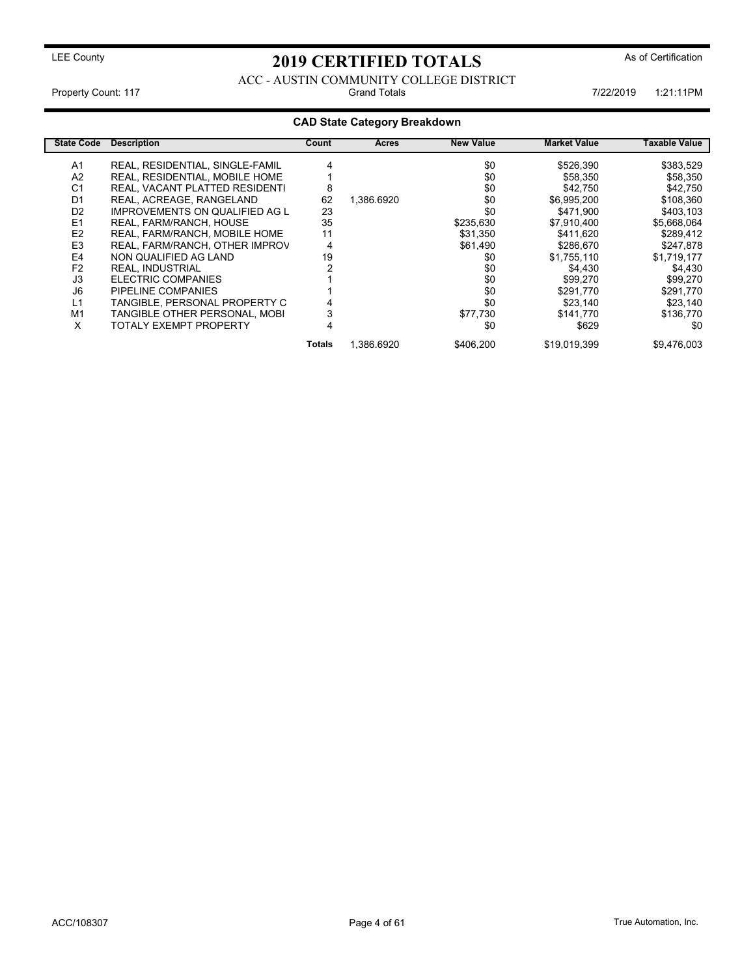### ACC - AUSTIN COMMUNITY COLLEGE DISTRICT<br>Grand Totals Property Count: 117 **Property Count: 117** Crand Totals **1:21:11PM** Grand Totals 1:21:11PM 7/22/2019 1:21:11PM

### CAD State Category Breakdown

| <b>State Code</b> | <b>Description</b>                    | Count  | Acres      | <b>New Value</b> | <b>Market Value</b> | Taxable Value |
|-------------------|---------------------------------------|--------|------------|------------------|---------------------|---------------|
| A1                | REAL, RESIDENTIAL, SINGLE-FAMIL       |        |            | \$0              | \$526,390           | \$383,529     |
| A2                | REAL, RESIDENTIAL, MOBILE HOME        |        |            | \$0              | \$58,350            | \$58,350      |
| C <sub>1</sub>    | REAL, VACANT PLATTED RESIDENTI        | 8      |            | \$0              | \$42,750            | \$42,750      |
| D <sub>1</sub>    | REAL, ACREAGE, RANGELAND              | 62     | 1.386.6920 | \$0              | \$6,995,200         | \$108,360     |
| D <sub>2</sub>    | <b>IMPROVEMENTS ON QUALIFIED AG L</b> | 23     |            | \$0              | \$471.900           | \$403,103     |
| E <sub>1</sub>    | REAL, FARM/RANCH, HOUSE               | 35     |            | \$235,630        | \$7,910,400         | \$5,668,064   |
| E <sub>2</sub>    | REAL, FARM/RANCH, MOBILE HOME         | 11     |            | \$31.350         | \$411.620           | \$289,412     |
| E <sub>3</sub>    | REAL, FARM/RANCH, OTHER IMPROV        | 4      |            | \$61.490         | \$286,670           | \$247,878     |
| E4                | NON QUALIFIED AG LAND                 | 19     |            | \$0              | \$1,755,110         | \$1,719,177   |
| F <sub>2</sub>    | <b>REAL. INDUSTRIAL</b>               |        |            | \$0              | \$4,430             | \$4,430       |
| J3                | ELECTRIC COMPANIES                    |        |            | \$0              | \$99,270            | \$99,270      |
| J6                | PIPELINE COMPANIES                    |        |            | \$0              | \$291.770           | \$291.770     |
| L1                | TANGIBLE. PERSONAL PROPERTY C         |        |            | \$0              | \$23.140            | \$23,140      |
| M1                | TANGIBLE OTHER PERSONAL, MOBI         |        |            | \$77,730         | \$141.770           | \$136.770     |
| x                 | TOTALY EXEMPT PROPERTY                |        |            | \$0              | \$629               | \$0           |
|                   |                                       | Totals | 1,386.6920 | \$406,200        | \$19,019,399        | \$9,476,003   |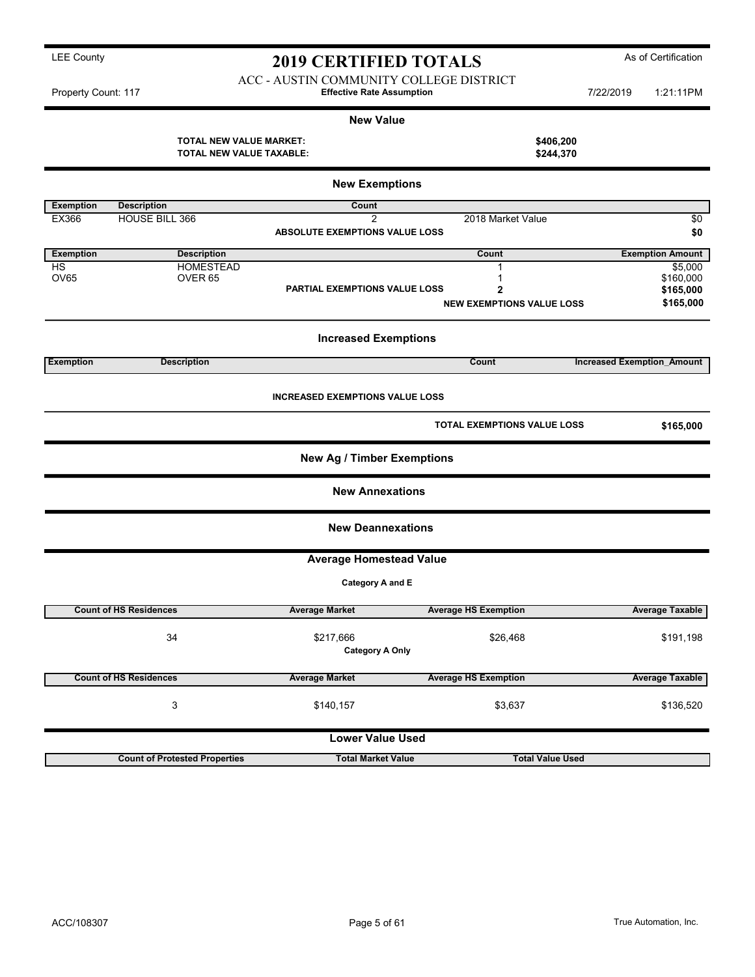ACC - AUSTIN COMMUNITY COLLEGE DISTRICT Property Count: 117 **1:21:11PM** Effective Rate Assumption **1:21:2019** 1:21:11PM

|                  |                                                            | <b>New Value</b>                       |                                    |                                   |
|------------------|------------------------------------------------------------|----------------------------------------|------------------------------------|-----------------------------------|
|                  | <b>TOTAL NEW VALUE MARKET:</b><br>TOTAL NEW VALUE TAXABLE: |                                        |                                    | \$406,200<br>\$244,370            |
|                  |                                                            | <b>New Exemptions</b>                  |                                    |                                   |
| <b>Exemption</b> | <b>Description</b>                                         | Count                                  |                                    |                                   |
| EX366            | <b>HOUSE BILL 366</b>                                      | 2                                      | 2018 Market Value                  | \$0                               |
|                  |                                                            | ABSOLUTE EXEMPTIONS VALUE LOSS         |                                    | \$0                               |
| <b>Exemption</b> | <b>Description</b>                                         |                                        | Count                              | <b>Exemption Amount</b>           |
| HS               | <b>HOMESTEAD</b>                                           |                                        | 1                                  | \$5,000                           |
| <b>OV65</b>      | OVER <sub>65</sub>                                         |                                        | 1                                  | \$160,000                         |
|                  |                                                            | PARTIAL EXEMPTIONS VALUE LOSS          | $\overline{\mathbf{2}}$            | \$165,000                         |
|                  |                                                            |                                        | <b>NEW EXEMPTIONS VALUE LOSS</b>   | \$165,000                         |
|                  |                                                            | <b>Increased Exemptions</b>            |                                    |                                   |
| <b>Exemption</b> | <b>Description</b>                                         |                                        | Count                              | <b>Increased Exemption Amount</b> |
|                  |                                                            | <b>INCREASED EXEMPTIONS VALUE LOSS</b> | <b>TOTAL EXEMPTIONS VALUE LOSS</b> | \$165,000                         |
|                  |                                                            | <b>New Ag / Timber Exemptions</b>      |                                    |                                   |
|                  |                                                            | <b>New Annexations</b>                 |                                    |                                   |
|                  |                                                            | <b>New Deannexations</b>               |                                    |                                   |
|                  |                                                            | <b>Average Homestead Value</b>         |                                    |                                   |
|                  |                                                            | Category A and E                       |                                    |                                   |
|                  | <b>Count of HS Residences</b>                              | <b>Average Market</b>                  | <b>Average HS Exemption</b>        | <b>Average Taxable</b>            |
|                  | 34                                                         | \$217,666<br><b>Category A Only</b>    | \$26,468                           | \$191,198                         |
|                  | <b>Count of HS Residences</b>                              | <b>Average Market</b>                  | <b>Average HS Exemption</b>        | <b>Average Taxable</b>            |
|                  | 3                                                          | \$140,157                              | \$3,637                            | \$136,520                         |
|                  |                                                            | <b>Lower Value Used</b>                |                                    |                                   |
|                  | <b>Count of Protested Properties</b>                       | <b>Total Market Value</b>              |                                    | <b>Total Value Used</b>           |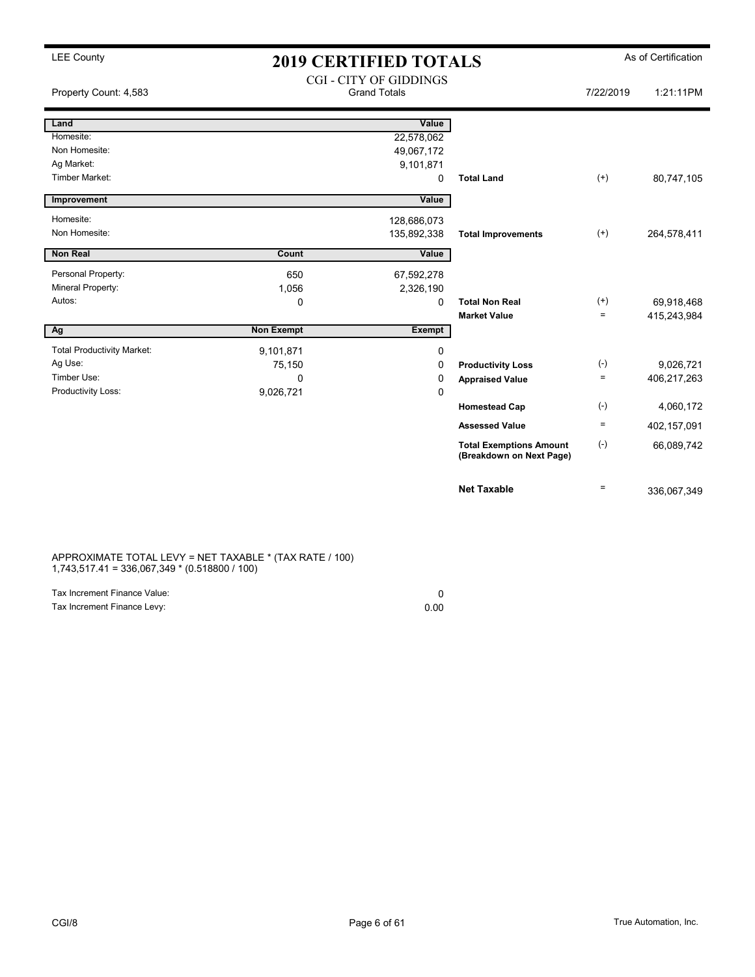| <b>LEE County</b>                 |                   | <b>2019 CERTIFIED TOTALS</b>                         |                                                            |                   | As of Certification |
|-----------------------------------|-------------------|------------------------------------------------------|------------------------------------------------------------|-------------------|---------------------|
| Property Count: 4,583             |                   | <b>CGI - CITY OF GIDDINGS</b><br><b>Grand Totals</b> |                                                            | 7/22/2019         | 1:21:11PM           |
| Land                              |                   | Value                                                |                                                            |                   |                     |
| Homesite:                         |                   | 22,578,062                                           |                                                            |                   |                     |
| Non Homesite:                     |                   | 49,067,172                                           |                                                            |                   |                     |
| Ag Market:<br>Timber Market:      |                   | 9,101,871                                            |                                                            |                   |                     |
|                                   |                   | $\mathbf 0$                                          | <b>Total Land</b>                                          | $(+)$             | 80,747,105          |
| Improvement                       |                   | Value                                                |                                                            |                   |                     |
| Homesite:                         |                   | 128,686,073                                          |                                                            |                   |                     |
| Non Homesite:                     |                   | 135,892,338                                          | <b>Total Improvements</b>                                  | $^{(+)}$          | 264,578,411         |
| <b>Non Real</b>                   | Count             | Value                                                |                                                            |                   |                     |
| Personal Property:                | 650               | 67,592,278                                           |                                                            |                   |                     |
| Mineral Property:                 | 1,056             | 2,326,190                                            |                                                            |                   |                     |
| Autos:                            | 0                 | $\Omega$                                             | <b>Total Non Real</b>                                      | $^{(+)}$          | 69,918,468          |
|                                   |                   |                                                      | <b>Market Value</b>                                        | $\equiv$          | 415,243,984         |
| Ag                                | <b>Non Exempt</b> | <b>Exempt</b>                                        |                                                            |                   |                     |
| <b>Total Productivity Market:</b> | 9,101,871         | 0                                                    |                                                            |                   |                     |
| Ag Use:                           | 75,150            | 0                                                    | <b>Productivity Loss</b>                                   | $(-)$             | 9,026,721           |
| Timber Use:                       | 0                 | 0                                                    | <b>Appraised Value</b>                                     | $\equiv$          | 406,217,263         |
| Productivity Loss:                | 9,026,721         | $\Omega$                                             |                                                            |                   |                     |
|                                   |                   |                                                      | <b>Homestead Cap</b>                                       | $(-)$             | 4,060,172           |
|                                   |                   |                                                      | <b>Assessed Value</b>                                      | $\equiv$          | 402,157,091         |
|                                   |                   |                                                      | <b>Total Exemptions Amount</b><br>(Breakdown on Next Page) | $(-)$             | 66,089,742          |
|                                   |                   |                                                      | <b>Net Taxable</b>                                         | $\qquad \qquad =$ | 336,067,349         |

### APPROXIMATE TOTAL LEVY = NET TAXABLE \* (TAX RATE / 100) 1,743,517.41 = 336,067,349 \* (0.518800 / 100)

| Tax Increment Finance Value: |      |
|------------------------------|------|
| Tax Increment Finance Levy:  | 0.00 |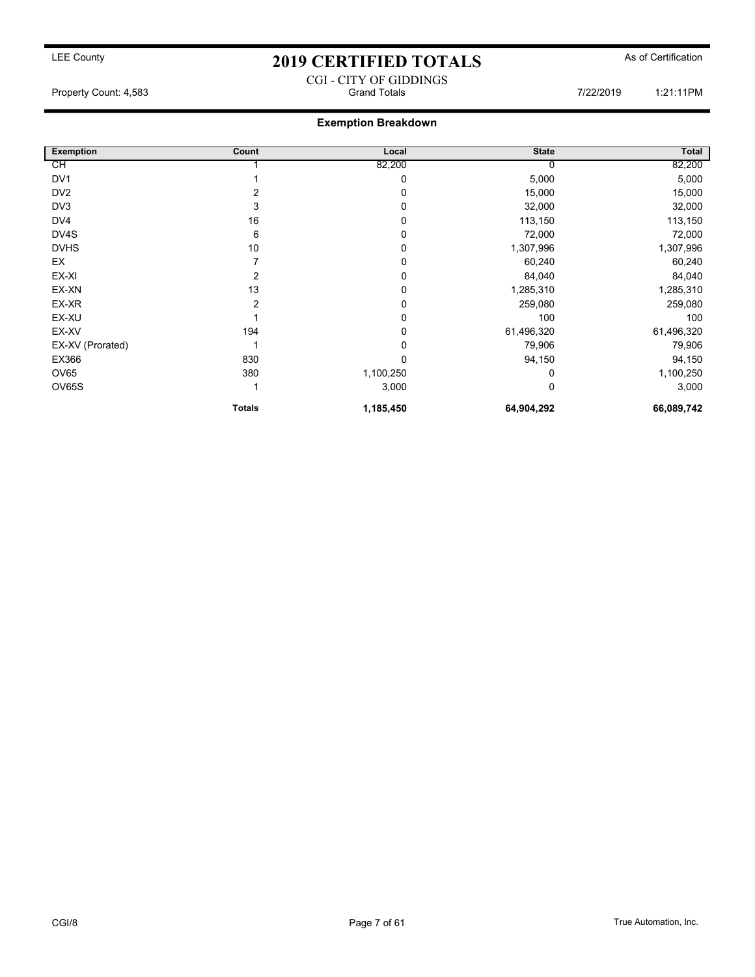### CGI - CITY OF GIDDINGS Property Count: 4,583 **Property Count: 4,583** Crand Totals 7/22/2019 1:21:11PM

### Exemption Breakdown

| <b>Exemption</b> | Count         | Local     | <b>State</b> | Total      |
|------------------|---------------|-----------|--------------|------------|
| СH               |               | 82,200    | 0            | 82,200     |
| DV <sub>1</sub>  |               | 0         | 5,000        | 5,000      |
| DV <sub>2</sub>  | 2             | 0         | 15,000       | 15,000     |
| DV3              | 3             | 0         | 32,000       | 32,000     |
| DV4              | 16            | 0         | 113,150      | 113,150    |
| DV4S             | 6             | 0         | 72,000       | 72,000     |
| <b>DVHS</b>      | 10            | 0         | 1,307,996    | 1,307,996  |
| EX               |               | 0         | 60,240       | 60,240     |
| EX-XI            |               | $\Omega$  | 84,040       | 84,040     |
| EX-XN            | 13            | 0         | 1,285,310    | 1,285,310  |
| EX-XR            | 2             | 0         | 259,080      | 259,080    |
| EX-XU            |               | 0         | 100          | 100        |
| EX-XV            | 194           | 0         | 61,496,320   | 61,496,320 |
| EX-XV (Prorated) |               | $\Omega$  | 79,906       | 79,906     |
| EX366            | 830           | 0         | 94,150       | 94,150     |
| <b>OV65</b>      | 380           | 1,100,250 | 0            | 1,100,250  |
| <b>OV65S</b>     |               | 3,000     | 0            | 3,000      |
|                  | <b>Totals</b> | 1,185,450 | 64,904,292   | 66,089,742 |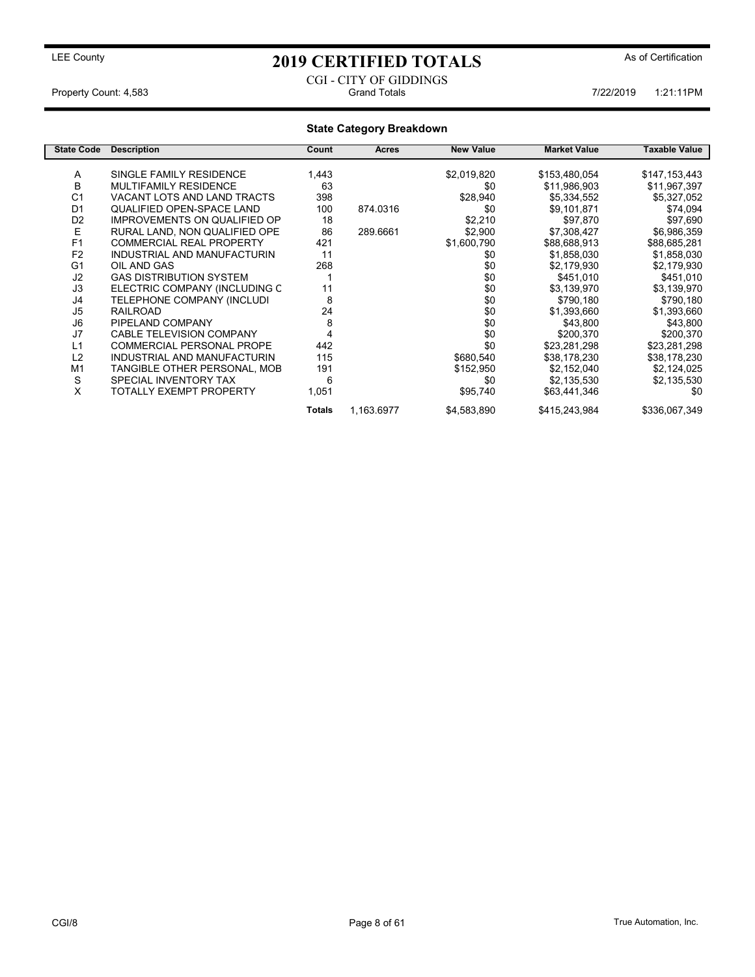### CGI - CITY OF GIDDINGS Property Count: 4,583 **7/22/2019** 1:21:11PM

### State Category Breakdown

| <b>State Code</b> | <b>Description</b>                  | Count  | <b>Acres</b> | <b>New Value</b> | <b>Market Value</b> | Taxable Value |
|-------------------|-------------------------------------|--------|--------------|------------------|---------------------|---------------|
|                   |                                     |        |              |                  |                     |               |
| A                 | SINGLE FAMILY RESIDENCE             | 1,443  |              | \$2,019,820      | \$153,480,054       | \$147,153,443 |
| B                 | MULTIFAMILY RESIDENCE               | 63     |              | \$0              | \$11,986,903        | \$11,967,397  |
| C <sub>1</sub>    | VACANT LOTS AND LAND TRACTS         | 398    |              | \$28,940         | \$5,334,552         | \$5,327,052   |
| D <sub>1</sub>    | QUALIFIED OPEN-SPACE LAND           | 100    | 874.0316     | \$0              | \$9,101,871         | \$74,094      |
| D <sub>2</sub>    | <b>IMPROVEMENTS ON QUALIFIED OP</b> | 18     |              | \$2,210          | \$97,870            | \$97,690      |
| E                 | RURAL LAND. NON QUALIFIED OPE       | 86     | 289.6661     | \$2,900          | \$7,308,427         | \$6,986,359   |
| F <sub>1</sub>    | <b>COMMERCIAL REAL PROPERTY</b>     | 421    |              | \$1,600,790      | \$88,688,913        | \$88,685,281  |
| F <sub>2</sub>    | INDUSTRIAL AND MANUFACTURIN         | 11     |              | \$0              | \$1,858,030         | \$1,858,030   |
| G <sub>1</sub>    | OIL AND GAS                         | 268    |              | \$0              | \$2,179,930         | \$2,179,930   |
| J <sub>2</sub>    | <b>GAS DISTRIBUTION SYSTEM</b>      |        |              | \$0              | \$451,010           | \$451,010     |
| J3                | ELECTRIC COMPANY (INCLUDING C       | 11     |              | \$0              | \$3,139,970         | \$3,139,970   |
| J4                | TELEPHONE COMPANY (INCLUDI          | 8      |              | \$0              | \$790,180           | \$790,180     |
| J <sub>5</sub>    | <b>RAILROAD</b>                     | 24     |              | \$0              | \$1,393,660         | \$1,393,660   |
| J6                | PIPELAND COMPANY                    | 8      |              | \$0              | \$43,800            | \$43,800      |
| J7                | <b>CABLE TELEVISION COMPANY</b>     |        |              | \$0              | \$200,370           | \$200,370     |
| L1                | <b>COMMERCIAL PERSONAL PROPE</b>    | 442    |              | \$0              | \$23,281,298        | \$23,281,298  |
| L2                | INDUSTRIAL AND MANUFACTURIN         | 115    |              | \$680,540        | \$38,178,230        | \$38,178,230  |
| M <sub>1</sub>    | TANGIBLE OTHER PERSONAL, MOB        | 191    |              | \$152,950        | \$2,152,040         | \$2,124,025   |
| S                 | SPECIAL INVENTORY TAX               | 6      |              | \$0              | \$2,135,530         | \$2,135,530   |
| X                 | TOTALLY EXEMPT PROPERTY             | 1,051  |              | \$95,740         | \$63,441,346        | \$0           |
|                   |                                     | Totals | 1,163.6977   | \$4,583,890      | \$415,243,984       | \$336,067,349 |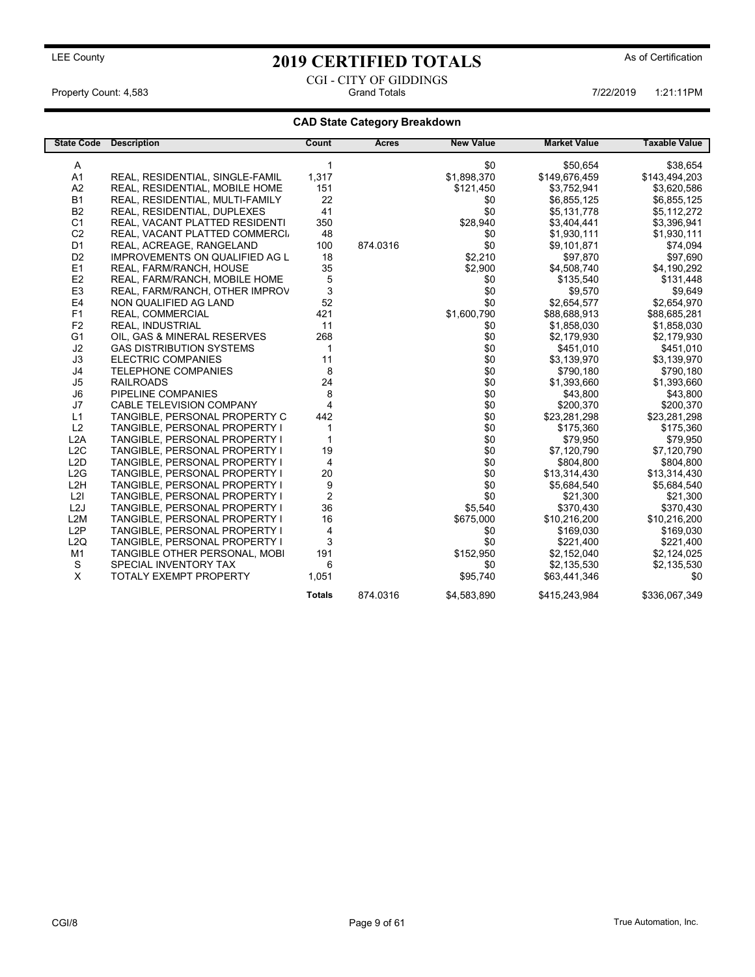## LEE County As of Certification **2019 CERTIFIED TOTALS** As of Certification CGI - CITY OF GIDDINGS

Property Count: 4,583 **Accord 2:21:11PM** Grand Totals 1:21:11PM 7/22/2019 1:21:11PM

### CAD State Category Breakdown

| <b>State Code</b> | <b>Description</b>              | Count                   | Acres    | <b>New Value</b> | <b>Market Value</b> | <b>Taxable Value</b> |
|-------------------|---------------------------------|-------------------------|----------|------------------|---------------------|----------------------|
| A                 |                                 | 1                       |          | \$0              | \$50,654            | \$38,654             |
| A <sub>1</sub>    | REAL, RESIDENTIAL, SINGLE-FAMIL | 1,317                   |          | \$1,898,370      | \$149,676,459       | \$143,494,203        |
| A <sub>2</sub>    | REAL, RESIDENTIAL, MOBILE HOME  | 151                     |          | \$121,450        | \$3,752,941         | \$3,620,586          |
| <b>B1</b>         | REAL, RESIDENTIAL, MULTI-FAMILY | 22                      |          | \$0              | \$6,855,125         | \$6,855,125          |
| <b>B2</b>         | REAL, RESIDENTIAL, DUPLEXES     | 41                      |          | \$0              | \$5,131,778         | \$5,112,272          |
| C <sub>1</sub>    | REAL, VACANT PLATTED RESIDENTI  | 350                     |          | \$28,940         | \$3,404,441         | \$3,396,941          |
| C <sub>2</sub>    | REAL, VACANT PLATTED COMMERCI.  | 48                      |          | \$0              | \$1,930,111         | \$1,930,111          |
| D <sub>1</sub>    | REAL, ACREAGE, RANGELAND        | 100                     | 874.0316 | \$0              | \$9.101.871         | \$74,094             |
| D <sub>2</sub>    | IMPROVEMENTS ON QUALIFIED AG L  | 18                      |          | \$2,210          | \$97,870            | \$97,690             |
| E <sub>1</sub>    | REAL, FARM/RANCH, HOUSE         | 35                      |          | \$2,900          | \$4,508,740         | \$4,190,292          |
| E <sub>2</sub>    | REAL, FARM/RANCH, MOBILE HOME   | $\,$ 5 $\,$             |          | \$0              | \$135,540           | \$131,448            |
| E <sub>3</sub>    | REAL, FARM/RANCH, OTHER IMPROV  | 3                       |          | \$0              | \$9,570             | \$9,649              |
| E4                | NON QUALIFIED AG LAND           | 52                      |          | \$0              | \$2,654,577         | \$2,654,970          |
| F <sub>1</sub>    | REAL, COMMERCIAL                | 421                     |          | \$1,600,790      | \$88,688,913        | \$88,685,281         |
| F <sub>2</sub>    | <b>REAL, INDUSTRIAL</b>         | 11                      |          | \$0              | \$1,858,030         | \$1,858,030          |
| G <sub>1</sub>    | OIL, GAS & MINERAL RESERVES     | 268                     |          | \$0              | \$2,179,930         | \$2,179,930          |
| J2                | <b>GAS DISTRIBUTION SYSTEMS</b> | $\mathbf{1}$            |          | \$0              | \$451,010           | \$451,010            |
| J3                | <b>ELECTRIC COMPANIES</b>       | 11                      |          | \$0              | \$3,139,970         | \$3,139,970          |
| J4                | <b>TELEPHONE COMPANIES</b>      | 8                       |          | \$0              | \$790,180           | \$790,180            |
| J <sub>5</sub>    | <b>RAILROADS</b>                | 24                      |          | \$0              | \$1,393,660         | \$1,393,660          |
| J6                | PIPELINE COMPANIES              | 8                       |          | \$0              | \$43,800            | \$43,800             |
| J7                | CABLE TELEVISION COMPANY        | $\overline{\mathbf{4}}$ |          | \$0              | \$200,370           | \$200,370            |
| L1                | TANGIBLE, PERSONAL PROPERTY C   | 442                     |          | \$0              | \$23,281,298        | \$23,281,298         |
| L2                | TANGIBLE, PERSONAL PROPERTY I   | 1                       |          | \$0              | \$175,360           | \$175,360            |
| L2A               | TANGIBLE, PERSONAL PROPERTY I   | 1                       |          | \$0              | \$79,950            | \$79,950             |
| L2C               | TANGIBLE, PERSONAL PROPERTY I   | 19                      |          | \$0              | \$7,120,790         | \$7,120,790          |
| L2D               | TANGIBLE, PERSONAL PROPERTY I   | $\overline{4}$          |          | \$0              | \$804,800           | \$804,800            |
| L2G               | TANGIBLE, PERSONAL PROPERTY I   | 20                      |          | \$0              | \$13,314,430        | \$13,314,430         |
| L2H               | TANGIBLE, PERSONAL PROPERTY I   | 9                       |          | \$0              | \$5,684,540         | \$5,684,540          |
| L2I               | TANGIBLE, PERSONAL PROPERTY I   | 2                       |          | \$0              | \$21,300            | \$21,300             |
| L <sub>2</sub> J  | TANGIBLE, PERSONAL PROPERTY I   | 36                      |          | \$5,540          | \$370,430           | \$370,430            |
| L2M               | TANGIBLE, PERSONAL PROPERTY I   | 16                      |          | \$675,000        | \$10,216,200        | \$10,216,200         |
| L <sub>2</sub> P  | TANGIBLE, PERSONAL PROPERTY I   | 4                       |          | \$0              | \$169,030           | \$169,030            |
| L2Q               | TANGIBLE, PERSONAL PROPERTY I   | 3                       |          | \$0              | \$221,400           | \$221,400            |
| M1                | TANGIBLE OTHER PERSONAL, MOBI   | 191                     |          | \$152,950        | \$2,152,040         | \$2,124,025          |
| S                 | SPECIAL INVENTORY TAX           | 6                       |          | \$0              | \$2,135,530         | \$2,135,530          |
| X                 | <b>TOTALY EXEMPT PROPERTY</b>   | 1,051                   |          | \$95,740         | \$63,441,346        | \$0                  |
|                   |                                 | <b>Totals</b>           | 874.0316 | \$4,583,890      | \$415,243,984       | \$336,067,349        |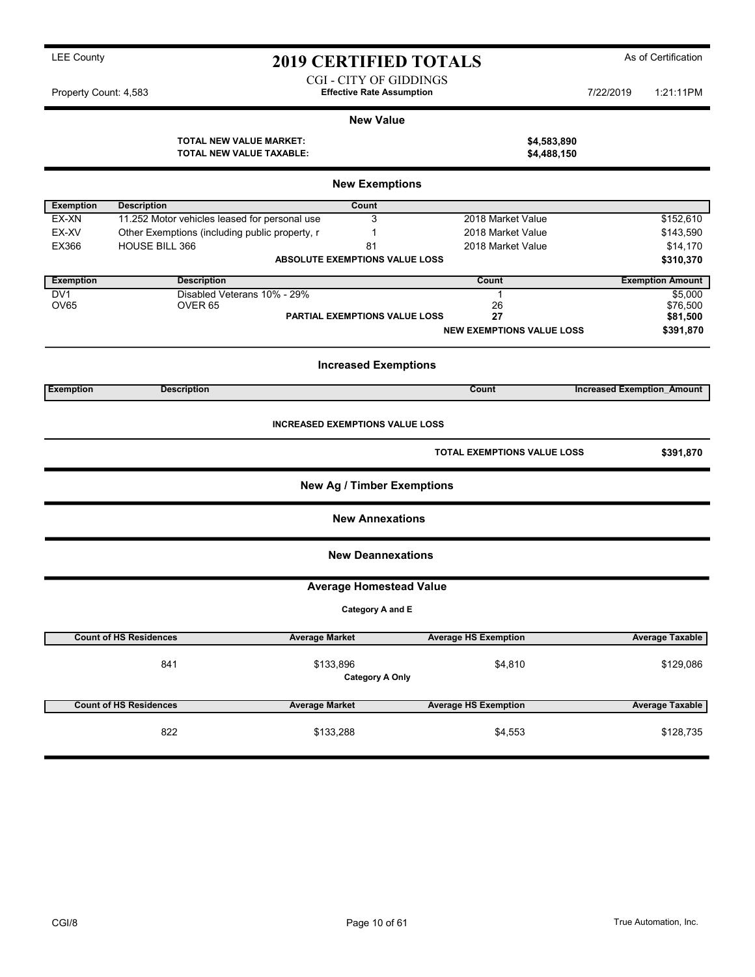CGI - CITY OF GIDDINGS Property Count: 4,583 **7/22/2019** 1:21:11PM

 $$4,583,890$  $$4,488,150$ 

### New Value

| <b>TOTAL NEW VALUE MARKET:</b>  |  |
|---------------------------------|--|
| <b>TOTAL NEW VALUE TAXABLE:</b> |  |

|                  |                                                | <b>New Exemptions</b>             |                                    |                                   |  |  |  |  |
|------------------|------------------------------------------------|-----------------------------------|------------------------------------|-----------------------------------|--|--|--|--|
| <b>Exemption</b> | <b>Description</b>                             | Count                             |                                    |                                   |  |  |  |  |
| EX-XN            | 11.252 Motor vehicles leased for personal use  | 3                                 | 2018 Market Value                  | \$152,610                         |  |  |  |  |
| EX-XV            | Other Exemptions (including public property, r | 1                                 | 2018 Market Value                  | \$143,590                         |  |  |  |  |
| EX366            | <b>HOUSE BILL 366</b>                          | 81                                | 2018 Market Value                  | \$14,170                          |  |  |  |  |
|                  |                                                | ABSOLUTE EXEMPTIONS VALUE LOSS    |                                    | \$310,370                         |  |  |  |  |
|                  |                                                |                                   |                                    |                                   |  |  |  |  |
| <b>Exemption</b> | <b>Description</b>                             |                                   | Count                              | <b>Exemption Amount</b>           |  |  |  |  |
| DV <sub>1</sub>  | Disabled Veterans 10% - 29%                    |                                   | $\mathbf{1}$                       | \$5,000                           |  |  |  |  |
| <b>OV65</b>      | OVER <sub>65</sub>                             |                                   | 26                                 | \$76,500                          |  |  |  |  |
|                  |                                                | PARTIAL EXEMPTIONS VALUE LOSS     | 27                                 | \$81,500                          |  |  |  |  |
|                  |                                                |                                   | <b>NEW EXEMPTIONS VALUE LOSS</b>   | \$391,870                         |  |  |  |  |
|                  |                                                |                                   |                                    |                                   |  |  |  |  |
|                  |                                                | <b>Increased Exemptions</b>       |                                    |                                   |  |  |  |  |
| <b>Exemption</b> | <b>Description</b>                             |                                   | <b>Count</b>                       | <b>Increased Exemption Amount</b> |  |  |  |  |
|                  | <b>INCREASED EXEMPTIONS VALUE LOSS</b>         |                                   |                                    |                                   |  |  |  |  |
|                  |                                                |                                   | <b>TOTAL EXEMPTIONS VALUE LOSS</b> | \$391,870                         |  |  |  |  |
|                  |                                                | <b>New Ag / Timber Exemptions</b> |                                    |                                   |  |  |  |  |
|                  |                                                | <b>New Annexations</b>            |                                    |                                   |  |  |  |  |
|                  |                                                | <b>New Deannexations</b>          |                                    |                                   |  |  |  |  |
|                  |                                                | <b>Average Homestead Value</b>    |                                    |                                   |  |  |  |  |
|                  |                                                | Category A and E                  |                                    |                                   |  |  |  |  |
|                  | <b>Count of HS Residences</b>                  | <b>Average Market</b>             | <b>Average HS Exemption</b>        | <b>Average Taxable</b>            |  |  |  |  |
|                  |                                                |                                   |                                    |                                   |  |  |  |  |
|                  | 841                                            | \$133,896                         | \$4,810                            | \$129,086                         |  |  |  |  |
|                  |                                                | <b>Category A Only</b>            |                                    |                                   |  |  |  |  |
|                  |                                                |                                   |                                    |                                   |  |  |  |  |
|                  | <b>Count of HS Residences</b>                  | <b>Average Market</b>             | <b>Average HS Exemption</b>        | <b>Average Taxable</b>            |  |  |  |  |
|                  | 822                                            | \$133,288                         | \$4,553                            | \$128,735                         |  |  |  |  |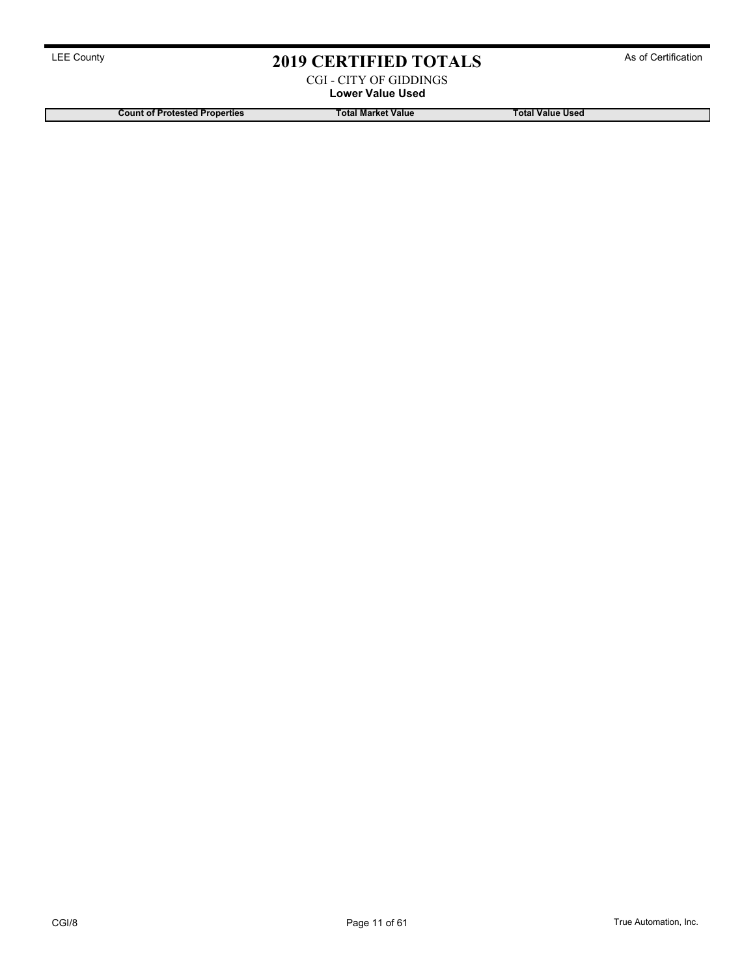CGI - CITY OF GIDDINGS Lower Value Used

Count of Protested Properties Total Market Value Total Market Value Total Value Used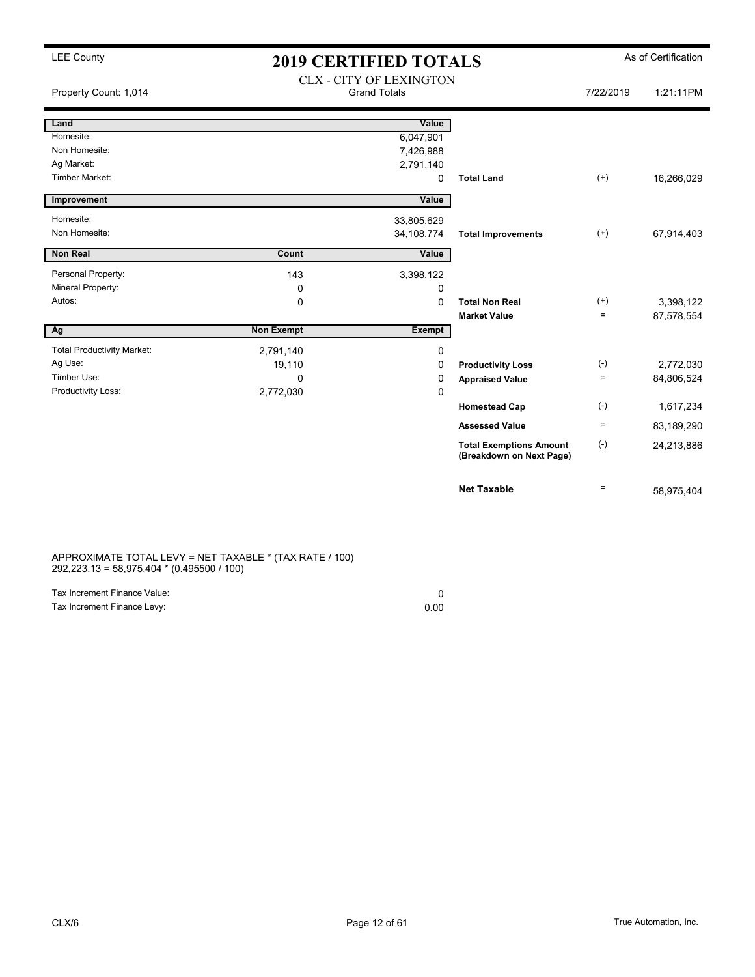### LEE County **2019 CERTIFIED TOTALS** As of Certification V OF LEVINGTON

| Property Count: 1,014             |                   | CLX - CITY OF LEXINGTON<br><b>Grand Totals</b> |                                                            | 7/22/2019 | 1:21:11PM  |
|-----------------------------------|-------------------|------------------------------------------------|------------------------------------------------------------|-----------|------------|
| Land                              |                   | Value                                          |                                                            |           |            |
| Homesite:                         |                   | 6,047,901                                      |                                                            |           |            |
| Non Homesite:                     |                   | 7,426,988                                      |                                                            |           |            |
| Ag Market:                        |                   | 2,791,140                                      |                                                            |           |            |
| <b>Timber Market:</b>             |                   | 0                                              | <b>Total Land</b>                                          | $^{(+)}$  | 16,266,029 |
| Improvement                       |                   | Value                                          |                                                            |           |            |
| Homesite:                         |                   | 33,805,629                                     |                                                            |           |            |
| Non Homesite:                     |                   | 34, 108, 774                                   | <b>Total Improvements</b>                                  | $^{(+)}$  | 67,914,403 |
| Non Real                          | Count             | Value                                          |                                                            |           |            |
|                                   |                   |                                                |                                                            |           |            |
| Personal Property:                | 143               | 3,398,122                                      |                                                            |           |            |
| Mineral Property:                 | 0                 | 0                                              |                                                            |           |            |
| Autos:                            | 0                 | 0                                              | <b>Total Non Real</b>                                      | $^{(+)}$  | 3,398,122  |
|                                   |                   |                                                | <b>Market Value</b>                                        | $=$       | 87,578,554 |
| Ag                                | <b>Non Exempt</b> | Exempt                                         |                                                            |           |            |
| <b>Total Productivity Market:</b> | 2,791,140         | 0                                              |                                                            |           |            |
| Ag Use:                           | 19,110            | 0                                              | <b>Productivity Loss</b>                                   | $(-)$     | 2,772,030  |
| Timber Use:                       | $\Omega$          | 0                                              | <b>Appraised Value</b>                                     | $=$       | 84,806,524 |
| Productivity Loss:                | 2,772,030         | 0                                              |                                                            |           |            |
|                                   |                   |                                                | <b>Homestead Cap</b>                                       | $(-)$     | 1,617,234  |
|                                   |                   |                                                | <b>Assessed Value</b>                                      | $\equiv$  | 83,189,290 |
|                                   |                   |                                                | <b>Total Exemptions Amount</b><br>(Breakdown on Next Page) | $(-)$     | 24,213,886 |
|                                   |                   |                                                | <b>Net Taxable</b>                                         | $=$       | 58,975,404 |

APPROXIMATE TOTAL LEVY = NET TAXABLE \* (TAX RATE / 100) 292,223.13 = 58,975,404 \* (0.495500 / 100)

| Tax Increment Finance Value: |      |
|------------------------------|------|
| Tax Increment Finance Levy:  | 0.00 |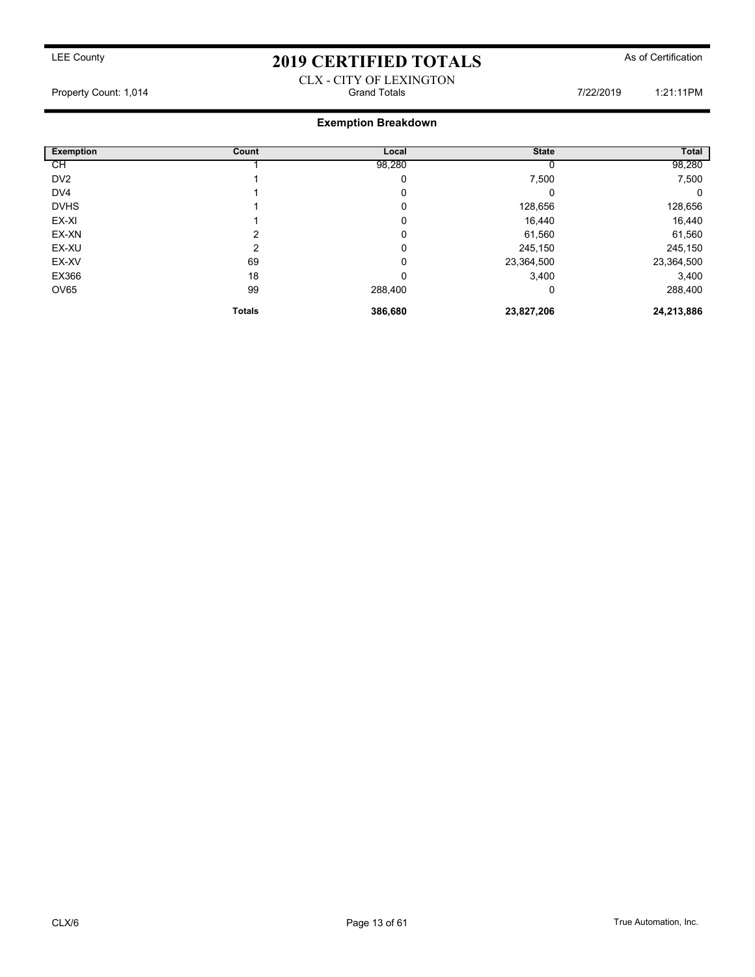### CLX - CITY OF LEXINGTON Property Count: 1,014 **Count: 1,014** Grand Totals **Count: 1,014** Count: 1,014 **1:21:11PM**

### Exemption Breakdown

| <b>Exemption</b> | Count         | Local   | <b>State</b> | <b>Total</b> |
|------------------|---------------|---------|--------------|--------------|
| CН               |               | 98,280  |              | 98,280       |
| DV <sub>2</sub>  |               | 0       | 7,500        | 7,500        |
| DV4              |               | 0       | 0            | 0            |
| <b>DVHS</b>      |               | 0       | 128,656      | 128,656      |
| EX-XI            |               | 0       | 16,440       | 16,440       |
| EX-XN            | 2             | 0       | 61,560       | 61,560       |
| EX-XU            | ⌒             | 0       | 245,150      | 245,150      |
| EX-XV            | 69            | 0       | 23,364,500   | 23,364,500   |
| EX366            | 18            | 0       | 3,400        | 3,400        |
| <b>OV65</b>      | 99            | 288,400 | 0            | 288,400      |
|                  | <b>Totals</b> | 386,680 | 23,827,206   | 24,213,886   |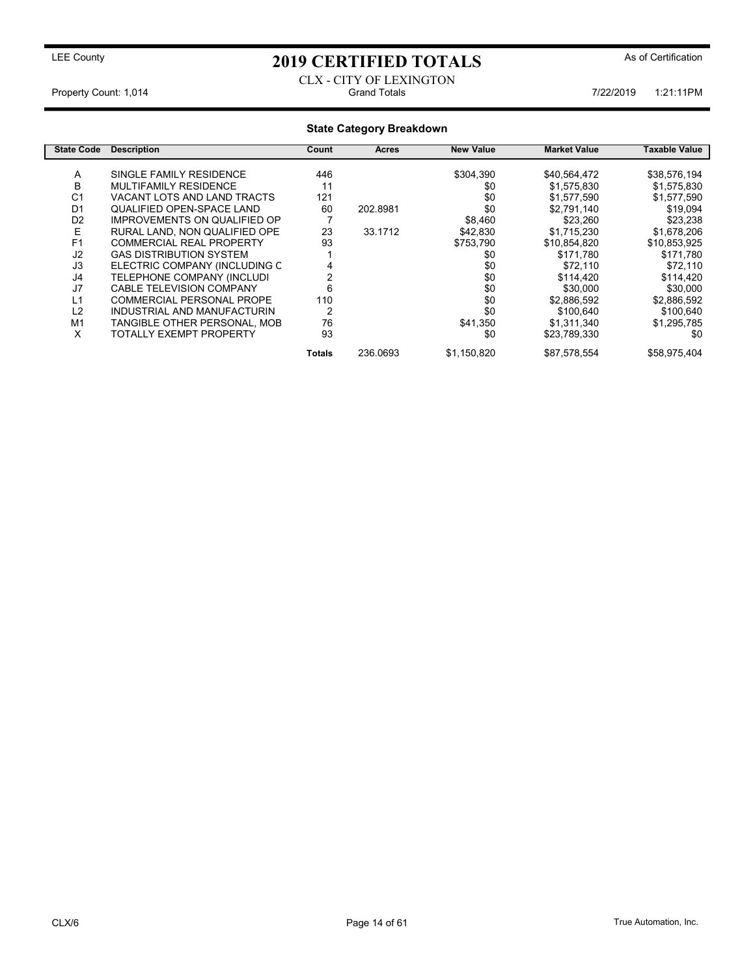### CLX - CITY OF LEXINGTON Property Count: 1,014 **7/22/2019** 1:21:11PM

### State Category Breakdown

| <b>State Code</b> | <b>Description</b>                  | Count  | Acres    | <b>New Value</b> | <b>Market Value</b> | Taxable Value |
|-------------------|-------------------------------------|--------|----------|------------------|---------------------|---------------|
|                   |                                     |        |          |                  |                     |               |
| A                 | SINGLE FAMILY RESIDENCE             | 446    |          | \$304,390        | \$40,564,472        | \$38,576,194  |
| в                 | MULTIFAMILY RESIDENCE               | 11     |          | \$0              | \$1,575,830         | \$1,575,830   |
| C <sub>1</sub>    | VACANT LOTS AND LAND TRACTS         | 121    |          | \$0              | \$1,577,590         | \$1,577,590   |
| D <sub>1</sub>    | <b>QUALIFIED OPEN-SPACE LAND</b>    | 60     | 202.8981 | \$0              | \$2,791,140         | \$19,094      |
| D <sub>2</sub>    | <b>IMPROVEMENTS ON QUALIFIED OP</b> |        |          | \$8,460          | \$23,260            | \$23,238      |
| E                 | RURAL LAND. NON QUALIFIED OPE       | 23     | 33.1712  | \$42,830         | \$1,715,230         | \$1,678,206   |
| F <sub>1</sub>    | <b>COMMERCIAL REAL PROPERTY</b>     | 93     |          | \$753,790        | \$10,854,820        | \$10,853,925  |
| J <sub>2</sub>    | <b>GAS DISTRIBUTION SYSTEM</b>      |        |          | \$0              | \$171,780           | \$171,780     |
| J3                | ELECTRIC COMPANY (INCLUDING C       |        |          | \$0              | \$72.110            | \$72.110      |
| J4                | TELEPHONE COMPANY (INCLUDI          |        |          | \$0              | \$114,420           | \$114,420     |
| J7                | <b>CABLE TELEVISION COMPANY</b>     | 6      |          | \$0              | \$30,000            | \$30,000      |
| L1                | COMMERCIAL PERSONAL PROPE           | 110    |          | \$0              | \$2,886,592         | \$2,886,592   |
| L2                | INDUSTRIAL AND MANUFACTURIN         | 2      |          | \$0              | \$100,640           | \$100,640     |
| M1                | TANGIBLE OTHER PERSONAL, MOB        | 76     |          | \$41,350         | \$1,311,340         | \$1,295,785   |
| X                 | <b>TOTALLY EXEMPT PROPERTY</b>      | 93     |          | \$0              | \$23,789,330        | \$0           |
|                   |                                     | Totals | 236.0693 | \$1,150,820      | \$87,578,554        | \$58,975,404  |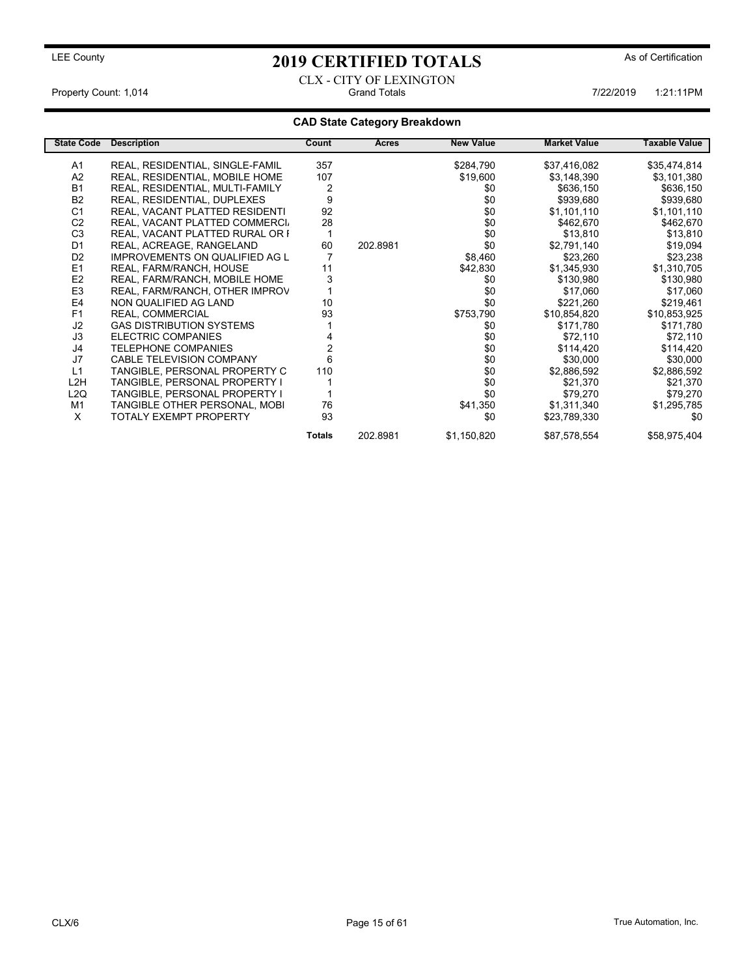CLX - CITY OF LEXINGTON Property Count: 1,014 1:21:11PM Grand Totals 1:21:11PM Grand Totals 1:21:11PM

### CAD State Category Breakdown

| <b>State Code</b> | <b>Description</b>                    | Count          | <b>Acres</b> | <b>New Value</b> | <b>Market Value</b> | Taxable Value |
|-------------------|---------------------------------------|----------------|--------------|------------------|---------------------|---------------|
| A1                | REAL, RESIDENTIAL, SINGLE-FAMIL       | 357            |              | \$284,790        | \$37,416,082        | \$35,474,814  |
| A2                | REAL, RESIDENTIAL, MOBILE HOME        | 107            |              | \$19,600         | \$3,148,390         | \$3,101,380   |
| <b>B1</b>         | REAL, RESIDENTIAL, MULTI-FAMILY       | $\overline{2}$ |              | \$0              | \$636,150           | \$636,150     |
| <b>B2</b>         | REAL, RESIDENTIAL, DUPLEXES           | 9              |              | \$0              | \$939,680           | \$939,680     |
| C <sub>1</sub>    | <b>REAL, VACANT PLATTED RESIDENTI</b> | 92             |              | \$0              | \$1,101,110         | \$1,101,110   |
| C <sub>2</sub>    | REAL, VACANT PLATTED COMMERCI.        | 28             |              | \$0              | \$462,670           | \$462,670     |
| C <sub>3</sub>    | REAL, VACANT PLATTED RURAL OR I       |                |              | \$0              | \$13,810            | \$13,810      |
| D <sub>1</sub>    | REAL, ACREAGE, RANGELAND              | 60             | 202.8981     | \$0              | \$2,791,140         | \$19,094      |
| D <sub>2</sub>    | <b>IMPROVEMENTS ON QUALIFIED AG L</b> |                |              | \$8,460          | \$23,260            | \$23,238      |
| E1                | REAL, FARM/RANCH, HOUSE               | 11             |              | \$42,830         | \$1,345,930         | \$1,310,705   |
| E <sub>2</sub>    | REAL, FARM/RANCH, MOBILE HOME         | 3              |              | \$0              | \$130,980           | \$130,980     |
| E <sub>3</sub>    | REAL, FARM/RANCH, OTHER IMPROV        |                |              | \$0              | \$17,060            | \$17,060      |
| E4                | NON QUALIFIED AG LAND                 | 10             |              | \$0              | \$221,260           | \$219,461     |
| F <sub>1</sub>    | REAL, COMMERCIAL                      | 93             |              | \$753,790        | \$10,854,820        | \$10,853,925  |
| J2                | <b>GAS DISTRIBUTION SYSTEMS</b>       |                |              | \$0              | \$171,780           | \$171,780     |
| J3                | ELECTRIC COMPANIES                    |                |              | \$0              | \$72,110            | \$72,110      |
| J4                | <b>TELEPHONE COMPANIES</b>            |                |              | \$0              | \$114,420           | \$114,420     |
| J7                | CABLE TELEVISION COMPANY              | 6              |              | \$0              | \$30,000            | \$30,000      |
| L1                | TANGIBLE, PERSONAL PROPERTY C         | 110            |              | \$0              | \$2,886,592         | \$2,886,592   |
| L <sub>2</sub> H  | TANGIBLE, PERSONAL PROPERTY I         |                |              | \$0              | \$21,370            | \$21,370      |
| L2Q               | TANGIBLE, PERSONAL PROPERTY I         |                |              | \$0              | \$79,270            | \$79,270      |
| M1                | TANGIBLE OTHER PERSONAL, MOBI         | 76             |              | \$41,350         | \$1,311,340         | \$1,295,785   |
| X                 | <b>TOTALY EXEMPT PROPERTY</b>         | 93             |              | \$0              | \$23,789,330        | \$0           |
|                   |                                       | <b>Totals</b>  | 202.8981     | \$1,150,820      | \$87,578,554        | \$58,975,404  |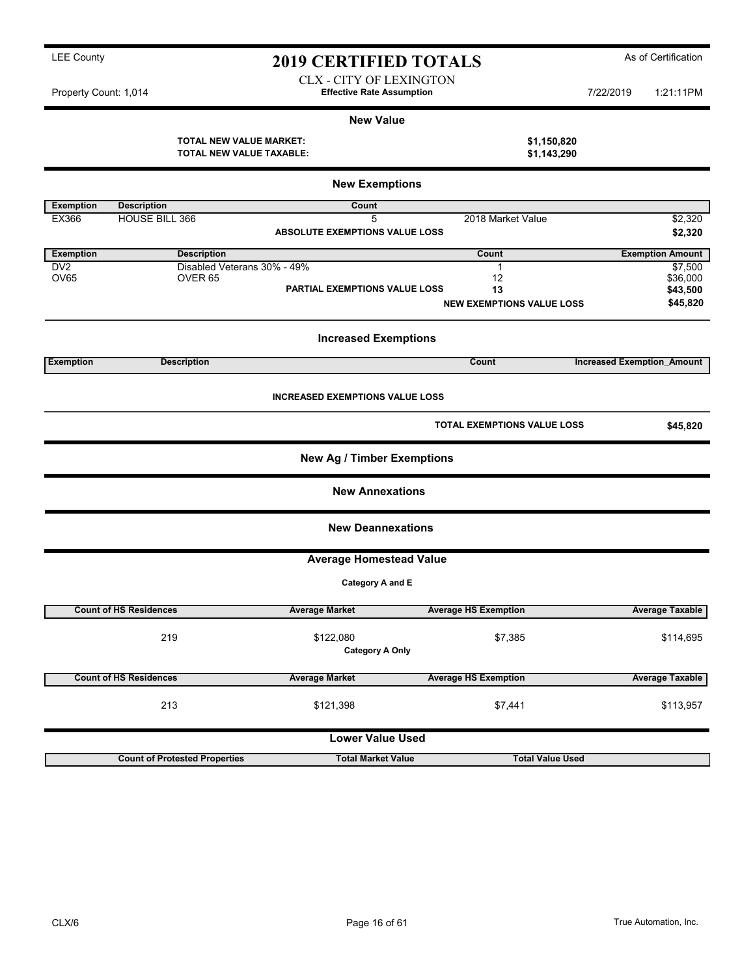Lower Value Used

Count of Protested Properties Total Market Value Total Value Used

New Value TOTAL NEW VALUE MARKET: \$1,150,820 TOTAL NEW VALUE TAXABLE: \$1,143,290 New Exemptions Exemption Description **Count** EX366 HOUSE BILL 366 5 2018 Market Value \$2,320 ABSOLUTE EXEMPTIONS VALUE LOSS \$2,320 Exemption Description Count Exemption Amount DV2 Disabled Veterans 30% - 49% 1<br>
DV65 0VER 65 000 DVER 65 OV65 OVER 65 12 \$36,000 PARTIAL EXEMPTIONS VALUE LOSS 13 13 \$43,500 NEW EXEMPTIONS VALUE LOSS \$45,820 Increased Exemptions Exemption **Exemption** Description **Description** Count Count **Increased Exemption** Amount INCREASED EXEMPTIONS VALUE LOSS TOTAL EXEMPTIONS VALUE LOSS \$45,820 New Ag / Timber Exemptions New Annexations New Deannexations Average Homestead Value Category A and E Count of HS Residences **Average Market** Average HS Exemption Average HS Exemption 219 \$114,695 \$122,080 \$7,385 Category A Only Count of HS Residences **Average Market Average HS Exemption** Average Taxable Average Taxable 213 **5121,398 \$121,398 \$121,398** \$7,441 \$113,957

LEE County **2019 CERTIFIED TOTALS** As of Certification

CLX - CITY OF LEXINGTON Property Count: 1,014 **1:21:11PM Effective Rate Assumption 1:21:11PM 7/22/2019** 1:21:11PM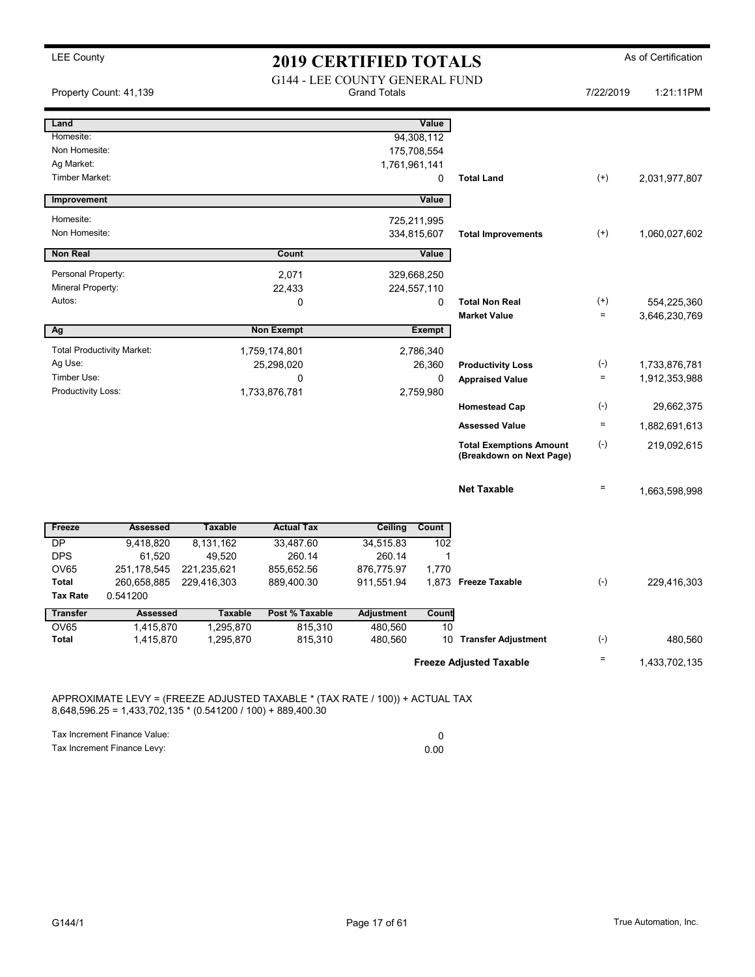| Property Count: 41,139            |                        |                        | <b>G144 - LEE COUNTY GENERAL FUND</b> | <b>Grand Totals</b> |                     |                                                            | 7/22/2019            | 1:21:11PM     |
|-----------------------------------|------------------------|------------------------|---------------------------------------|---------------------|---------------------|------------------------------------------------------------|----------------------|---------------|
| Land<br>Homesite:                 |                        |                        |                                       |                     | Value<br>94,308,112 |                                                            |                      |               |
| Non Homesite:                     |                        |                        |                                       |                     | 175,708,554         |                                                            |                      |               |
| Ag Market:                        |                        |                        |                                       | 1,761,961,141       |                     |                                                            |                      |               |
| Timber Market:                    |                        |                        |                                       |                     | 0                   | <b>Total Land</b>                                          | $(+)$                | 2,031,977,807 |
| Improvement                       |                        |                        |                                       |                     | Value               |                                                            |                      |               |
| Homesite:                         |                        |                        |                                       |                     | 725,211,995         |                                                            |                      |               |
| Non Homesite:                     |                        |                        |                                       |                     | 334,815,607         | <b>Total Improvements</b>                                  | $^{(+)}$             | 1,060,027,602 |
| <b>Non Real</b>                   |                        |                        | Count                                 |                     | Value               |                                                            |                      |               |
| Personal Property:                |                        |                        | 2,071                                 |                     | 329,668,250         |                                                            |                      |               |
| Mineral Property:                 |                        |                        | 22,433                                |                     | 224,557,110         |                                                            |                      |               |
| Autos:                            |                        |                        | $\Omega$                              |                     | 0                   | <b>Total Non Real</b>                                      | $^{(+)}$<br>$\equiv$ | 554,225,360   |
| Ag                                |                        |                        | <b>Non Exempt</b>                     |                     | Exempt              | <b>Market Value</b>                                        |                      | 3,646,230,769 |
| <b>Total Productivity Market:</b> |                        |                        | 1,759,174,801                         |                     | 2,786,340           |                                                            |                      |               |
| Ag Use:                           |                        |                        | 25,298,020                            |                     | 26,360              | <b>Productivity Loss</b>                                   | $(-)$                | 1,733,876,781 |
| Timber Use:                       |                        |                        | 0                                     |                     | 0                   | <b>Appraised Value</b>                                     | $\equiv$             | 1,912,353,988 |
| Productivity Loss:                |                        |                        | 1,733,876,781                         |                     | 2,759,980           |                                                            |                      |               |
|                                   |                        |                        |                                       |                     |                     | <b>Homestead Cap</b>                                       | $(-)$                | 29,662,375    |
|                                   |                        |                        |                                       |                     |                     | <b>Assessed Value</b>                                      | $\equiv$             | 1,882,691,613 |
|                                   |                        |                        |                                       |                     |                     | <b>Total Exemptions Amount</b><br>(Breakdown on Next Page) | $(-)$                | 219,092,615   |
|                                   |                        |                        |                                       |                     |                     | <b>Net Taxable</b>                                         | $\quad =$            | 1,663,598,998 |
| Freeze                            | <b>Assessed</b>        | <b>Taxable</b>         | <b>Actual Tax</b>                     | <b>Ceiling</b>      | Count               |                                                            |                      |               |
| <b>DP</b>                         | 9,418,820              | 8,131,162              | 33,487.60                             | 34,515.83           | 102                 |                                                            |                      |               |
| <b>DPS</b>                        | 61,520                 | 49,520                 | 260.14                                | 260.14              | 1                   |                                                            |                      |               |
| <b>OV65</b>                       | 251, 178, 545          | 221,235,621            | 855,652.56                            | 876,775.97          | 1,770               |                                                            |                      |               |
| Total                             | 260,658,885            | 229,416,303            | 889,400.30                            | 911,551.94          |                     | 1,873 Freeze Taxable                                       | $(-)$                | 229,416,303   |
| <b>Tax Rate</b>                   | 0.541200               |                        |                                       |                     |                     |                                                            |                      |               |
| <b>Transfer</b>                   | <b>Assessed</b>        | <b>Taxable</b>         | Post % Taxable                        | <b>Adjustment</b>   | Count               |                                                            |                      |               |
| <b>OV65</b><br><b>Total</b>       | 1,415,870<br>1,415,870 | 1,295,870<br>1,295,870 | 815,310<br>815,310                    | 480,560<br>480,560  | 10                  | 10 Transfer Adjustment                                     | $(-)$                | 480,560       |
|                                   |                        |                        |                                       |                     |                     | <b>Freeze Adjusted Taxable</b>                             | $\equiv$             | 1,433,702,135 |
|                                   |                        |                        |                                       |                     |                     |                                                            |                      |               |

8,648,596.25 = 1,433,702,135 \* (0.541200 / 100) + 889,400.30

Tax Increment Finance Value: 0 Tax Increment Finance Levy: 0.00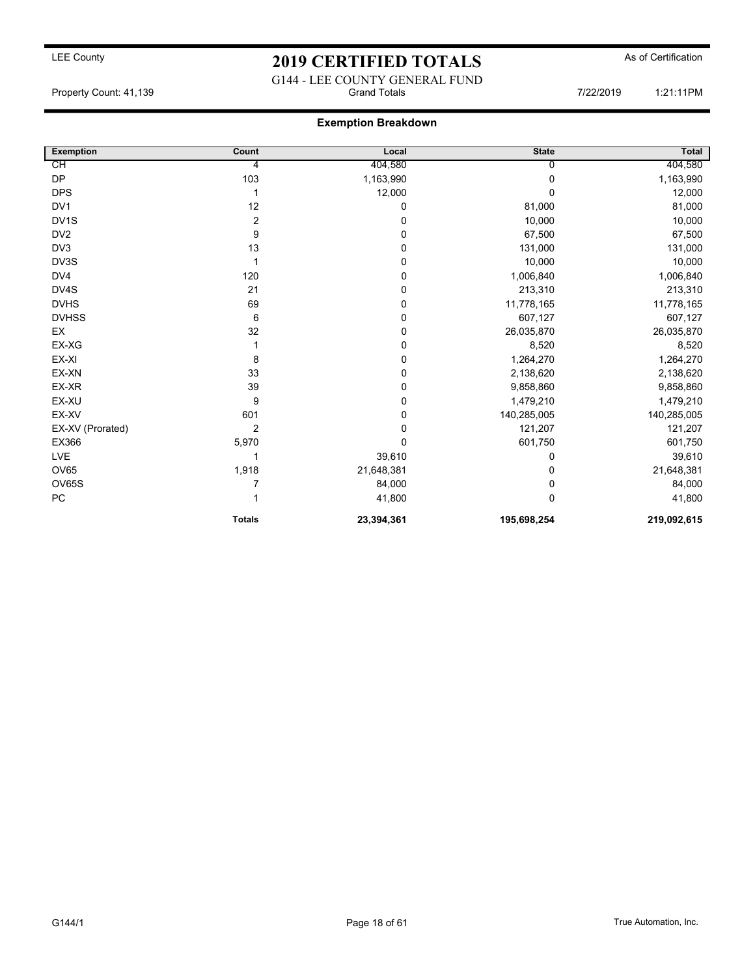## LEE County As of Certification **2019 CERTIFIED TOTALS** As of Certification G144 - LEE COUNTY GENERAL FUND

Property Count: 41,139 **Property Count: 41,139** Crand Totals **7/22/2019** 1:21:11PM

### Exemption Breakdown

| <b>Exemption</b>  | Count          | Local       | <b>State</b> | <b>Total</b> |
|-------------------|----------------|-------------|--------------|--------------|
| СH                | 4              | 404,580     | 0            | 404,580      |
| <b>DP</b>         | 103            | 1,163,990   | $\mathbf 0$  | 1,163,990    |
| <b>DPS</b>        | 1              | 12,000      | $\Omega$     | 12,000       |
| DV <sub>1</sub>   | 12             | 0           | 81,000       | 81,000       |
| DV <sub>1</sub> S | $\overline{2}$ | 0           | 10,000       | 10,000       |
| DV <sub>2</sub>   | 9              | $\mathbf 0$ | 67,500       | 67,500       |
| DV3               | 13             | 0           | 131,000      | 131,000      |
| DV3S              |                | 0           | 10,000       | 10,000       |
| DV4               | 120            | 0           | 1,006,840    | 1,006,840    |
| DV4S              | 21             | 0           | 213,310      | 213,310      |
| <b>DVHS</b>       | 69             | 0           | 11,778,165   | 11,778,165   |
| <b>DVHSS</b>      | 6              | 0           | 607,127      | 607,127      |
| EX                | 32             | 0           | 26,035,870   | 26,035,870   |
| EX-XG             |                | 0           | 8,520        | 8,520        |
| EX-XI             | 8              | 0           | 1,264,270    | 1,264,270    |
| EX-XN             | 33             | 0           | 2,138,620    | 2,138,620    |
| EX-XR             | 39             | 0           | 9,858,860    | 9,858,860    |
| EX-XU             | 9              | 0           | 1,479,210    | 1,479,210    |
| EX-XV             | 601            | 0           | 140,285,005  | 140,285,005  |
| EX-XV (Prorated)  | $\overline{2}$ | $\mathbf 0$ | 121,207      | 121,207      |
| EX366             | 5,970          | 0           | 601,750      | 601,750      |
| LVE               |                | 39,610      | 0            | 39,610       |
| <b>OV65</b>       | 1,918          | 21,648,381  | 0            | 21,648,381   |
| <b>OV65S</b>      |                | 84,000      | $\mathbf 0$  | 84,000       |
| PC                |                | 41,800      | $\mathbf 0$  | 41,800       |
|                   | <b>Totals</b>  | 23,394,361  | 195,698,254  | 219,092,615  |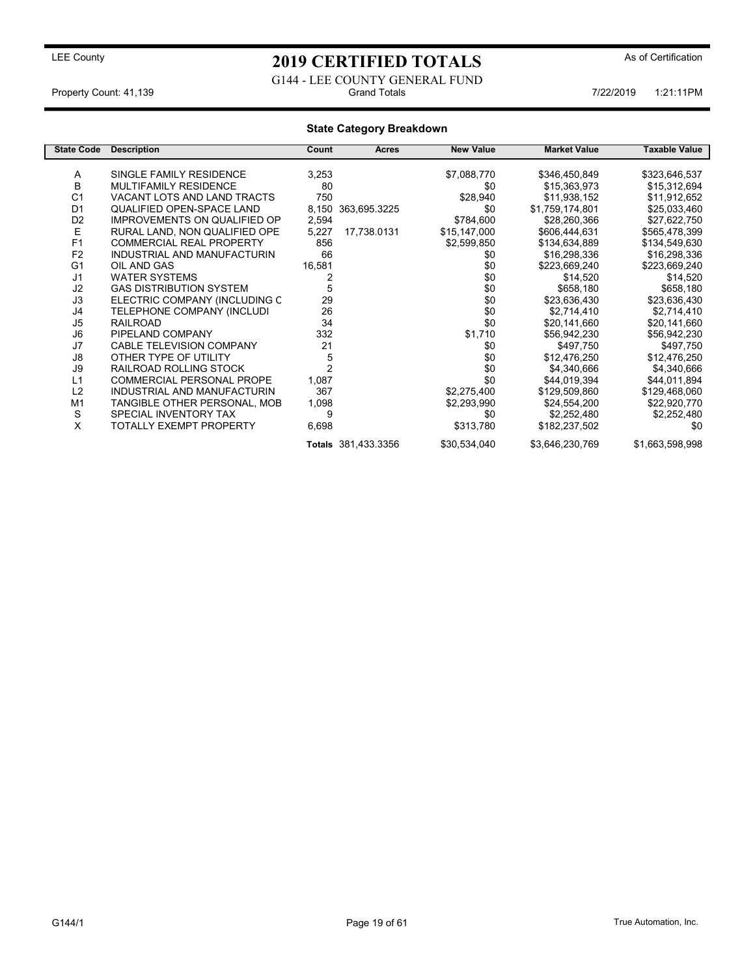G144 - LEE COUNTY GENERAL FUND<br>Grand Totals Property Count: 41,139 **7/22/2019** 1:21:11PM

### State Category Breakdown

| <b>State Code</b> | <b>Description</b>                  | Count          | <b>Acres</b>        | <b>New Value</b> | <b>Market Value</b> | <b>Taxable Value</b> |
|-------------------|-------------------------------------|----------------|---------------------|------------------|---------------------|----------------------|
|                   |                                     |                |                     |                  |                     |                      |
| A                 | SINGLE FAMILY RESIDENCE             | 3,253          |                     | \$7,088,770      | \$346,450,849       | \$323,646,537        |
| B                 | <b>MULTIFAMILY RESIDENCE</b>        | 80             |                     | \$0              | \$15,363,973        | \$15,312,694         |
| C <sub>1</sub>    | VACANT LOTS AND LAND TRACTS         | 750            |                     | \$28,940         | \$11,938,152        | \$11,912,652         |
| D <sub>1</sub>    | <b>QUALIFIED OPEN-SPACE LAND</b>    | 8,150          | 363,695.3225        | \$0              | \$1,759,174,801     | \$25,033,460         |
| D <sub>2</sub>    | <b>IMPROVEMENTS ON QUALIFIED OP</b> | 2,594          |                     | \$784,600        | \$28,260,366        | \$27,622,750         |
| E                 | RURAL LAND, NON QUALIFIED OPE       | 5,227          | 17,738.0131         | \$15,147,000     | \$606,444,631       | \$565,478,399        |
| F <sub>1</sub>    | <b>COMMERCIAL REAL PROPERTY</b>     | 856            |                     | \$2,599,850      | \$134,634,889       | \$134,549,630        |
| F <sub>2</sub>    | INDUSTRIAL AND MANUFACTURIN         | 66             |                     | \$0              | \$16,298,336        | \$16,298,336         |
| G <sub>1</sub>    | OIL AND GAS                         | 16,581         |                     | \$0              | \$223,669,240       | \$223,669,240        |
| J <sub>1</sub>    | <b>WATER SYSTEMS</b>                |                |                     | \$0              | \$14,520            | \$14,520             |
| J2                | <b>GAS DISTRIBUTION SYSTEM</b>      | 5              |                     | \$0              | \$658,180           | \$658,180            |
| J3                | ELECTRIC COMPANY (INCLUDING C       | 29             |                     | \$0              | \$23,636,430        | \$23,636,430         |
| J4                | TELEPHONE COMPANY (INCLUDI          | 26             |                     | \$0              | \$2,714,410         | \$2,714,410          |
| J <sub>5</sub>    | <b>RAILROAD</b>                     | 34             |                     | \$0              | \$20,141,660        | \$20,141,660         |
| J6                | PIPELAND COMPANY                    | 332            |                     | \$1,710          | \$56,942,230        | \$56,942,230         |
| J7                | CABLE TELEVISION COMPANY            | 21             |                     | \$0              | \$497,750           | \$497,750            |
| J8                | OTHER TYPE OF UTILITY               | 5              |                     | \$0              | \$12,476,250        | \$12,476,250         |
| J9                | RAILROAD ROLLING STOCK              | $\overline{2}$ |                     | \$0              | \$4,340,666         | \$4,340,666          |
| L1                | <b>COMMERCIAL PERSONAL PROPE</b>    | 1,087          |                     | \$0              | \$44,019,394        | \$44,011,894         |
| L2                | INDUSTRIAL AND MANUFACTURIN         | 367            |                     | \$2,275,400      | \$129,509,860       | \$129,468,060        |
| M <sub>1</sub>    | TANGIBLE OTHER PERSONAL, MOB        | 1,098          |                     | \$2,293,990      | \$24,554,200        | \$22,920,770         |
| S                 | SPECIAL INVENTORY TAX               | 9              |                     | \$0              | \$2,252,480         | \$2,252,480          |
| X                 | <b>TOTALLY EXEMPT PROPERTY</b>      | 6,698          |                     | \$313,780        | \$182,237,502       | \$0                  |
|                   |                                     |                | Totals 381,433.3356 | \$30,534,040     | \$3,646,230,769     | \$1,663,598,998      |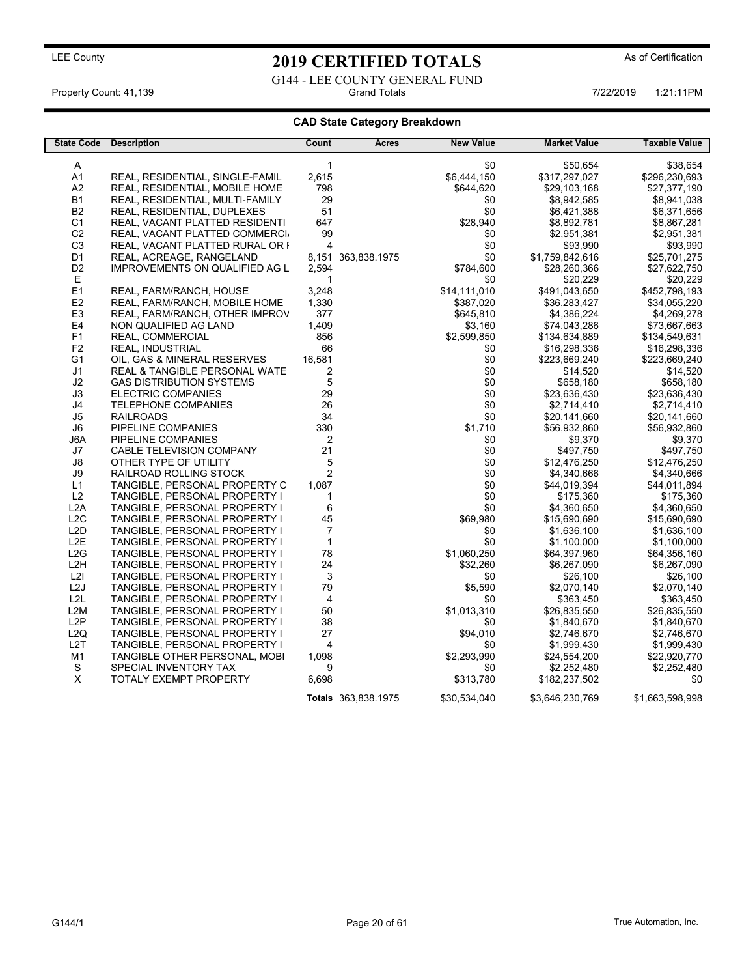G144 - LEE COUNTY GENERAL FUND<br>Grand Totals Property Count: 41,139 **Property Count: 41,139** Crand Totals 1:21:11PM **Grand Totals** 1:21:11PM 7/22/2019 1:21:11PM

### CAD State Category Breakdown

| <b>State Code</b> | <b>Description</b>              | Count          | <b>Acres</b>        | <b>New Value</b> | <b>Market Value</b> | <b>Taxable Value</b> |
|-------------------|---------------------------------|----------------|---------------------|------------------|---------------------|----------------------|
|                   |                                 |                |                     |                  |                     |                      |
| A                 |                                 | 1              |                     | \$0              | \$50,654            | \$38,654             |
| A <sub>1</sub>    | REAL, RESIDENTIAL, SINGLE-FAMIL | 2,615          |                     | \$6,444,150      | \$317,297,027       | \$296,230,693        |
| A <sub>2</sub>    | REAL, RESIDENTIAL, MOBILE HOME  | 798            |                     | \$644,620        | \$29,103,168        | \$27,377,190         |
| <b>B1</b>         | REAL, RESIDENTIAL, MULTI-FAMILY | 29             |                     | \$0              | \$8,942,585         | \$8,941,038          |
| <b>B2</b>         | REAL, RESIDENTIAL, DUPLEXES     | 51             |                     | \$0              | \$6,421,388         | \$6,371,656          |
| C <sub>1</sub>    | REAL, VACANT PLATTED RESIDENTI  | 647            |                     | \$28,940         | \$8,892,781         | \$8,867,281          |
| C <sub>2</sub>    | REAL, VACANT PLATTED COMMERCI.  | 99             |                     | \$0              | \$2,951,381         | \$2,951,381          |
| C <sub>3</sub>    | REAL, VACANT PLATTED RURAL OR I | 4              |                     | \$0              | \$93,990            | \$93,990             |
| D1                | REAL, ACREAGE, RANGELAND        | 8.151          | 363,838.1975        | \$0              | \$1,759,842,616     | \$25,701,275         |
| D <sub>2</sub>    | IMPROVEMENTS ON QUALIFIED AG L  | 2,594          |                     | \$784,600        | \$28,260,366        | \$27,622,750         |
| Е                 |                                 | 1              |                     | \$0              | \$20,229            | \$20,229             |
| E <sub>1</sub>    | REAL, FARM/RANCH, HOUSE         | 3,248          |                     | \$14,111,010     | \$491,043,650       | \$452,798,193        |
| E <sub>2</sub>    | REAL, FARM/RANCH, MOBILE HOME   | 1,330          |                     | \$387,020        | \$36,283,427        | \$34,055,220         |
| E3                | REAL, FARM/RANCH, OTHER IMPROV  | 377            |                     | \$645,810        | \$4,386,224         | \$4,269,278          |
| E4                | NON QUALIFIED AG LAND           | 1,409          |                     | \$3,160          | \$74,043,286        | \$73,667,663         |
| F1                | REAL, COMMERCIAL                | 856            |                     | \$2,599,850      | \$134,634,889       | \$134,549,631        |
| F <sub>2</sub>    | <b>REAL, INDUSTRIAL</b>         | 66             |                     | \$0              | \$16,298,336        | \$16,298,336         |
| G1                | OIL, GAS & MINERAL RESERVES     | 16,581         |                     | \$0              | \$223,669,240       | \$223,669,240        |
| J <sub>1</sub>    | REAL & TANGIBLE PERSONAL WATE   | 2              |                     | \$0              | \$14,520            | \$14,520             |
| J2                | <b>GAS DISTRIBUTION SYSTEMS</b> | 5              |                     | \$0              | \$658,180           | \$658,180            |
| J3                | <b>ELECTRIC COMPANIES</b>       | 29             |                     | \$0              | \$23,636,430        | \$23,636,430         |
| J4                | <b>TELEPHONE COMPANIES</b>      | 26             |                     | \$0              | \$2,714,410         | \$2,714,410          |
| J <sub>5</sub>    | <b>RAILROADS</b>                | 34             |                     | \$0              | \$20,141,660        | \$20,141,660         |
| $\mathsf{J6}$     | PIPELINE COMPANIES              | 330            |                     | \$1,710          | \$56,932,860        | \$56,932,860         |
| J6A               | PIPELINE COMPANIES              | 2              |                     | \$0              | \$9,370             | \$9,370              |
| J7                | CABLE TELEVISION COMPANY        | 21             |                     | \$0              | \$497,750           | \$497,750            |
| J8                | OTHER TYPE OF UTILITY           | 5              |                     | \$0              | \$12,476,250        | \$12,476,250         |
| J9                | RAILROAD ROLLING STOCK          | 2              |                     | \$0              | \$4,340,666         | \$4,340,666          |
| L1                | TANGIBLE, PERSONAL PROPERTY C   | 1,087          |                     | \$0              | \$44,019,394        | \$44,011,894         |
| L2                | TANGIBLE, PERSONAL PROPERTY I   | 1              |                     | \$0              | \$175,360           | \$175,360            |
| L2A               | TANGIBLE, PERSONAL PROPERTY I   | 6              |                     | \$0              | \$4,360,650         | \$4,360,650          |
| L2C               | TANGIBLE, PERSONAL PROPERTY I   | 45             |                     | \$69,980         | \$15,690,690        | \$15,690,690         |
| L2D               | TANGIBLE, PERSONAL PROPERTY I   | $\overline{7}$ |                     | \$0              | \$1,636,100         | \$1,636,100          |
| L <sub>2</sub> E  | TANGIBLE, PERSONAL PROPERTY I   | $\mathbf{1}$   |                     | \$0              | \$1,100,000         | \$1,100,000          |
| L2G               | TANGIBLE, PERSONAL PROPERTY I   | 78             |                     | \$1,060,250      | \$64,397,960        | \$64,356,160         |
| L <sub>2</sub> H  | TANGIBLE, PERSONAL PROPERTY I   | 24             |                     | \$32,260         | \$6,267,090         | \$6,267,090          |
| L2I               | TANGIBLE, PERSONAL PROPERTY I   | 3              |                     | \$0              | \$26,100            | \$26,100             |
| L <sub>2</sub> J  | TANGIBLE, PERSONAL PROPERTY I   | 79             |                     | \$5,590          | \$2,070,140         | \$2,070,140          |
| L <sub>2L</sub>   | TANGIBLE, PERSONAL PROPERTY I   | 4              |                     | \$0              | \$363,450           | \$363,450            |
| L <sub>2</sub> M  | TANGIBLE, PERSONAL PROPERTY I   | 50             |                     | \$1,013,310      | \$26,835,550        | \$26,835,550         |
| L <sub>2</sub> P  | TANGIBLE, PERSONAL PROPERTY I   | 38             |                     | \$0              | \$1,840,670         | \$1,840,670          |
| L <sub>2</sub> Q  | TANGIBLE, PERSONAL PROPERTY I   | 27             |                     | \$94,010         | \$2,746,670         | \$2,746,670          |
| L <sub>2</sub> T  | TANGIBLE, PERSONAL PROPERTY I   | $\overline{4}$ |                     | \$0              | \$1,999,430         | \$1,999,430          |
| M1                | TANGIBLE OTHER PERSONAL, MOBI   | 1,098          |                     | \$2,293,990      | \$24,554,200        | \$22,920,770         |
| S                 | SPECIAL INVENTORY TAX           | 9              |                     | \$0              | \$2,252,480         | \$2,252,480          |
| $\mathsf X$       | <b>TOTALY EXEMPT PROPERTY</b>   | 6,698          |                     | \$313,780        | \$182,237,502       | \$0                  |
|                   |                                 |                | Totals 363,838.1975 | \$30,534,040     | \$3,646,230,769     | \$1,663,598,998      |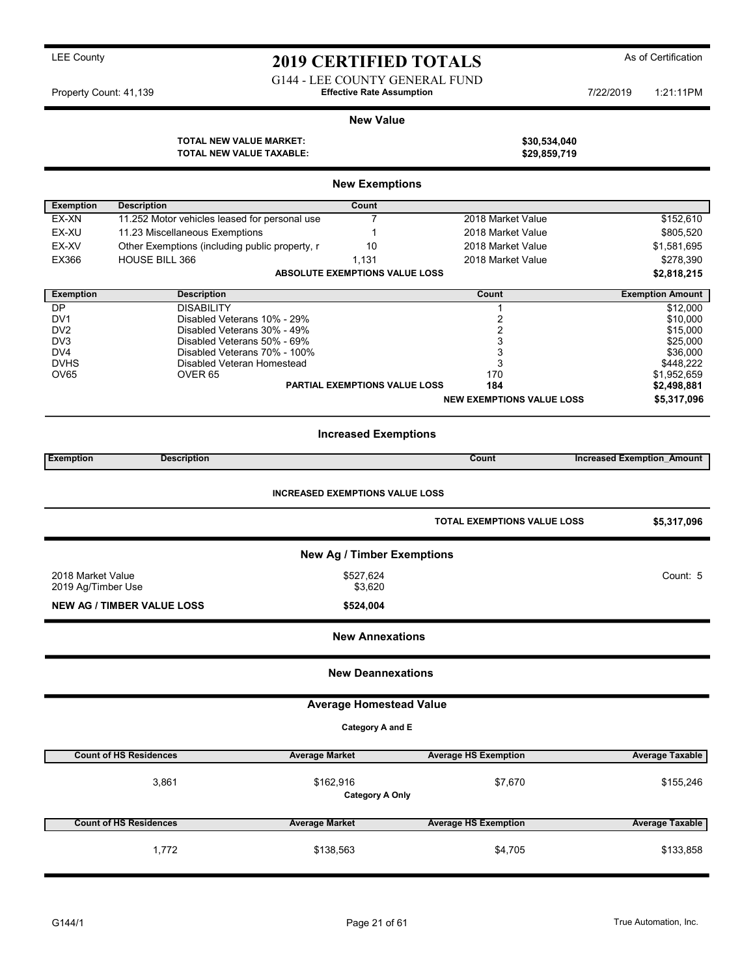G144 - LEE COUNTY GENERAL FUND

Property Count: 41,139 **7/22/2019** Terrorist Assumption Effective Rate Assumption

### New Value

TOTAL NEW VALUE TAXABLE:

|                        |                                                             | <b>New Exemptions</b>                  |                                    |                                   |
|------------------------|-------------------------------------------------------------|----------------------------------------|------------------------------------|-----------------------------------|
| <b>Exemption</b>       | <b>Description</b>                                          | Count                                  |                                    |                                   |
| EX-XN                  | 11.252 Motor vehicles leased for personal use               | $\overline{7}$                         | 2018 Market Value                  | \$152,610                         |
| EX-XU                  | 11.23 Miscellaneous Exemptions                              | 1                                      | 2018 Market Value                  | \$805,520                         |
| EX-XV                  | Other Exemptions (including public property, r              | 10                                     | 2018 Market Value                  | \$1,581,695                       |
| EX366                  | <b>HOUSE BILL 366</b>                                       | 1,131                                  | 2018 Market Value                  | \$278,390                         |
|                        |                                                             | <b>ABSOLUTE EXEMPTIONS VALUE LOSS</b>  |                                    | \$2,818,215                       |
| <b>Exemption</b>       | <b>Description</b>                                          |                                        | Count                              | <b>Exemption Amount</b>           |
| DP                     | <b>DISABILITY</b>                                           |                                        | $\mathbf{1}$                       | \$12,000                          |
| DV1                    | Disabled Veterans 10% - 29%                                 |                                        | 2                                  | \$10,000                          |
| DV <sub>2</sub>        | Disabled Veterans 30% - 49%                                 |                                        | 2                                  | \$15,000                          |
| DV <sub>3</sub><br>DV4 | Disabled Veterans 50% - 69%<br>Disabled Veterans 70% - 100% |                                        | 3<br>3                             | \$25,000<br>\$36,000              |
| <b>DVHS</b>            | Disabled Veteran Homestead                                  |                                        | 3                                  | \$448,222                         |
| OV65                   | OVER <sub>65</sub>                                          |                                        | 170                                | \$1,952,659                       |
|                        |                                                             | <b>PARTIAL EXEMPTIONS VALUE LOSS</b>   | 184                                | \$2,498,881                       |
|                        |                                                             |                                        | <b>NEW EXEMPTIONS VALUE LOSS</b>   | \$5,317,096                       |
|                        |                                                             |                                        |                                    |                                   |
|                        |                                                             | <b>Increased Exemptions</b>            |                                    |                                   |
| <b>Exemption</b>       | <b>Description</b>                                          |                                        | Count                              | <b>Increased Exemption Amount</b> |
|                        |                                                             | <b>INCREASED EXEMPTIONS VALUE LOSS</b> | <b>TOTAL EXEMPTIONS VALUE LOSS</b> | \$5,317,096                       |
|                        |                                                             |                                        |                                    |                                   |
|                        |                                                             | <b>New Ag / Timber Exemptions</b>      |                                    |                                   |
| 2018 Market Value      |                                                             | \$527,624                              |                                    | Count: 5                          |
| 2019 Ag/Timber Use     |                                                             | \$3,620                                |                                    |                                   |
|                        | <b>NEW AG / TIMBER VALUE LOSS</b>                           | \$524,004                              |                                    |                                   |
|                        |                                                             | <b>New Annexations</b>                 |                                    |                                   |
|                        |                                                             | <b>New Deannexations</b>               |                                    |                                   |
|                        |                                                             | <b>Average Homestead Value</b>         |                                    |                                   |
|                        |                                                             | Category A and E                       |                                    |                                   |
|                        | <b>Count of HS Residences</b>                               | <b>Average Market</b>                  | <b>Average HS Exemption</b>        | <b>Average Taxable</b>            |
|                        | 3,861                                                       | \$162,916<br><b>Category A Only</b>    | \$7,670                            | \$155,246                         |
|                        | <b>Count of HS Residences</b>                               | <b>Average Market</b>                  | <b>Average HS Exemption</b>        | <b>Average Taxable</b>            |
|                        | 1,772                                                       | \$138,563                              | \$4,705                            | \$133,858                         |

TOTAL NEW VALUE MARKET: \$30,534,040<br>TOTAL NEW VALUE TAXABLE: \$29,859,719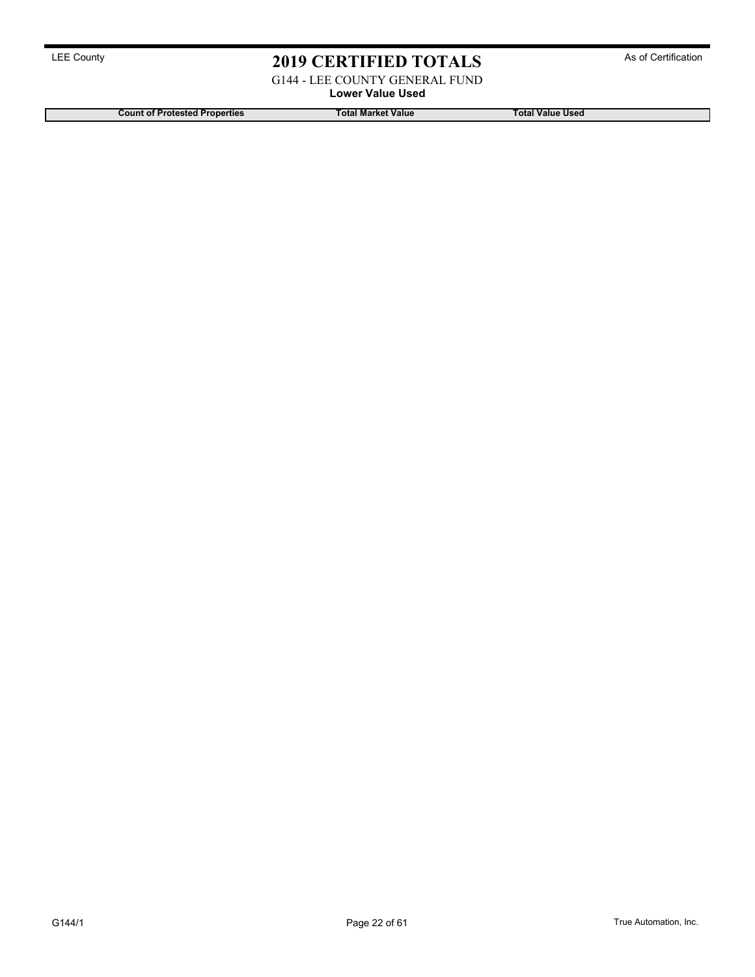G144 - LEE COUNTY GENERAL FUND

Lower Value Used

Count of Protested Properties Total Market Value Total Market Value Total Value Used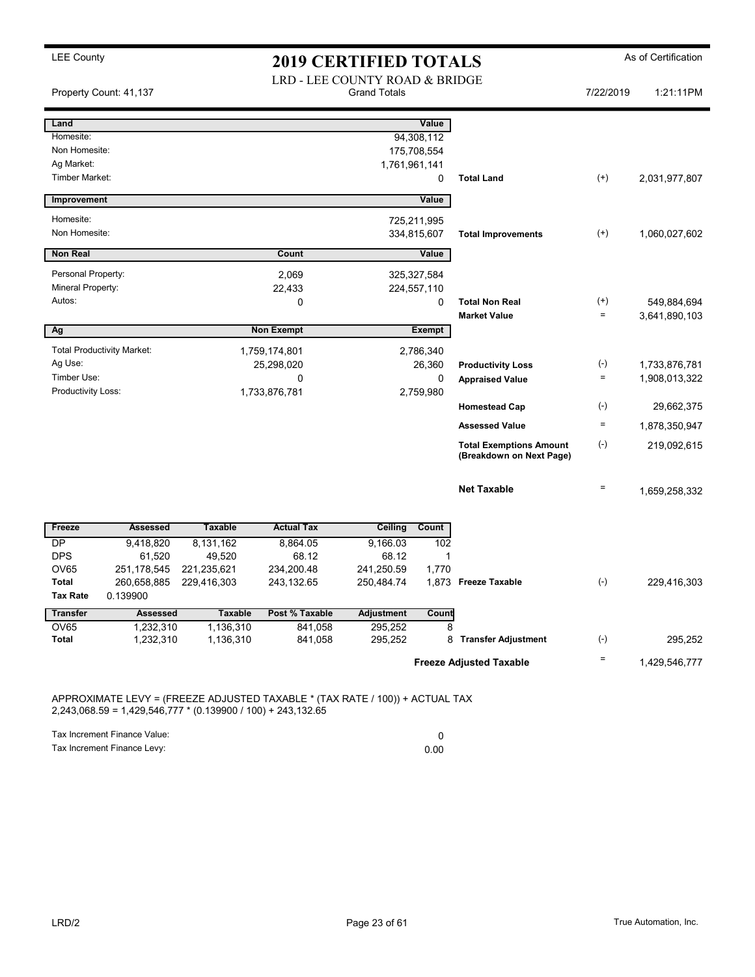## LEE County **2019 CERTIFIED TOTALS** As of Certification

|                                                   | Property Count: 41,137            |                       | LRD - LEE COUNTY ROAD & BRIDGE                                               | <b>Grand Totals</b> |                                           |                                                            | 7/22/2019 | 1:21:11PM                    |
|---------------------------------------------------|-----------------------------------|-----------------------|------------------------------------------------------------------------------|---------------------|-------------------------------------------|------------------------------------------------------------|-----------|------------------------------|
| Land<br>Homesite:<br>Non Homesite:                |                                   |                       |                                                                              |                     | <b>Value</b><br>94,308,112<br>175,708,554 |                                                            |           |                              |
| Ag Market:<br>Timber Market:                      |                                   |                       |                                                                              | 1,761,961,141       | 0                                         | <b>Total Land</b>                                          | $(+)$     | 2,031,977,807                |
| Improvement                                       |                                   |                       |                                                                              |                     | Value                                     |                                                            |           |                              |
| Homesite:<br>Non Homesite:                        |                                   |                       |                                                                              |                     | 725,211,995<br>334,815,607                | <b>Total Improvements</b>                                  | $^{(+)}$  | 1,060,027,602                |
| <b>Non Real</b>                                   |                                   |                       | Count                                                                        |                     | Value                                     |                                                            |           |                              |
| Personal Property:<br>Mineral Property:<br>Autos: |                                   |                       | 2,069<br>22,433<br>$\Omega$                                                  |                     | 325,327,584<br>224,557,110<br>0           | <b>Total Non Real</b>                                      | $^{(+)}$  |                              |
|                                                   |                                   |                       |                                                                              |                     |                                           | <b>Market Value</b>                                        | $\equiv$  | 549,884,694<br>3,641,890,103 |
| Ag                                                |                                   |                       | <b>Non Exempt</b>                                                            |                     | <b>Exempt</b>                             |                                                            |           |                              |
|                                                   | <b>Total Productivity Market:</b> |                       | 1,759,174,801                                                                |                     | 2,786,340                                 |                                                            |           |                              |
| Ag Use:                                           |                                   |                       | 25,298,020                                                                   |                     | 26,360                                    | <b>Productivity Loss</b>                                   | $(-)$     | 1,733,876,781                |
| Timber Use:                                       |                                   |                       | 0                                                                            |                     | $\mathbf 0$                               | <b>Appraised Value</b>                                     | $\equiv$  | 1,908,013,322                |
| Productivity Loss:                                |                                   |                       | 1,733,876,781                                                                |                     | 2,759,980                                 |                                                            |           |                              |
|                                                   |                                   |                       |                                                                              |                     |                                           | <b>Homestead Cap</b>                                       | $(-)$     | 29,662,375                   |
|                                                   |                                   |                       |                                                                              |                     |                                           | <b>Assessed Value</b>                                      | $\equiv$  | 1,878,350,947                |
|                                                   |                                   |                       |                                                                              |                     |                                           | <b>Total Exemptions Amount</b><br>(Breakdown on Next Page) | $(-)$     | 219,092,615                  |
|                                                   |                                   |                       |                                                                              |                     |                                           | <b>Net Taxable</b>                                         | $\equiv$  | 1,659,258,332                |
| Freeze                                            | <b>Assessed</b>                   | <b>Taxable</b>        | <b>Actual Tax</b>                                                            | <b>Ceiling</b>      | Count                                     |                                                            |           |                              |
| $\overline{\mathsf{DP}}$                          | 9,418,820                         | 8,131,162             | 8,864.05                                                                     | 9,166.03            | 102                                       |                                                            |           |                              |
| <b>DPS</b><br><b>OV65</b>                         | 61,520<br>251,178,545             | 49,520<br>221,235,621 | 68.12<br>234,200.48                                                          | 68.12<br>241,250.59 | 1<br>1,770                                |                                                            |           |                              |
| <b>Total</b>                                      | 260,658,885                       | 229,416,303           | 243,132.65                                                                   | 250,484.74          |                                           | 1,873 Freeze Taxable                                       | $(-)$     | 229,416,303                  |
| <b>Tax Rate</b>                                   | 0.139900                          |                       |                                                                              |                     |                                           |                                                            |           |                              |
| <b>Transfer</b>                                   | <b>Assessed</b>                   | <b>Taxable</b>        | Post % Taxable                                                               | <b>Adjustment</b>   | Count                                     |                                                            |           |                              |
| OV65                                              | 1,232,310                         | 1,136,310             | 841,058                                                                      | 295,252             | 8                                         |                                                            |           |                              |
| <b>Total</b>                                      | 1,232,310                         | 1,136,310             | 841,058                                                                      | 295,252             | 8                                         | <b>Transfer Adjustment</b>                                 | $(-)$     | 295,252                      |
|                                                   |                                   |                       |                                                                              |                     |                                           | <b>Freeze Adjusted Taxable</b>                             | $\equiv$  | 1,429,546,777                |
|                                                   |                                   |                       | APPROXIMATE LEVY = (FREEZE ADJUSTED TAXABLE * (TAX RATE / 100)) + ACTUAL TAX |                     |                                           |                                                            |           |                              |

2,243,068.59 = 1,429,546,777 \* (0.139900 / 100) + 243,132.65

Tax Increment Finance Value: 0 Tax Increment Finance Levy: 0.00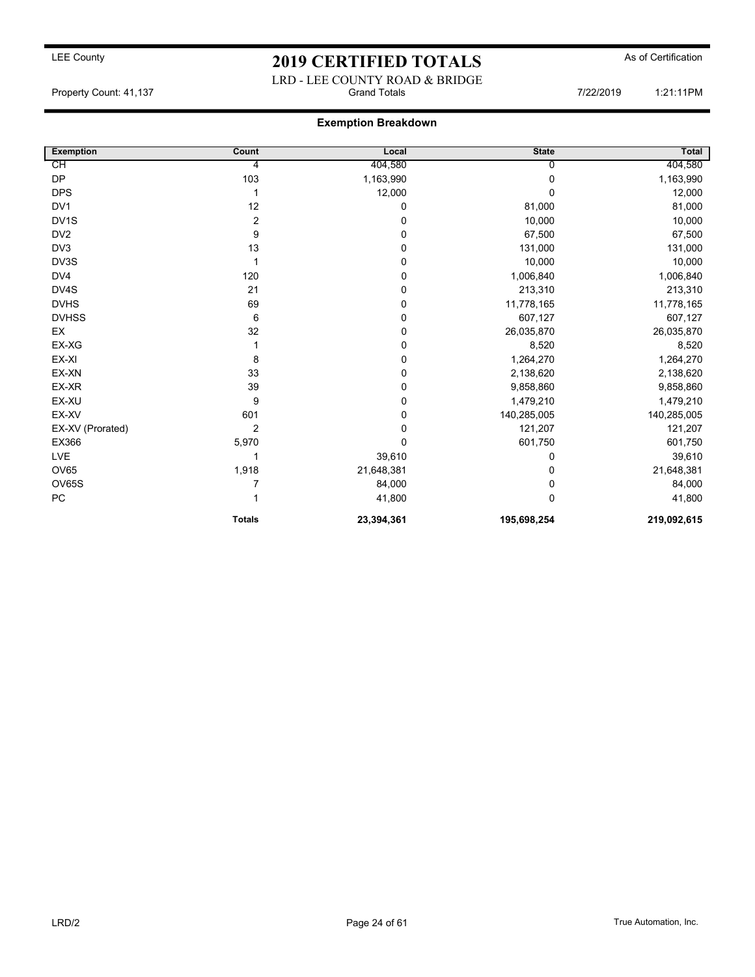## LEE County As of Certification **2019 CERTIFIED TOTALS** As of Certification LRD - LEE COUNTY ROAD & BRIDGE

Property Count: 41,137 **Property Count: 41,137** Crand Totals **7/22/2019** 1:21:11PM

### Exemption Breakdown

| <b>Exemption</b>  | Count           | Local      | <b>State</b> | <b>Total</b> |
|-------------------|-----------------|------------|--------------|--------------|
| СH                | $\overline{4}$  | 404,580    | U            | 404,580      |
| <b>DP</b>         | 103             | 1,163,990  | 0            | 1,163,990    |
| <b>DPS</b>        |                 | 12,000     | $\Omega$     | 12,000       |
| DV1               | 12              | 0          | 81,000       | 81,000       |
| DV <sub>1</sub> S | $\overline{2}$  | 0          | 10,000       | 10,000       |
| DV <sub>2</sub>   | 9               | 0          | 67,500       | 67,500       |
| DV <sub>3</sub>   | 13              | 0          | 131,000      | 131,000      |
| DV3S              |                 | 0          | 10,000       | 10,000       |
| DV4               | 120             | 0          | 1,006,840    | 1,006,840    |
| DV4S              | 21              | 0          | 213,310      | 213,310      |
| <b>DVHS</b>       | 69              | 0          | 11,778,165   | 11,778,165   |
| <b>DVHSS</b>      | $6\phantom{1}6$ | 0          | 607,127      | 607,127      |
| EX                | 32              | 0          | 26,035,870   | 26,035,870   |
| EX-XG             |                 | 0          | 8,520        | 8,520        |
| EX-XI             | 8               | 0          | 1,264,270    | 1,264,270    |
| EX-XN             | 33              | 0          | 2,138,620    | 2,138,620    |
| EX-XR             | 39              | 0          | 9,858,860    | 9,858,860    |
| EX-XU             | 9               | 0          | 1,479,210    | 1,479,210    |
| EX-XV             | 601             | 0          | 140,285,005  | 140,285,005  |
| EX-XV (Prorated)  | $\overline{2}$  | 0          | 121,207      | 121,207      |
| EX366             | 5,970           | 0          | 601,750      | 601,750      |
| LVE               |                 | 39,610     | 0            | 39,610       |
| <b>OV65</b>       | 1,918           | 21,648,381 | 0            | 21,648,381   |
| OV65S             | 7               | 84,000     | 0            | 84,000       |
| ${\sf PC}$        |                 | 41,800     | $\Omega$     | 41,800       |
|                   | <b>Totals</b>   | 23,394,361 | 195,698,254  | 219,092,615  |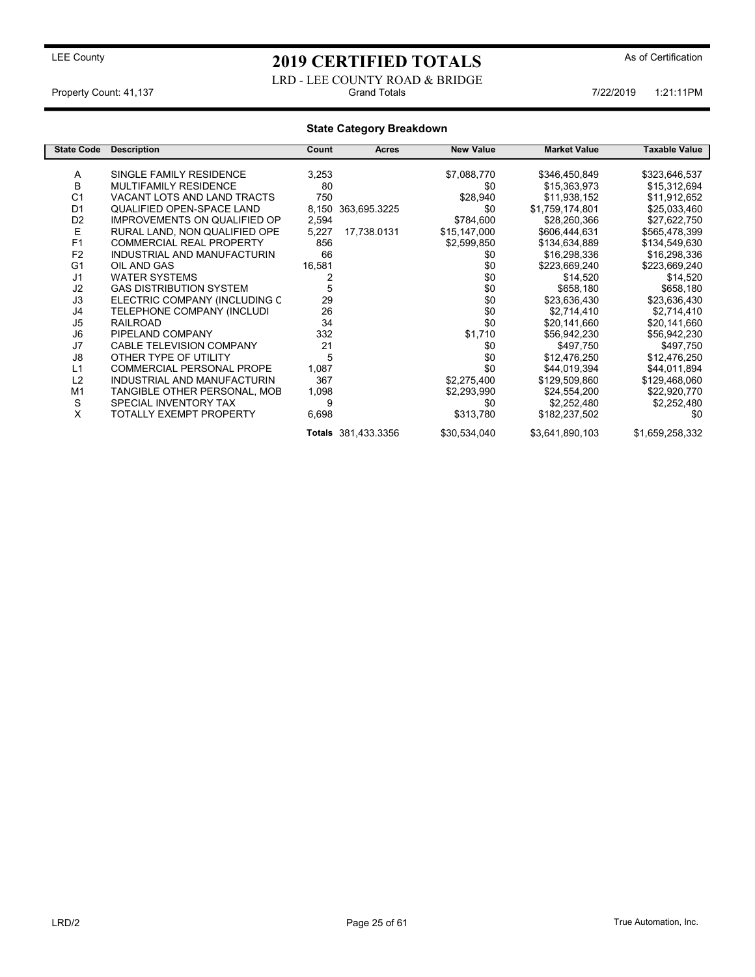LRD - LEE COUNTY ROAD & BRIDGE<br>Grand Totals Property Count: 41,137 **7/22/2019** 1:21:11PM

### State Category Breakdown

| <b>State Code</b> | <b>Description</b>                  | Count  | <b>Acres</b>        | <b>New Value</b> | <b>Market Value</b> | Taxable Value   |
|-------------------|-------------------------------------|--------|---------------------|------------------|---------------------|-----------------|
|                   |                                     |        |                     |                  |                     |                 |
| A                 | SINGLE FAMILY RESIDENCE             | 3,253  |                     | \$7,088,770      | \$346,450,849       | \$323,646,537   |
| B                 | <b>MULTIFAMILY RESIDENCE</b>        | 80     |                     | \$0              | \$15,363,973        | \$15,312,694    |
| C <sub>1</sub>    | VACANT LOTS AND LAND TRACTS         | 750    |                     | \$28,940         | \$11,938,152        | \$11,912,652    |
| D <sub>1</sub>    | QUALIFIED OPEN-SPACE LAND           | 8,150  | 363,695.3225        | \$0              | \$1,759,174,801     | \$25,033,460    |
| D <sub>2</sub>    | <b>IMPROVEMENTS ON QUALIFIED OP</b> | 2,594  |                     | \$784,600        | \$28,260,366        | \$27,622,750    |
| E                 | RURAL LAND, NON QUALIFIED OPE       | 5,227  | 17,738.0131         | \$15,147,000     | \$606,444,631       | \$565,478,399   |
| F <sub>1</sub>    | <b>COMMERCIAL REAL PROPERTY</b>     | 856    |                     | \$2,599,850      | \$134,634,889       | \$134,549,630   |
| F <sub>2</sub>    | INDUSTRIAL AND MANUFACTURIN         | 66     |                     | \$0              | \$16,298,336        | \$16,298,336    |
| G <sub>1</sub>    | OIL AND GAS                         | 16,581 |                     | \$0              | \$223,669,240       | \$223,669,240   |
| J <sub>1</sub>    | <b>WATER SYSTEMS</b>                |        |                     | \$0              | \$14,520            | \$14,520        |
| J <sub>2</sub>    | <b>GAS DISTRIBUTION SYSTEM</b>      | 5      |                     | \$0              | \$658,180           | \$658,180       |
| J3                | ELECTRIC COMPANY (INCLUDING C       | 29     |                     | \$0              | \$23,636,430        | \$23,636,430    |
| J <sub>4</sub>    | TELEPHONE COMPANY (INCLUDI          | 26     |                     | \$0              | \$2,714,410         | \$2,714,410     |
| J <sub>5</sub>    | <b>RAILROAD</b>                     | 34     |                     | \$0              | \$20,141,660        | \$20,141,660    |
| J6                | PIPELAND COMPANY                    | 332    |                     | \$1,710          | \$56,942,230        | \$56,942,230    |
| J7                | CABLE TELEVISION COMPANY            | 21     |                     | \$0              | \$497,750           | \$497,750       |
| J8                | OTHER TYPE OF UTILITY               | 5      |                     | \$0              | \$12,476,250        | \$12,476,250    |
| L1                | <b>COMMERCIAL PERSONAL PROPE</b>    | 1,087  |                     | \$0              | \$44,019,394        | \$44,011,894    |
| L2                | INDUSTRIAL AND MANUFACTURIN         | 367    |                     | \$2,275,400      | \$129,509,860       | \$129,468,060   |
| M <sub>1</sub>    | TANGIBLE OTHER PERSONAL, MOB        | 1,098  |                     | \$2,293,990      | \$24,554,200        | \$22,920,770    |
| S                 | SPECIAL INVENTORY TAX               | 9      |                     | \$0              | \$2,252,480         | \$2,252,480     |
| X                 | TOTALLY EXEMPT PROPERTY             | 6,698  |                     | \$313,780        | \$182,237,502       | \$0             |
|                   |                                     |        | Totals 381,433.3356 | \$30,534,040     | \$3,641,890,103     | \$1,659,258,332 |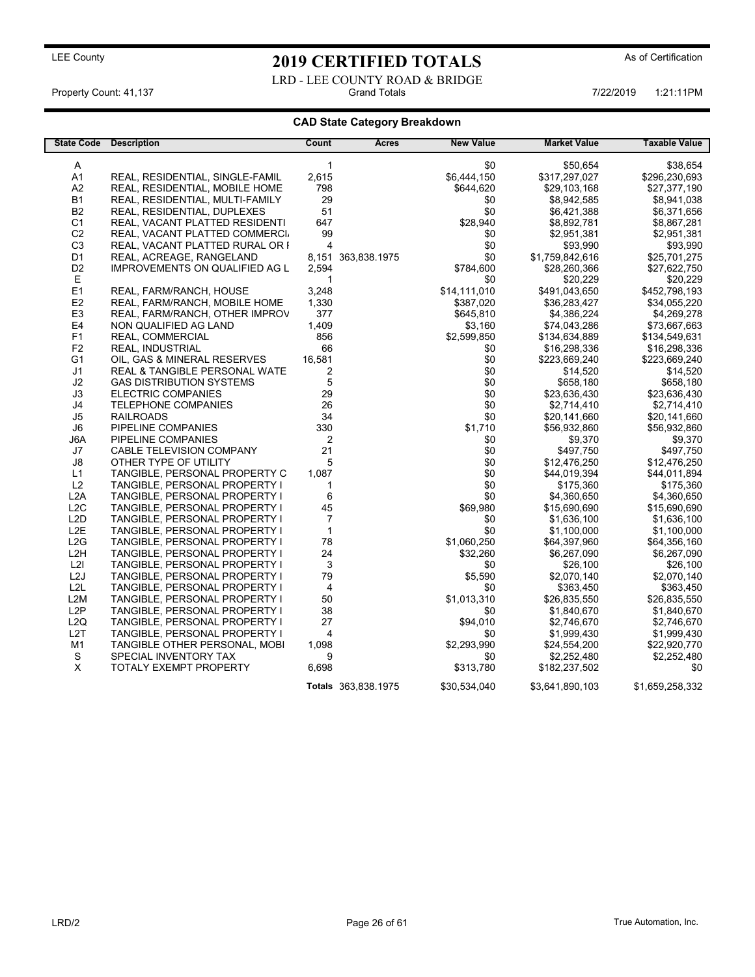LRD - LEE COUNTY ROAD & BRIDGE<br>Grand Totals Property Count: 41,137 **Property Count: 41,137** Crand Totals 1:21:11PM 6-122/2019 1:21:11PM

### CAD State Category Breakdown

| <b>State Code</b>                | <b>Description</b>                             | Count        | Acres               | <b>New Value</b> | <b>Market Value</b>          | <b>Taxable Value</b>         |
|----------------------------------|------------------------------------------------|--------------|---------------------|------------------|------------------------------|------------------------------|
|                                  |                                                |              |                     |                  |                              |                              |
| A                                |                                                | 1            |                     | \$0              | \$50,654                     | \$38,654                     |
| A1                               | REAL, RESIDENTIAL, SINGLE-FAMIL                | 2,615        |                     | \$6,444,150      | \$317,297,027                | \$296,230,693                |
| A2                               | REAL, RESIDENTIAL, MOBILE HOME                 | 798          |                     | \$644,620        | \$29,103,168                 | \$27,377,190                 |
| <b>B1</b>                        | REAL, RESIDENTIAL, MULTI-FAMILY                | 29<br>51     |                     | \$0<br>\$0       | \$8,942,585                  | \$8,941,038                  |
| <b>B2</b>                        | REAL, RESIDENTIAL, DUPLEXES                    |              |                     |                  | \$6,421,388                  | \$6,371,656                  |
| C <sub>1</sub>                   | REAL, VACANT PLATTED RESIDENTI                 | 647          |                     | \$28,940         | \$8,892,781                  | \$8,867,281                  |
| C <sub>2</sub>                   | REAL, VACANT PLATTED COMMERCI.                 | 99<br>4      |                     | \$0              | \$2,951,381                  | \$2,951,381                  |
| C <sub>3</sub>                   | REAL, VACANT PLATTED RURAL OR I                | 8,151        |                     | \$0<br>\$0       | \$93,990                     | \$93,990                     |
| D <sub>1</sub>                   | REAL, ACREAGE, RANGELAND                       |              | 363,838.1975        |                  | \$1,759,842,616              | \$25,701,275                 |
| D <sub>2</sub><br>E              | IMPROVEMENTS ON QUALIFIED AG L                 | 2,594<br>1   |                     | \$784,600<br>\$0 | \$28,260,366                 | \$27,622,750                 |
| E1                               | REAL, FARM/RANCH, HOUSE                        | 3,248        |                     | \$14,111,010     | \$20,229<br>\$491,043,650    | \$20,229<br>\$452,798,193    |
|                                  |                                                |              |                     |                  |                              |                              |
| E <sub>2</sub>                   | REAL, FARM/RANCH, MOBILE HOME                  | 1,330        |                     | \$387,020        | \$36,283,427                 | \$34,055,220                 |
| E <sub>3</sub>                   | REAL, FARM/RANCH, OTHER IMPROV                 | 377          |                     | \$645,810        | \$4,386,224                  | \$4,269,278                  |
| E4<br>F <sub>1</sub>             | NON QUALIFIED AG LAND                          | 1,409        |                     | \$3,160          | \$74,043,286                 | \$73,667,663                 |
|                                  | REAL, COMMERCIAL                               | 856          |                     | \$2,599,850      | \$134,634,889                | \$134,549,631                |
| F <sub>2</sub><br>G <sub>1</sub> | <b>REAL, INDUSTRIAL</b>                        | 66<br>16,581 |                     | \$0<br>\$0       | \$16,298,336                 | \$16,298,336                 |
| J <sub>1</sub>                   | OIL, GAS & MINERAL RESERVES                    | 2            |                     | \$0              | \$223,669,240                | \$223,669,240                |
|                                  | <b>REAL &amp; TANGIBLE PERSONAL WATE</b>       |              |                     |                  | \$14,520                     | \$14,520                     |
| J2<br>JЗ                         | <b>GAS DISTRIBUTION SYSTEMS</b>                | 5<br>29      |                     | \$0<br>\$0       | \$658,180                    | \$658,180                    |
| J4                               | <b>ELECTRIC COMPANIES</b>                      | 26           |                     | \$0              | \$23,636,430                 | \$23,636,430                 |
| J5                               | <b>TELEPHONE COMPANIES</b><br><b>RAILROADS</b> | 34           |                     | \$0              | \$2,714,410                  | \$2,714,410                  |
| J6                               | PIPELINE COMPANIES                             | 330          |                     | \$1,710          | \$20,141,660<br>\$56,932,860 | \$20,141,660<br>\$56,932,860 |
| J6A                              | PIPELINE COMPANIES                             | 2            |                     | \$0              | \$9,370                      | \$9,370                      |
| J7                               | CABLE TELEVISION COMPANY                       | 21           |                     | \$0              | \$497,750                    | \$497,750                    |
| $\mathsf{J}8$                    | OTHER TYPE OF UTILITY                          | 5            |                     | \$0              | \$12,476,250                 | \$12,476,250                 |
| L1                               | TANGIBLE, PERSONAL PROPERTY C                  | 1,087        |                     | \$0              | \$44,019,394                 | \$44,011,894                 |
| L2                               | TANGIBLE, PERSONAL PROPERTY I                  | 1            |                     | \$0              | \$175,360                    | \$175,360                    |
| L <sub>2</sub> A                 | TANGIBLE, PERSONAL PROPERTY I                  | 6            |                     | \$0              | \$4,360,650                  | \$4,360,650                  |
| L <sub>2</sub> C                 | TANGIBLE, PERSONAL PROPERTY I                  | 45           |                     | \$69,980         | \$15,690,690                 | \$15,690,690                 |
| L <sub>2</sub> D                 | TANGIBLE, PERSONAL PROPERTY I                  | 7            |                     | \$0              | \$1,636,100                  | \$1,636,100                  |
| L <sub>2</sub> E                 | TANGIBLE, PERSONAL PROPERTY I                  | $\mathbf{1}$ |                     | \$0              | \$1,100,000                  | \$1,100,000                  |
| L <sub>2</sub> G                 | TANGIBLE, PERSONAL PROPERTY I                  | 78           |                     | \$1,060,250      | \$64,397,960                 | \$64,356,160                 |
| L <sub>2</sub> H                 | TANGIBLE, PERSONAL PROPERTY I                  | 24           |                     | \$32,260         | \$6,267,090                  | \$6,267,090                  |
| L2I                              | TANGIBLE, PERSONAL PROPERTY I                  | 3            |                     | \$0              | \$26,100                     | \$26,100                     |
| L2J                              | TANGIBLE, PERSONAL PROPERTY I                  | 79           |                     | \$5,590          | \$2,070,140                  | \$2,070,140                  |
| L <sub>2</sub> L                 | TANGIBLE, PERSONAL PROPERTY I                  | 4            |                     | \$0              | \$363,450                    | \$363,450                    |
| L <sub>2</sub> M                 | TANGIBLE, PERSONAL PROPERTY I                  | 50           |                     | \$1,013,310      | \$26,835,550                 | \$26,835,550                 |
| L2P                              | TANGIBLE, PERSONAL PROPERTY I                  | 38           |                     | \$0              | \$1,840,670                  | \$1,840,670                  |
| L <sub>2</sub> Q                 | TANGIBLE, PERSONAL PROPERTY I                  | 27           |                     | \$94,010         | \$2,746,670                  | \$2,746,670                  |
| L <sub>2</sub> T                 | TANGIBLE, PERSONAL PROPERTY I                  | 4            |                     | \$0              | \$1,999,430                  | \$1,999,430                  |
| M1                               | TANGIBLE OTHER PERSONAL, MOBI                  | 1,098        |                     | \$2,293,990      | \$24,554,200                 | \$22,920,770                 |
| S                                | SPECIAL INVENTORY TAX                          | 9            |                     | \$0              | \$2,252,480                  | \$2,252,480                  |
| X                                | <b>TOTALY EXEMPT PROPERTY</b>                  | 6,698        |                     | \$313,780        | \$182,237,502                | \$0                          |
|                                  |                                                |              |                     |                  |                              |                              |
|                                  |                                                |              | Totals 363,838.1975 | \$30,534,040     | \$3,641,890,103              | \$1,659,258,332              |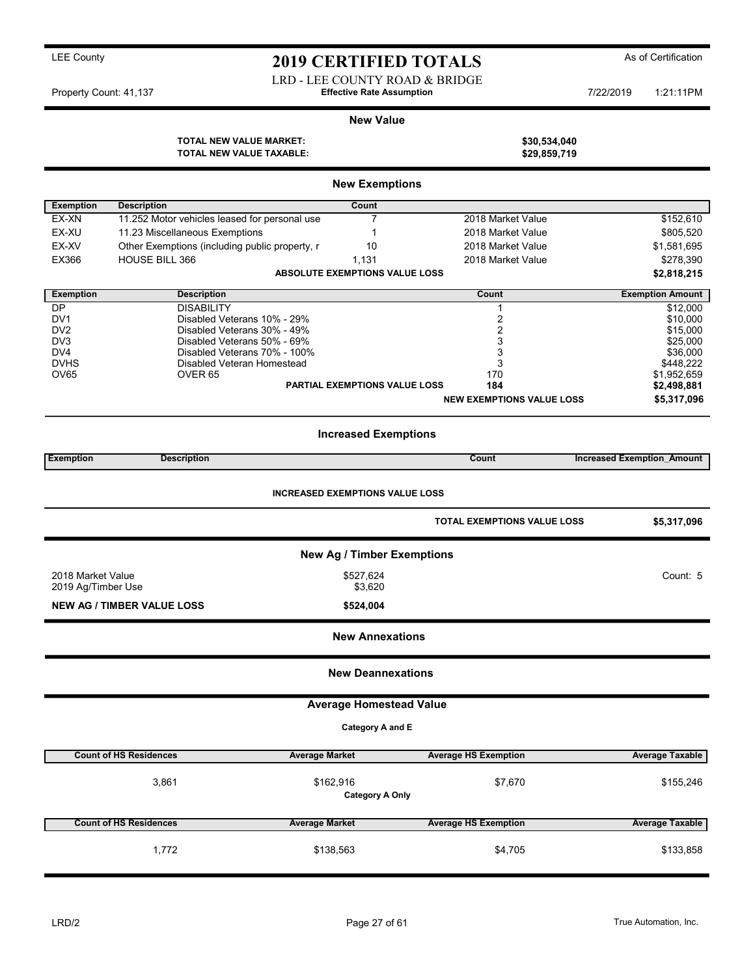LRD - LEE COUNTY ROAD & BRIDGE Property Count: 41,137 **7/22/2019 Effective Rate Assumption** 7/22/2019 1:21:11PM

### New Value

TOTAL NEW VALUE MARKET: \$30,534,040<br>TOTAL NEW VALUE TAXABLE: \$29,859,719 TOTAL NEW VALUE TAXABLE:

|                    |                                                | <b>New Exemptions</b>                 |                                    |                                   |  |  |  |  |
|--------------------|------------------------------------------------|---------------------------------------|------------------------------------|-----------------------------------|--|--|--|--|
| <b>Exemption</b>   | <b>Description</b>                             | Count                                 |                                    |                                   |  |  |  |  |
| EX-XN              | 11.252 Motor vehicles leased for personal use  | $\overline{7}$                        | 2018 Market Value                  | \$152,610                         |  |  |  |  |
| EX-XU              | 11.23 Miscellaneous Exemptions                 | 1                                     | 2018 Market Value                  | \$805,520                         |  |  |  |  |
| EX-XV              | Other Exemptions (including public property, r | 10                                    | 2018 Market Value                  | \$1,581,695                       |  |  |  |  |
| <b>EX366</b>       | <b>HOUSE BILL 366</b>                          | 1,131                                 | 2018 Market Value                  | \$278,390                         |  |  |  |  |
|                    |                                                | <b>ABSOLUTE EXEMPTIONS VALUE LOSS</b> |                                    |                                   |  |  |  |  |
|                    |                                                |                                       |                                    | \$2,818,215                       |  |  |  |  |
| <b>Exemption</b>   | <b>Description</b>                             |                                       | Count                              | <b>Exemption Amount</b>           |  |  |  |  |
| DP                 | <b>DISABILITY</b>                              |                                       | 1                                  | \$12,000                          |  |  |  |  |
| DV <sub>1</sub>    | Disabled Veterans 10% - 29%                    |                                       | 2                                  | \$10,000                          |  |  |  |  |
| DV <sub>2</sub>    | Disabled Veterans 30% - 49%                    |                                       | $\overline{2}$                     | \$15,000                          |  |  |  |  |
| DV3                | Disabled Veterans 50% - 69%                    |                                       | 3                                  | \$25,000                          |  |  |  |  |
| DV4                | Disabled Veterans 70% - 100%                   |                                       | 3                                  | \$36,000                          |  |  |  |  |
| <b>DVHS</b>        | Disabled Veteran Homestead                     |                                       | 3                                  | \$448,222                         |  |  |  |  |
| OV65               | OVER <sub>65</sub>                             | <b>PARTIAL EXEMPTIONS VALUE LOSS</b>  | 170<br>184                         | \$1,952,659                       |  |  |  |  |
|                    |                                                |                                       |                                    | \$2,498,881                       |  |  |  |  |
|                    |                                                |                                       | <b>NEW EXEMPTIONS VALUE LOSS</b>   | \$5,317,096                       |  |  |  |  |
|                    | <b>Increased Exemptions</b>                    |                                       |                                    |                                   |  |  |  |  |
| Exemption          | <b>Description</b>                             |                                       | Count                              | <b>Increased Exemption Amount</b> |  |  |  |  |
|                    |                                                |                                       |                                    |                                   |  |  |  |  |
|                    | <b>INCREASED EXEMPTIONS VALUE LOSS</b>         |                                       |                                    |                                   |  |  |  |  |
|                    |                                                |                                       | <b>TOTAL EXEMPTIONS VALUE LOSS</b> | \$5,317,096                       |  |  |  |  |
|                    |                                                | <b>New Ag / Timber Exemptions</b>     |                                    |                                   |  |  |  |  |
| 2018 Market Value  |                                                | \$527,624                             |                                    | Count: 5                          |  |  |  |  |
| 2019 Ag/Timber Use |                                                | \$3,620                               |                                    |                                   |  |  |  |  |
|                    | <b>NEW AG / TIMBER VALUE LOSS</b>              | \$524,004                             |                                    |                                   |  |  |  |  |
|                    |                                                |                                       |                                    |                                   |  |  |  |  |
|                    |                                                | <b>New Annexations</b>                |                                    |                                   |  |  |  |  |
|                    |                                                | <b>New Deannexations</b>              |                                    |                                   |  |  |  |  |
|                    |                                                | <b>Average Homestead Value</b>        |                                    |                                   |  |  |  |  |
|                    |                                                |                                       |                                    |                                   |  |  |  |  |
|                    |                                                | <b>Category A and E</b>               |                                    |                                   |  |  |  |  |
|                    | <b>Count of HS Residences</b>                  | <b>Average Market</b>                 | <b>Average HS Exemption</b>        | <b>Average Taxable</b>            |  |  |  |  |
|                    | 3,861                                          | \$162,916<br><b>Category A Only</b>   | \$7,670                            | \$155,246                         |  |  |  |  |
|                    | <b>Count of HS Residences</b>                  | <b>Average Market</b>                 | <b>Average HS Exemption</b>        | <b>Average Taxable</b>            |  |  |  |  |
|                    | 1,772                                          | \$138,563                             | \$4,705                            | \$133,858                         |  |  |  |  |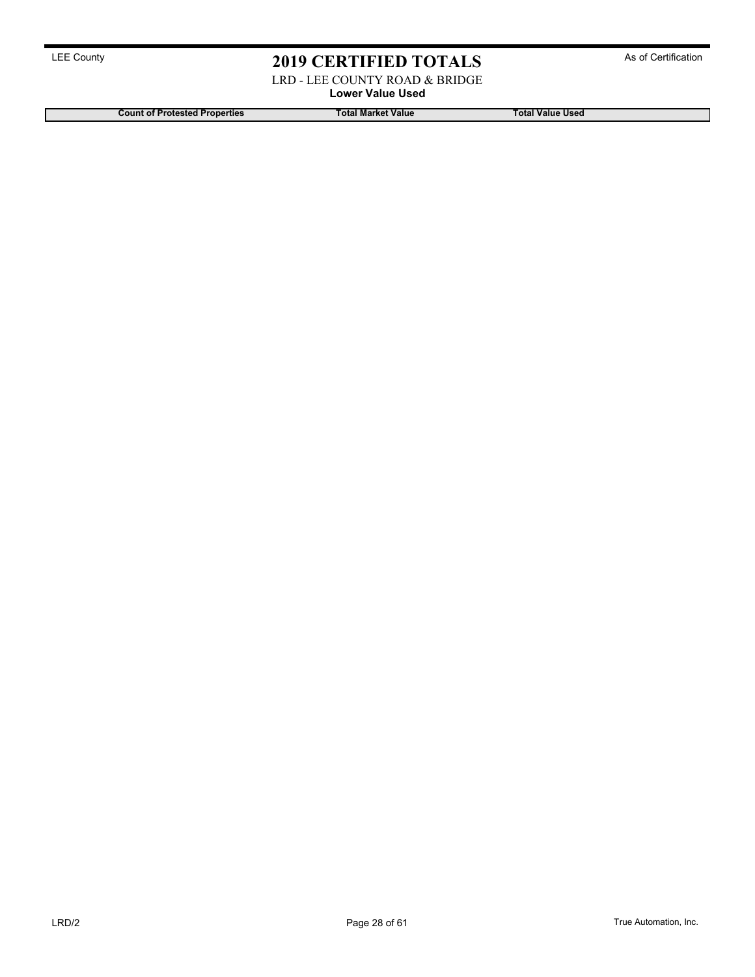LRD - LEE COUNTY ROAD & BRIDGE

Lower Value Used

Count of Protested Properties Total Market Value Total Market Value Total Value Used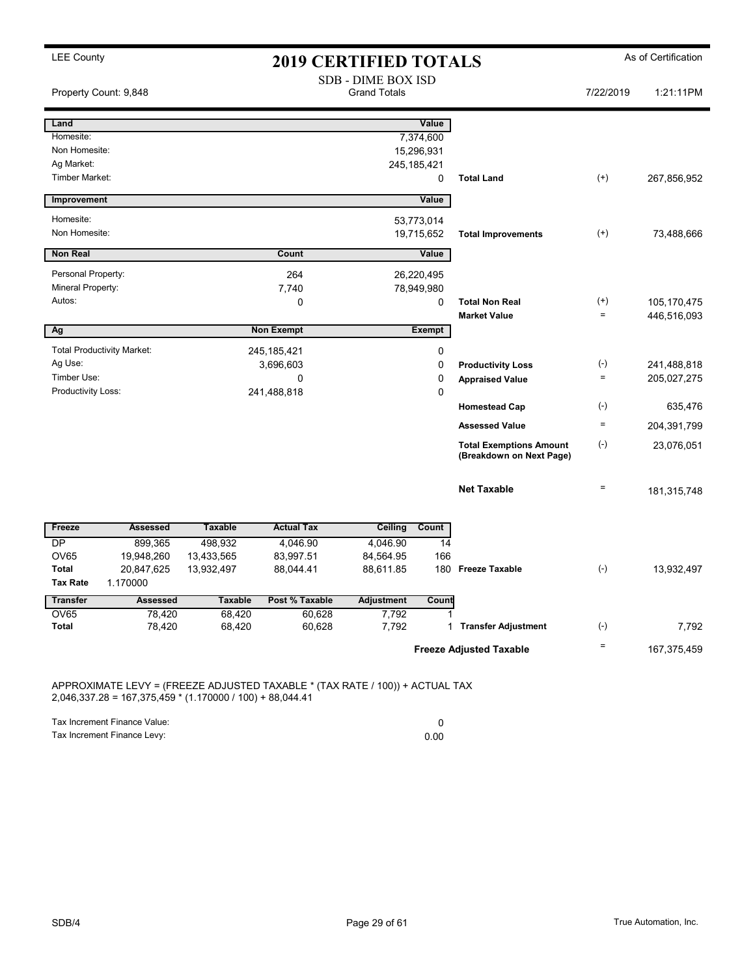| <b>LEE County</b>           |                                   |                | <b>2019 CERTIFIED TOTALS</b> |                                                  |               |                                                            |                   | As of Certification |
|-----------------------------|-----------------------------------|----------------|------------------------------|--------------------------------------------------|---------------|------------------------------------------------------------|-------------------|---------------------|
|                             | Property Count: 9,848             |                |                              | <b>SDB - DIME BOX ISD</b><br><b>Grand Totals</b> |               |                                                            | 7/22/2019         | 1:21:11PM           |
| Land                        |                                   |                |                              |                                                  | Value         |                                                            |                   |                     |
| Homesite:                   |                                   |                |                              |                                                  | 7,374,600     |                                                            |                   |                     |
| Non Homesite:               |                                   |                |                              |                                                  | 15,296,931    |                                                            |                   |                     |
| Ag Market:                  |                                   |                |                              |                                                  | 245, 185, 421 |                                                            |                   |                     |
| Timber Market:              |                                   |                |                              |                                                  | $\mathbf 0$   | <b>Total Land</b>                                          | $(+)$             | 267,856,952         |
| Improvement                 |                                   |                |                              |                                                  | Value         |                                                            |                   |                     |
| Homesite:                   |                                   |                |                              |                                                  | 53,773,014    |                                                            |                   |                     |
| Non Homesite:               |                                   |                |                              |                                                  | 19,715,652    | <b>Total Improvements</b>                                  | $^{(+)}$          | 73,488,666          |
| <b>Non Real</b>             |                                   |                | Count                        |                                                  | Value         |                                                            |                   |                     |
| Personal Property:          |                                   |                | 264                          |                                                  | 26,220,495    |                                                            |                   |                     |
| Mineral Property:           |                                   |                | 7,740                        |                                                  | 78,949,980    |                                                            |                   |                     |
| Autos:                      |                                   |                | $\Omega$                     |                                                  | $\mathbf 0$   | <b>Total Non Real</b>                                      | $^{(+)}$          | 105,170,475         |
|                             |                                   |                |                              |                                                  |               | <b>Market Value</b>                                        | $\qquad \qquad =$ | 446,516,093         |
| Ag                          |                                   |                | <b>Non Exempt</b>            |                                                  | <b>Exempt</b> |                                                            |                   |                     |
|                             | <b>Total Productivity Market:</b> |                | 245, 185, 421                |                                                  | 0             |                                                            |                   |                     |
| Ag Use:                     |                                   |                | 3,696,603                    |                                                  | $\mathbf 0$   | <b>Productivity Loss</b>                                   | $(\text{-})$      | 241,488,818         |
| Timber Use:                 |                                   |                | $\mathbf 0$                  |                                                  | $\mathbf 0$   | <b>Appraised Value</b>                                     | $=$               | 205,027,275         |
| Productivity Loss:          |                                   |                | 241,488,818                  |                                                  | $\mathbf 0$   |                                                            |                   |                     |
|                             |                                   |                |                              |                                                  |               | <b>Homestead Cap</b>                                       | $(\text{-})$      | 635,476             |
|                             |                                   |                |                              |                                                  |               | <b>Assessed Value</b>                                      | $\equiv$          | 204,391,799         |
|                             |                                   |                |                              |                                                  |               | <b>Total Exemptions Amount</b><br>(Breakdown on Next Page) | $(\cdot)$         | 23,076,051          |
|                             |                                   |                |                              |                                                  |               | <b>Net Taxable</b>                                         | $\equiv$          | 181,315,748         |
| Freeze                      | <b>Assessed</b>                   | <b>Taxable</b> | <b>Actual Tax</b>            | <b>Ceiling</b>                                   | Count         |                                                            |                   |                     |
| DP                          | 899,365                           | 498,932        | 4,046.90                     | 4,046.90                                         | 14            |                                                            |                   |                     |
| <b>OV65</b>                 | 19,948,260                        | 13,433,565     | 83,997.51                    | 84,564.95                                        | 166           |                                                            |                   |                     |
| <b>Total</b>                | 20,847,625                        | 13,932,497     | 88,044.41                    | 88,611.85                                        | 180           | <b>Freeze Taxable</b>                                      | $(-)$             | 13,932,497          |
| <b>Tax Rate</b>             | 1.170000                          |                |                              |                                                  |               |                                                            |                   |                     |
| <b>Transfer</b>             | <b>Assessed</b>                   | <b>Taxable</b> | Post % Taxable               | <b>Adjustment</b>                                | Count         |                                                            |                   |                     |
| <b>OV65</b><br><b>Total</b> | 78,420                            | 68,420         | 60,628                       | 7,792                                            | 1             | <b>Transfer Adjustment</b>                                 | $(\cdot)$         |                     |
|                             | 78,420                            | 68,420         | 60,628                       | 7,792                                            | 1             |                                                            |                   | 7,792               |
|                             |                                   |                |                              |                                                  |               | <b>Freeze Adjusted Taxable</b>                             | $\equiv$          | 167,375,459         |

APPROXIMATE LEVY = (FREEZE ADJUSTED TAXABLE \* (TAX RATE / 100)) + ACTUAL TAX 2,046,337.28 = 167,375,459 \* (1.170000 / 100) + 88,044.41

Tax Increment Finance Value: 0 Tax Increment Finance Levy: 0.00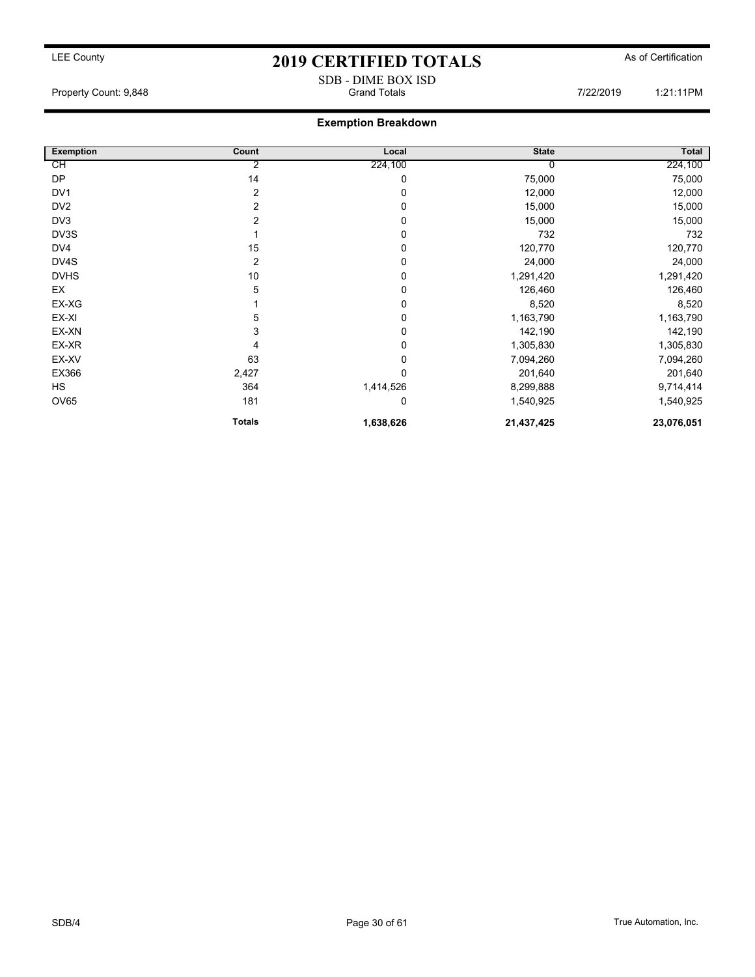SDB - DIME BOX ISD Property Count: 9,848 **Property Count: 9,848 Cramerage Count: 9,848 Cramerage Count: 9,848 Property Count: 9,848 1:21:11PM** 

### Exemption Breakdown

| <b>Exemption</b> | Count         | Local     | <b>State</b> | Total      |
|------------------|---------------|-----------|--------------|------------|
| СH               | 2             | 224,100   | 0            | 224,100    |
| <b>DP</b>        | 14            | 0         | 75,000       | 75,000     |
| DV1              | 2             | 0         | 12,000       | 12,000     |
| DV <sub>2</sub>  | 2             | 0         | 15,000       | 15,000     |
| DV3              | 2             | 0         | 15,000       | 15,000     |
| DV3S             |               | 0         | 732          | 732        |
| DV4              | 15            | 0         | 120,770      | 120,770    |
| DV4S             | 2             | 0         | 24,000       | 24,000     |
| <b>DVHS</b>      | 10            | 0         | 1,291,420    | 1,291,420  |
| EX               | 5             | 0         | 126,460      | 126,460    |
| EX-XG            |               | 0         | 8,520        | 8,520      |
| EX-XI            | 5             | 0         | 1,163,790    | 1,163,790  |
| EX-XN            | 3             | 0         | 142,190      | 142,190    |
| EX-XR            | 4             | 0         | 1,305,830    | 1,305,830  |
| EX-XV            | 63            | 0         | 7,094,260    | 7,094,260  |
| EX366            | 2,427         | 0         | 201,640      | 201,640    |
| <b>HS</b>        | 364           | 1,414,526 | 8,299,888    | 9,714,414  |
| OV65             | 181           | 0         | 1,540,925    | 1,540,925  |
|                  | <b>Totals</b> | 1,638,626 | 21,437,425   | 23,076,051 |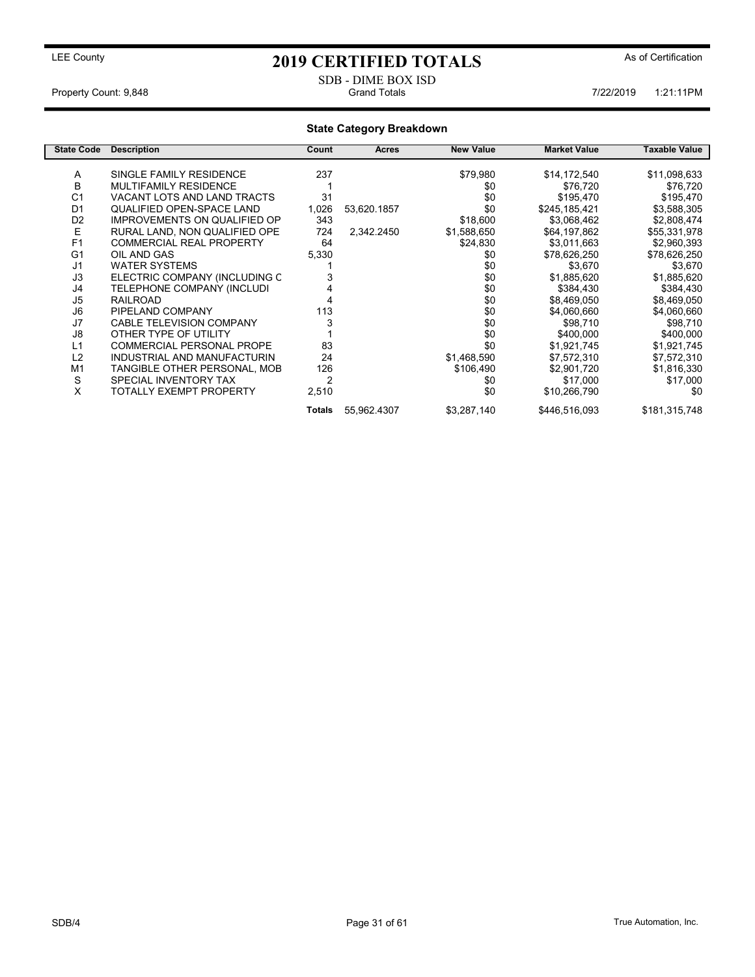### SDB - DIME BOX ISD<br>Grand Totals Property Count: 9,848 **Property Count: 9,848 1:21:11PM** Grand Totals **Count: 9,848 7/22/2019** 1:21:11PM

### State Category Breakdown

| <b>State Code</b> | <b>Description</b>                  | Count          | <b>Acres</b> | <b>New Value</b> | <b>Market Value</b> | Taxable Value |
|-------------------|-------------------------------------|----------------|--------------|------------------|---------------------|---------------|
| Α                 | SINGLE FAMILY RESIDENCE             | 237            |              | \$79,980         | \$14,172,540        | \$11,098,633  |
|                   |                                     |                |              |                  |                     |               |
| В                 | <b>MULTIFAMILY RESIDENCE</b>        |                |              | \$0              | \$76,720            | \$76,720      |
| C <sub>1</sub>    | VACANT LOTS AND LAND TRACTS         | 31             |              | \$0              | \$195,470           | \$195,470     |
| D <sub>1</sub>    | QUALIFIED OPEN-SPACE LAND           | 1,026          | 53,620.1857  | \$0              | \$245,185,421       | \$3,588,305   |
| D <sub>2</sub>    | <b>IMPROVEMENTS ON QUALIFIED OP</b> | 343            |              | \$18,600         | \$3,068,462         | \$2,808,474   |
| Ε                 | RURAL LAND, NON QUALIFIED OPE       | 724            | 2,342.2450   | \$1,588,650      | \$64,197,862        | \$55,331,978  |
| F <sub>1</sub>    | <b>COMMERCIAL REAL PROPERTY</b>     | 64             |              | \$24,830         | \$3,011,663         | \$2,960,393   |
| G <sub>1</sub>    | OIL AND GAS                         | 5,330          |              | \$0              | \$78,626,250        | \$78,626,250  |
| J <sub>1</sub>    | <b>WATER SYSTEMS</b>                |                |              | \$0              | \$3,670             | \$3,670       |
| J3                | ELECTRIC COMPANY (INCLUDING C       |                |              | \$0              | \$1,885,620         | \$1,885,620   |
| J4                | TELEPHONE COMPANY (INCLUDI          |                |              | \$0              | \$384,430           | \$384,430     |
| J5                | <b>RAILROAD</b>                     |                |              | \$0              | \$8,469,050         | \$8,469,050   |
| J6                | PIPELAND COMPANY                    | 113            |              | \$0              | \$4,060,660         | \$4,060,660   |
| J7                | <b>CABLE TELEVISION COMPANY</b>     |                |              | \$0              | \$98,710            | \$98,710      |
| J8                | OTHER TYPE OF UTILITY               |                |              | \$0              | \$400,000           | \$400,000     |
| L1                | <b>COMMERCIAL PERSONAL PROPE</b>    | 83             |              | \$0              | \$1,921,745         | \$1,921,745   |
| L2                | INDUSTRIAL AND MANUFACTURIN         | 24             |              | \$1,468,590      | \$7,572,310         | \$7,572,310   |
| M1                | TANGIBLE OTHER PERSONAL, MOB        | 126            |              | \$106,490        | \$2,901,720         | \$1,816,330   |
| S                 | SPECIAL INVENTORY TAX               | $\overline{2}$ |              | \$0              | \$17,000            | \$17,000      |
| X                 | TOTALLY EXEMPT PROPERTY             | 2,510          |              | \$0              | \$10,266,790        | \$0           |
|                   |                                     | <b>Totals</b>  | 55,962.4307  | \$3,287,140      | \$446,516,093       | \$181,315,748 |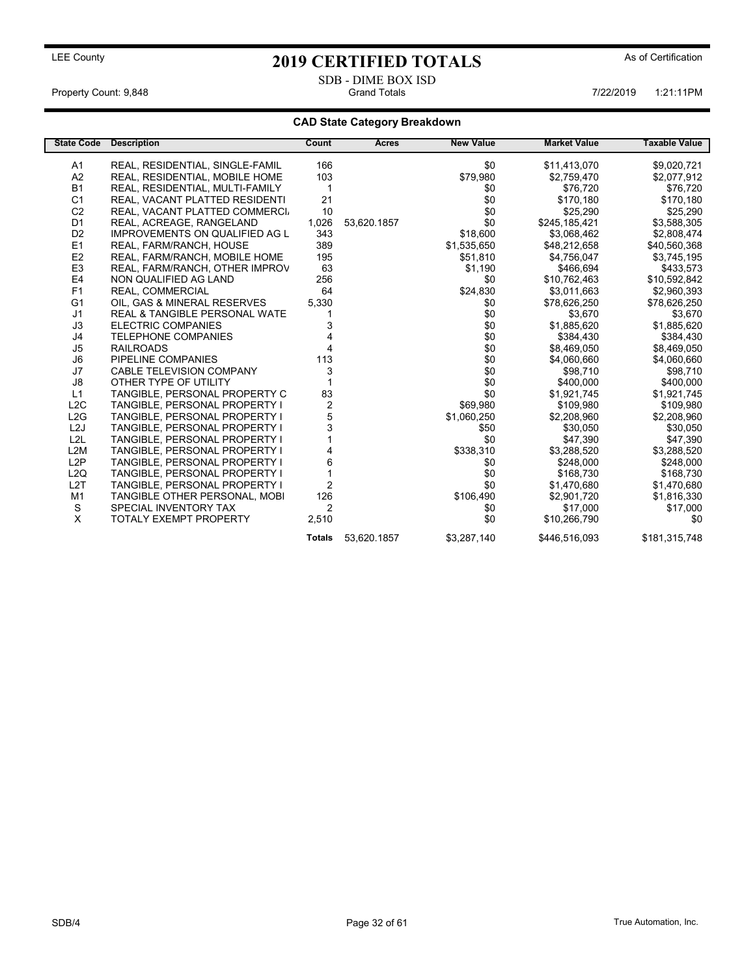Property Count: 9,848 **Property Count: 9,848** Crand Totals **1:21:11PM** Grand Totals 1:21:11PM

### CAD State Category Breakdown

| <b>State Code</b> | <b>Description</b>                    | Count          | Acres       | <b>New Value</b> | <b>Market Value</b> | <b>Taxable Value</b> |
|-------------------|---------------------------------------|----------------|-------------|------------------|---------------------|----------------------|
| A1                | REAL, RESIDENTIAL, SINGLE-FAMIL       | 166            |             | \$0              | \$11,413,070        | \$9,020,721          |
| A2                | REAL, RESIDENTIAL, MOBILE HOME        | 103            |             | \$79,980         | \$2,759,470         | \$2,077,912          |
| <b>B1</b>         | REAL, RESIDENTIAL, MULTI-FAMILY       | 1              |             | \$0              | \$76,720            | \$76,720             |
| C <sub>1</sub>    | REAL, VACANT PLATTED RESIDENTI        | 21             |             | \$0              | \$170,180           | \$170,180            |
| C <sub>2</sub>    | REAL, VACANT PLATTED COMMERCI.        | 10             |             | \$0              | \$25,290            | \$25,290             |
| D <sub>1</sub>    | REAL, ACREAGE, RANGELAND              | 1,026          | 53,620.1857 | \$0              | \$245,185,421       | \$3,588,305          |
| D <sub>2</sub>    | <b>IMPROVEMENTS ON QUALIFIED AG L</b> | 343            |             | \$18,600         | \$3,068,462         | \$2,808,474          |
| E <sub>1</sub>    | REAL, FARM/RANCH, HOUSE               | 389            |             | \$1,535,650      | \$48,212,658        | \$40,560,368         |
| E <sub>2</sub>    | REAL, FARM/RANCH, MOBILE HOME         | 195            |             | \$51,810         | \$4,756,047         | \$3,745,195          |
| E <sub>3</sub>    | REAL, FARM/RANCH, OTHER IMPROV        | 63             |             | \$1,190          | \$466,694           | \$433,573            |
| E4                | NON QUALIFIED AG LAND                 | 256            |             | \$0              | \$10,762,463        | \$10,592,842         |
| F1                | REAL, COMMERCIAL                      | 64             |             | \$24,830         | \$3,011,663         | \$2,960,393          |
| G <sub>1</sub>    | OIL, GAS & MINERAL RESERVES           | 5,330          |             | \$0              | \$78,626,250        | \$78,626,250         |
| J1                | REAL & TANGIBLE PERSONAL WATE         |                |             | \$0              | \$3,670             | \$3,670              |
| J3                | <b>ELECTRIC COMPANIES</b>             | 3              |             | \$0              | \$1,885,620         | \$1,885,620          |
| J4                | <b>TELEPHONE COMPANIES</b>            |                |             | \$0              | \$384,430           | \$384,430            |
| J5                | <b>RAILROADS</b>                      |                |             | \$0              | \$8,469,050         | \$8,469,050          |
| J6                | PIPELINE COMPANIES                    | 113            |             | \$0              | \$4,060,660         | \$4,060,660          |
| J7                | <b>CABLE TELEVISION COMPANY</b>       | 3              |             | \$0              | \$98,710            | \$98,710             |
| J8                | OTHER TYPE OF UTILITY                 |                |             | \$0              | \$400.000           | \$400,000            |
| L1                | TANGIBLE, PERSONAL PROPERTY C         | 83             |             | \$0              | \$1,921,745         | \$1,921,745          |
| L2C               | TANGIBLE, PERSONAL PROPERTY I         | 2              |             | \$69,980         | \$109,980           | \$109,980            |
| L2G               | TANGIBLE, PERSONAL PROPERTY I         | 5              |             | \$1,060,250      | \$2,208,960         | \$2,208,960          |
| L2J               | TANGIBLE, PERSONAL PROPERTY I         | 3              |             | \$50             | \$30,050            | \$30,050             |
| L2L               | TANGIBLE, PERSONAL PROPERTY I         |                |             | \$0              | \$47,390            | \$47,390             |
| L2M               | TANGIBLE, PERSONAL PROPERTY I         |                |             | \$338,310        | \$3,288,520         | \$3,288,520          |
| L2P               | TANGIBLE, PERSONAL PROPERTY I         | 6              |             | \$0              | \$248,000           | \$248,000            |
| L <sub>2</sub> Q  | TANGIBLE, PERSONAL PROPERTY I         |                |             | \$0              | \$168,730           | \$168,730            |
| L2T               | TANGIBLE, PERSONAL PROPERTY I         | $\overline{2}$ |             | \$0              | \$1,470,680         | \$1,470,680          |
| M1                | TANGIBLE OTHER PERSONAL, MOBI         | 126            |             | \$106,490        | \$2,901,720         | \$1,816,330          |
| S                 | SPECIAL INVENTORY TAX                 | $\mathfrak{p}$ |             | \$0              | \$17,000            | \$17,000             |
| X                 | <b>TOTALY EXEMPT PROPERTY</b>         | 2,510          |             | \$0              | \$10,266,790        | \$0                  |
|                   |                                       | <b>Totals</b>  | 53,620.1857 | \$3,287,140      | \$446,516,093       | \$181,315,748        |

SDB - DIME BOX ISD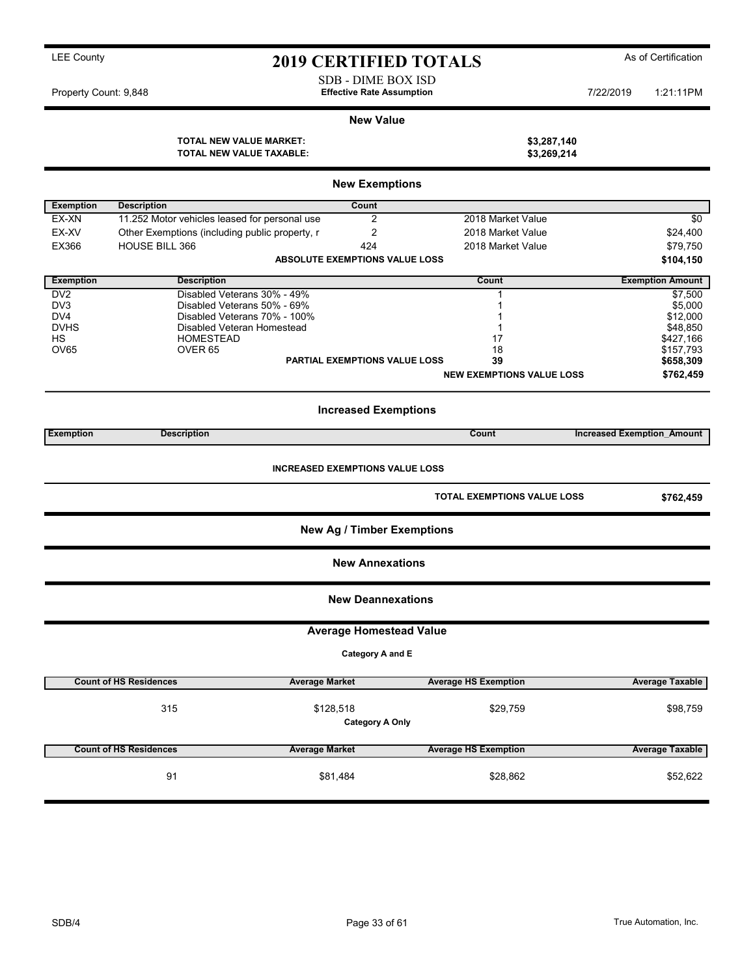New Exemptions Exemption Description **Count** EX-XN 11.252 Motor vehicles leased for personal use 2 2018 Market Value \$0 EX-XV Other Exemptions (including public property, r  $2^{2}$  2018 Market Value \$24,400 EX366 HOUSE BILL 366 **124** 2018 Market Value **424** 2018 Market Value **579,750** ABSOLUTE EXEMPTIONS VALUE LOSS \$104,150 Exemption Description Count Exemption Amount DV2 Disabled Veterans 30% - 49% 1 \$7,500 0 Disabled Veterans 50% - 69% 1 \$5,000 m = 1 \$5,000 m = 1 \$5,000 m = 1 \$5,000 m = 1 \$5,000 m = 1 \$5,000 m = 1 \$5,000 m = 1 \$12,000 m = 1 \$12,000 m = 1 \$12,000 m = 1 \$12,000 m = 1 \$12,000 m = 1 \$12,000 m = 1 \$12,000 m = 1 \$ DV4 Disabled Veterans 70% - 100% 1 \$12,000 DVHS Disabled Veteran Homestead 1 \$48,850 HS HOMESTEAD 17 \$427,166 OV65 OVER 65 18 \$157,793 PARTIAL EXEMPTIONS VALUE LOSS 39 39 \$658,309 NEW EXEMPTIONS VALUE LOSS \$762,459 Increased Exemptions Exemption Description Count Increased Exemption\_Amount INCREASED EXEMPTIONS VALUE LOSS TOTAL EXEMPTIONS VALUE LOSS \$762,459 New Ag / Timber Exemptions New Annexations New Deannexations Average Homestead Value Category A and E Count of HS Residences Average Taxable Average Market Average HS Exemption 315 \$98,759 \$128,518 \$29,759 Category A Only Count of HS Residences **Average Market** Average Market Average HS Exemption **Average Taxable** Average Taxable ed. 1.1.2.2.3.3.1.484 \$28,862 \$28,862 \$52,622

## LEE County **2019 CERTIFIED TOTALS** As of Certification

SDB - DIME BOX ISD<br>Effective Rate Assumption

Property Count: 9,848 **7/22/2019** 1:21:11PM Effective Rate Assumption **7/22/2019** 1:21:11PM

### New Value TOTAL NEW VALUE MARKET: \$3,287,140

TOTAL NEW VALUE TAXABLE: \$3,269,214

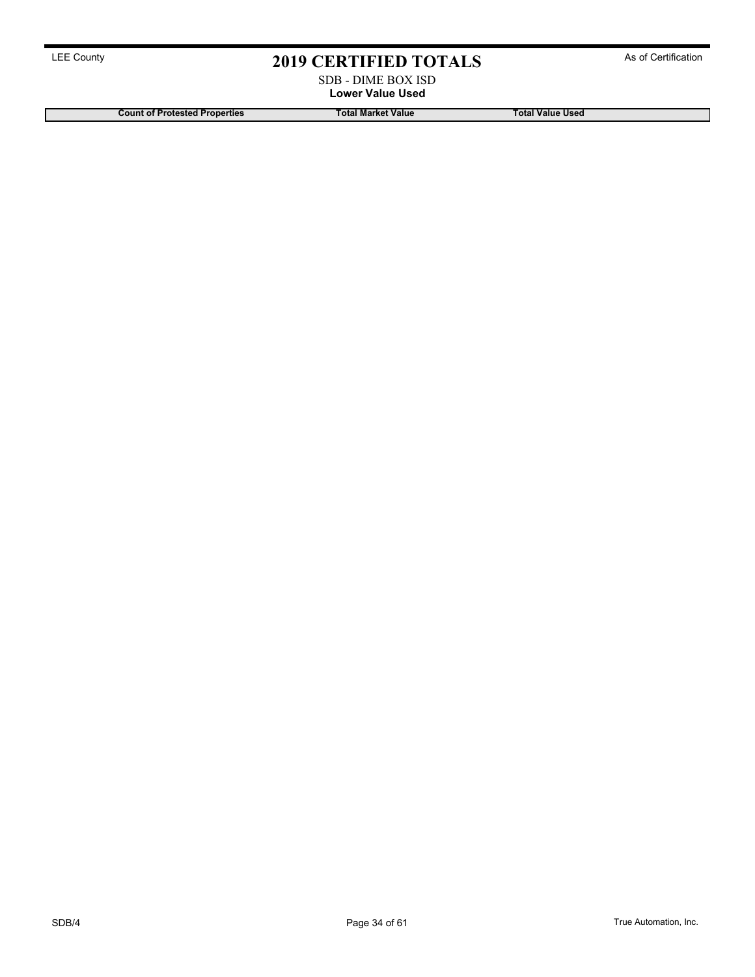### SDB - DIME BOX ISD Lower Value Used

Count of Protested Properties Total Market Value Total Market Value Total Value Used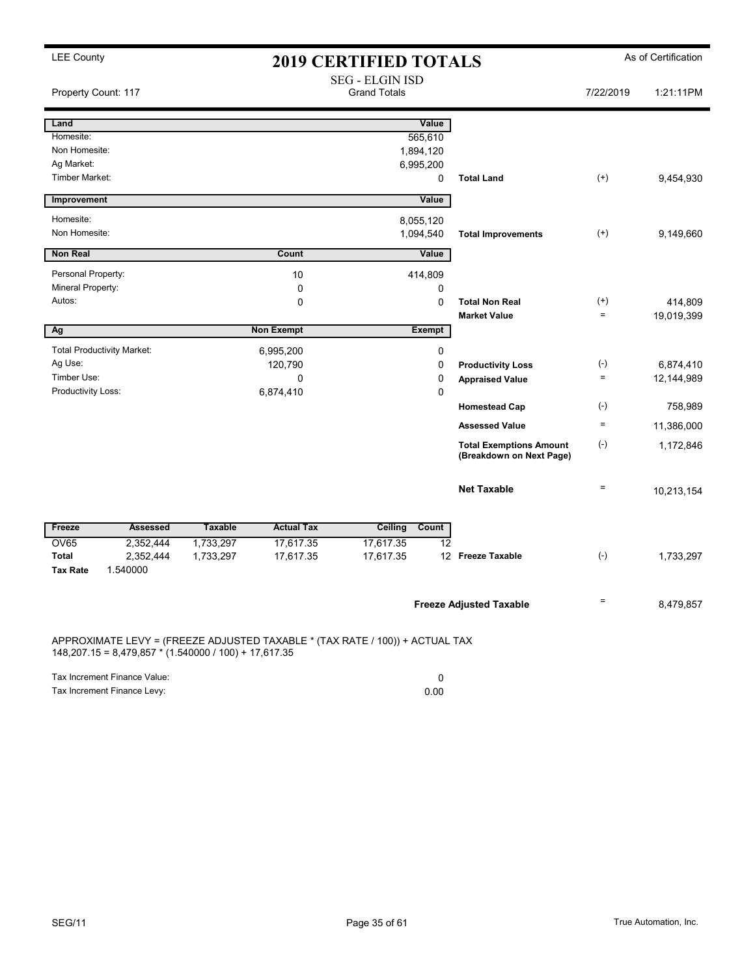| <b>LEE County</b>                       |                                                         |                                               |                   | <b>2019 CERTIFIED TOTALS</b>                                                 |               |                                                            |                   | As of Certification |
|-----------------------------------------|---------------------------------------------------------|-----------------------------------------------|-------------------|------------------------------------------------------------------------------|---------------|------------------------------------------------------------|-------------------|---------------------|
| Property Count: 117                     |                                                         | <b>SEG - ELGIN ISD</b><br><b>Grand Totals</b> |                   |                                                                              |               |                                                            | 7/22/2019         | 1:21:11PM           |
| Land                                    |                                                         |                                               |                   |                                                                              | Value         |                                                            |                   |                     |
| Homesite:                               |                                                         |                                               |                   |                                                                              | 565,610       |                                                            |                   |                     |
| Non Homesite:                           |                                                         |                                               |                   |                                                                              | 1,894,120     |                                                            |                   |                     |
| Ag Market:<br><b>Timber Market:</b>     |                                                         |                                               |                   |                                                                              | 6,995,200     | <b>Total Land</b>                                          | $^{(+)}$          |                     |
|                                         |                                                         |                                               |                   |                                                                              | 0             |                                                            |                   | 9,454,930           |
| Improvement                             |                                                         |                                               |                   |                                                                              | Value         |                                                            |                   |                     |
| Homesite:                               |                                                         |                                               |                   |                                                                              | 8,055,120     |                                                            |                   |                     |
| Non Homesite:                           |                                                         |                                               |                   |                                                                              | 1,094,540     | <b>Total Improvements</b>                                  | $(+)$             | 9,149,660           |
| <b>Non Real</b>                         |                                                         |                                               | Count             |                                                                              | Value         |                                                            |                   |                     |
|                                         |                                                         |                                               |                   |                                                                              |               |                                                            |                   |                     |
| Personal Property:<br>Mineral Property: |                                                         |                                               | 10<br>0           |                                                                              | 414,809<br>0  |                                                            |                   |                     |
| Autos:                                  |                                                         |                                               | 0                 |                                                                              | $\mathbf 0$   | <b>Total Non Real</b>                                      | $^{(+)}$          | 414,809             |
|                                         |                                                         |                                               |                   |                                                                              |               | <b>Market Value</b>                                        | $\equiv$          | 19,019,399          |
| Ag                                      |                                                         |                                               | <b>Non Exempt</b> |                                                                              | <b>Exempt</b> |                                                            |                   |                     |
|                                         | <b>Total Productivity Market:</b>                       |                                               | 6,995,200         |                                                                              | 0             |                                                            |                   |                     |
| Ag Use:                                 |                                                         |                                               | 120,790           |                                                                              | $\mathbf 0$   | <b>Productivity Loss</b>                                   | $(\text{-})$      | 6,874,410           |
| Timber Use:                             |                                                         |                                               | $\mathbf 0$       |                                                                              | $\mathbf 0$   | <b>Appraised Value</b>                                     | $\quad =$         | 12,144,989          |
| Productivity Loss:                      |                                                         |                                               | 6,874,410         |                                                                              | $\mathbf 0$   |                                                            |                   |                     |
|                                         |                                                         |                                               |                   |                                                                              |               | <b>Homestead Cap</b>                                       | $(\text{-})$      | 758,989             |
|                                         |                                                         |                                               |                   |                                                                              |               | <b>Assessed Value</b>                                      | $\qquad \qquad =$ | 11,386,000          |
|                                         |                                                         |                                               |                   |                                                                              |               | <b>Total Exemptions Amount</b><br>(Breakdown on Next Page) | $(\text{-})$      | 1,172,846           |
|                                         |                                                         |                                               |                   |                                                                              |               | <b>Net Taxable</b>                                         | $\quad \  \  =$   | 10,213,154          |
| Freeze                                  | <b>Assessed</b>                                         | <b>Taxable</b>                                | <b>Actual Tax</b> | Ceiling                                                                      | Count         |                                                            |                   |                     |
| <b>OV65</b>                             | 2,352,444                                               | 1,733,297                                     | 17,617.35         | 17,617.35                                                                    | 12            |                                                            |                   |                     |
| <b>Total</b>                            | 2,352,444                                               | 1,733,297                                     | 17,617.35         | 17,617.35                                                                    |               | 12 Freeze Taxable                                          | $(-)$             | 1,733,297           |
| <b>Tax Rate</b>                         | 1.540000                                                |                                               |                   |                                                                              |               |                                                            |                   |                     |
|                                         |                                                         |                                               |                   |                                                                              |               | <b>Freeze Adjusted Taxable</b>                             | $=$               | 8,479,857           |
|                                         | $148,207.15 = 8,479,857 * (1.540000 / 100) + 17,617.35$ |                                               |                   | APPROXIMATE LEVY = (FREEZE ADJUSTED TAXABLE * (TAX RATE / 100)) + ACTUAL TAX |               |                                                            |                   |                     |
|                                         | Tax Increment Finance Value:                            |                                               |                   |                                                                              | $\mathbf 0$   |                                                            |                   |                     |

Tax Increment Finance Levy: 0.00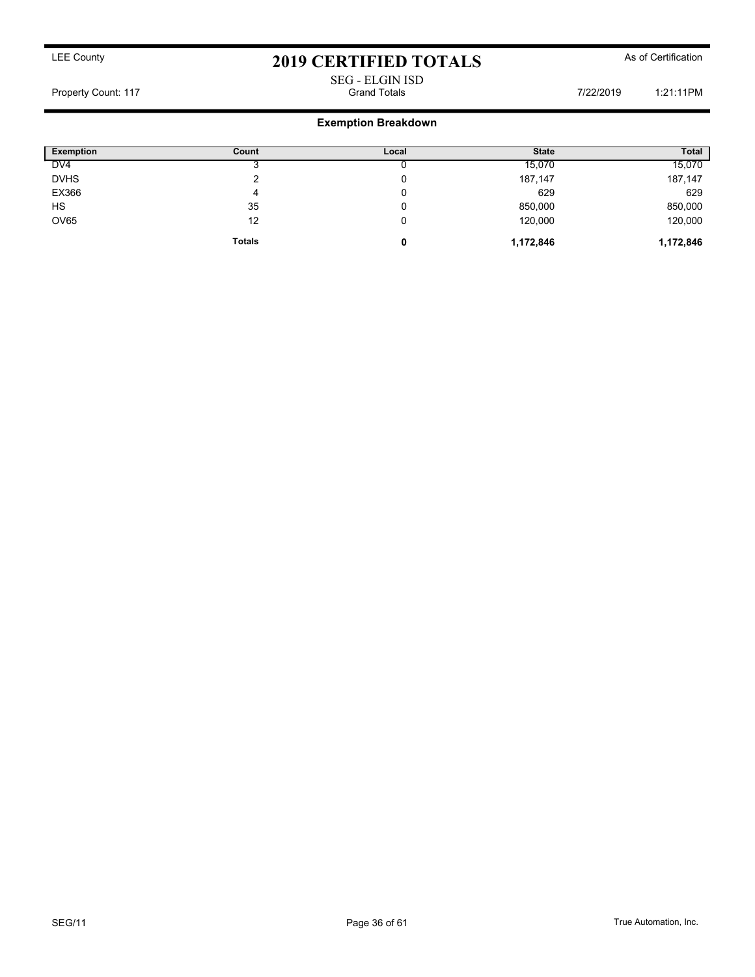# SEG - ELGIN ISD

Property Count: 117 **Property Count: 117** Crand Totals **Grand Totals** 7/22/2019 1:21:11PM

### Exemption Breakdown

| <b>Exemption</b> | Count         | Local | <b>State</b> | <b>Total</b> |
|------------------|---------------|-------|--------------|--------------|
| DV <sub>4</sub>  |               |       | 15,070       | 15,070       |
| <b>DVHS</b>      | ົ             |       | 187,147      | 187,147      |
| EX366            | 4             |       | 629          | 629          |
| HS               | 35            |       | 850,000      | 850,000      |
| <b>OV65</b>      | 12            | 0     | 120,000      | 120,000      |
|                  | <b>Totals</b> | 0     | 1,172,846    | 1,172,846    |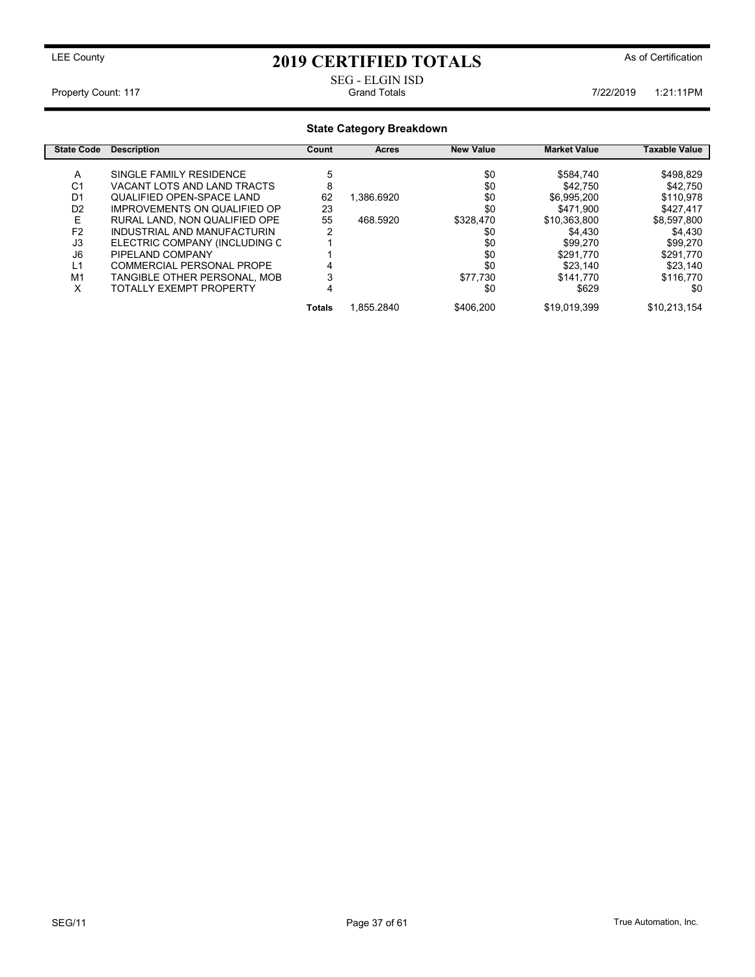## LEE County **2019 CERTIFIED TOTALS** As of Certification

# SEG - ELGIN ISD<br>Grand Totals

Property Count: 117 **Property Count: 117 Property Count: 117** 

### State Category Breakdown State Code Description **Count** Count Acres New Value Market Value Taxable Value A SINGLE FAMILY RESIDENCE 5 \$0 \$584,740 \$498,829 C1 VACANT LOTS AND LAND TRACTS 8 \$0 \$42,750 \$42,750<br>D1 QUALIFIED OPEN-SPACE LAND 62 1,386.6920 \$0 \$6,995,200 \$110,978 01 QUALIFIED OPEN-SPACE LAND 62 1,386.6920 \$0 \$6,995,200 \$110,978<br>D2 IMPROVEMENTS ON QUALIFIED OP 23 \$0 \$471,900 \$427,417 1MPROVEMENTS ON QUALIFIED OP 23 \$0 \$471,900 \$427,417<br>RURAL LAND, NON QUALIFIED OPE 55 468.5920 \$328,470 \$10,363,800 \$8,597,800 E RURAL LAND, NON QUALIFIED OPE 55 468.5920 \$328,470 \$10,363,800 \$8,597,800<br>F2 INDUSTRIAL AND MANUFACTURIN 2 \$0 \$4,430 \$4,430 F2 INDUSTRIAL AND MANUFACTURIN 2 \$0 \$4,430 \$4,430 J3 ELECTRIC COMPANY (INCLUDING C 1 \$0 \$99,270 \$99,270 J6 PIPELAND COMPANY 1 \$0 \$291,770 \$291,770 L1 COMMERCIAL PERSONAL PROPE 4 \$0 \$23,140 \$23,140<br>M1 TANGIBLE OTHER PERSONAL, MOB 3 \$77,730 \$141,770 \$116,770 M1 TANGIBLE OTHER PERSONAL, MOB<br>X 377 TOTALLY EXEMPT PROPERTY TOTALLY EXEMPT PROPERTY  $\begin{array}{ccc} 4 & 4 & 30 & 30 \end{array}$  \$629 \$0 Totals 1,855.2840 \$406,200 \$19,019,399 \$10,213,154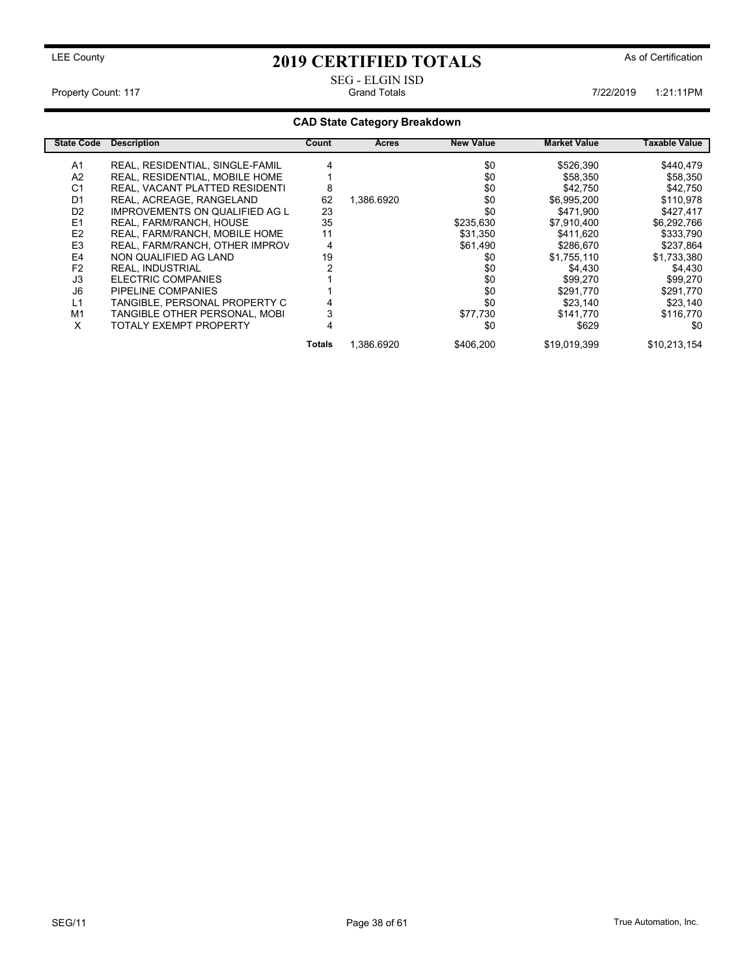# SEG - ELGIN ISD

Property Count: 117 **Property Count: 117** Crand Totals **1:21:11PM** Grand Totals 1:21:11PM 7/22/2019 1:21:11PM

### CAD State Category Breakdown

| <b>State Code</b> | <b>Description</b>                    | Count  | Acres      | <b>New Value</b> | <b>Market Value</b> | Taxable Value |
|-------------------|---------------------------------------|--------|------------|------------------|---------------------|---------------|
| A <sub>1</sub>    | REAL, RESIDENTIAL, SINGLE-FAMIL       |        |            | \$0              | \$526,390           | \$440,479     |
| A2                | REAL, RESIDENTIAL, MOBILE HOME        |        |            | \$0              | \$58,350            | \$58,350      |
| C <sub>1</sub>    | REAL, VACANT PLATTED RESIDENTI        | 8      |            | \$0              | \$42,750            | \$42,750      |
| D <sub>1</sub>    | REAL, ACREAGE, RANGELAND              | 62     | 1.386.6920 | \$0              | \$6,995,200         | \$110,978     |
| D <sub>2</sub>    | <b>IMPROVEMENTS ON QUALIFIED AG L</b> | 23     |            | \$0              | \$471.900           | \$427,417     |
| E <sub>1</sub>    | REAL, FARM/RANCH, HOUSE               | 35     |            | \$235,630        | \$7,910,400         | \$6,292,766   |
| E <sub>2</sub>    | REAL, FARM/RANCH, MOBILE HOME         | 11     |            | \$31,350         | \$411,620           | \$333,790     |
| E <sub>3</sub>    | REAL, FARM/RANCH, OTHER IMPROV        | 4      |            | \$61.490         | \$286,670           | \$237,864     |
| E4                | NON QUALIFIED AG LAND                 | 19     |            | \$0              | \$1,755,110         | \$1,733,380   |
| F <sub>2</sub>    | <b>REAL. INDUSTRIAL</b>               |        |            | \$0              | \$4.430             | \$4.430       |
| J3                | ELECTRIC COMPANIES                    |        |            | \$0              | \$99,270            | \$99,270      |
| J6                | PIPELINE COMPANIES                    |        |            | \$0              | \$291.770           | \$291,770     |
| L1                | TANGIBLE. PERSONAL PROPERTY C         |        |            | \$0              | \$23,140            | \$23,140      |
| M1                | TANGIBLE OTHER PERSONAL, MOBI         |        |            | \$77,730         | \$141.770           | \$116,770     |
| x                 | TOTALY EXEMPT PROPERTY                |        |            | \$0              | \$629               | \$0           |
|                   |                                       | Totals | 1.386.6920 | \$406,200        | \$19,019,399        | \$10,213,154  |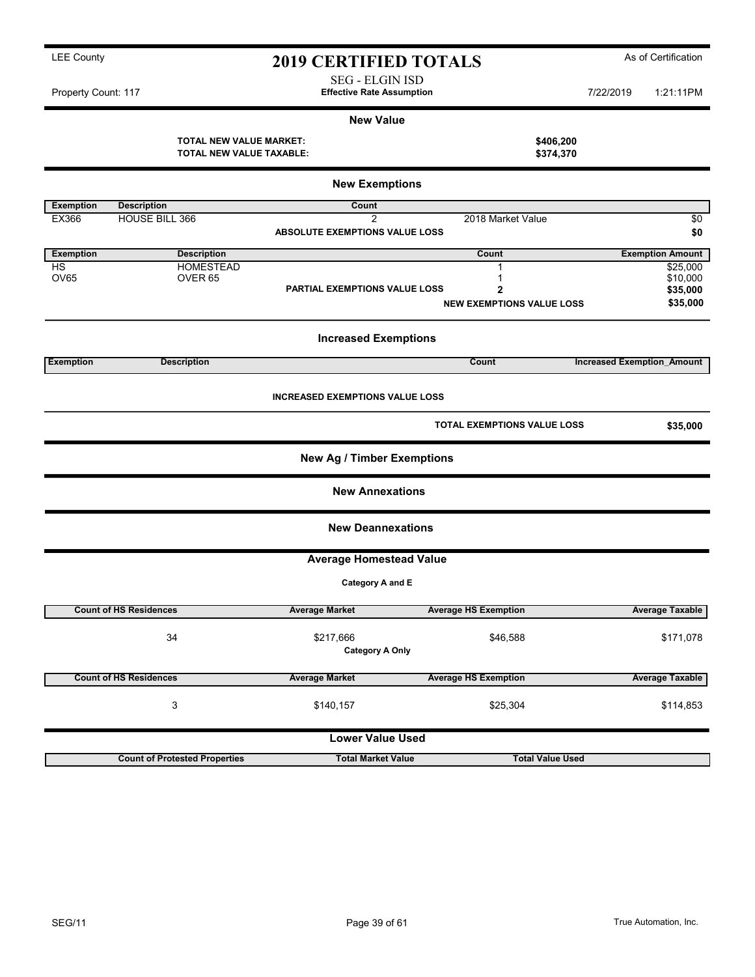SEG - ELGIN ISD

Property Count: 117 **1.21:11PM** Effective Rate Assumption **1.22/2019** 1:21:11PM

### New Value

TOTAL NEW VALUE MARKET:<br>
TOTAL NEW VALUE TAXABLE: \$374,370 TOTAL NEW VALUE TAXABLE:

|                  |                                      | <b>New Exemptions</b>                  |                                  |                                   |
|------------------|--------------------------------------|----------------------------------------|----------------------------------|-----------------------------------|
| <b>Exemption</b> | <b>Description</b>                   | Count                                  |                                  |                                   |
| EX366            | <b>HOUSE BILL 366</b>                | $\overline{2}$                         | 2018 Market Value                | \$0                               |
|                  |                                      | ABSOLUTE EXEMPTIONS VALUE LOSS         |                                  | \$0                               |
| <b>Exemption</b> | <b>Description</b>                   |                                        | Count                            | <b>Exemption Amount</b>           |
| <b>HS</b>        | <b>HOMESTEAD</b>                     |                                        | 1                                | \$25,000                          |
| <b>OV65</b>      | OVER <sub>65</sub>                   | PARTIAL EXEMPTIONS VALUE LOSS          | 1<br>$\mathbf 2$                 | \$10,000<br>\$35,000              |
|                  |                                      |                                        | <b>NEW EXEMPTIONS VALUE LOSS</b> | \$35,000                          |
|                  |                                      | <b>Increased Exemptions</b>            |                                  |                                   |
| Exemption        | <b>Description</b>                   |                                        | Count                            | <b>Increased Exemption Amount</b> |
|                  |                                      | <b>INCREASED EXEMPTIONS VALUE LOSS</b> |                                  |                                   |
|                  |                                      |                                        | TOTAL EXEMPTIONS VALUE LOSS      | \$35,000                          |
|                  |                                      | <b>New Ag / Timber Exemptions</b>      |                                  |                                   |
|                  |                                      | <b>New Annexations</b>                 |                                  |                                   |
|                  |                                      | <b>New Deannexations</b>               |                                  |                                   |
|                  |                                      | <b>Average Homestead Value</b>         |                                  |                                   |
|                  |                                      | Category A and E                       |                                  |                                   |
|                  | <b>Count of HS Residences</b>        | <b>Average Market</b>                  | <b>Average HS Exemption</b>      | <b>Average Taxable</b>            |
|                  | 34                                   | \$217,666<br><b>Category A Only</b>    | \$46,588                         | \$171,078                         |
|                  | <b>Count of HS Residences</b>        | <b>Average Market</b>                  | <b>Average HS Exemption</b>      | <b>Average Taxable</b>            |
|                  | 3                                    | \$140,157                              | \$25,304                         | \$114,853                         |
|                  |                                      | <b>Lower Value Used</b>                |                                  |                                   |
|                  | <b>Count of Protested Properties</b> | <b>Total Market Value</b>              | <b>Total Value Used</b>          |                                   |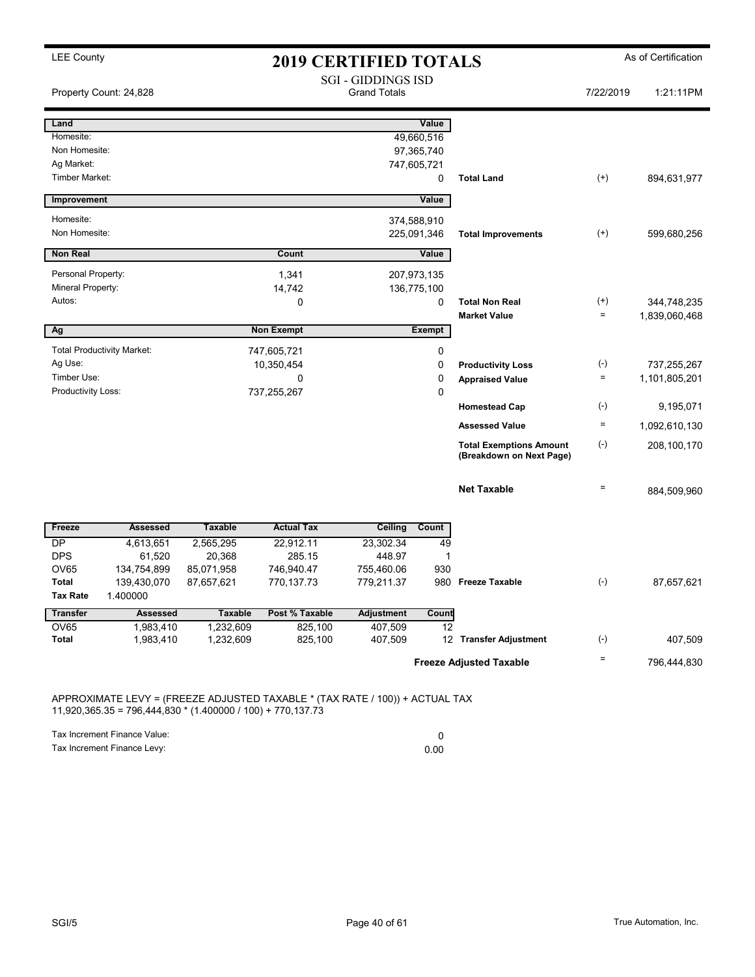| <b>LEE County</b>                   |                            |                          |                          | <b>2019 CERTIFIED TOTALS</b>                     |                  |                                                            |                    | As of Certification |
|-------------------------------------|----------------------------|--------------------------|--------------------------|--------------------------------------------------|------------------|------------------------------------------------------------|--------------------|---------------------|
| Property Count: 24,828              |                            |                          |                          | <b>SGI - GIDDINGS ISD</b><br><b>Grand Totals</b> |                  |                                                            | 7/22/2019          | 1:21:11PM           |
| Land                                |                            |                          |                          |                                                  | Value            |                                                            |                    |                     |
| Homesite:                           |                            |                          |                          |                                                  | 49,660,516       |                                                            |                    |                     |
| Non Homesite:                       |                            |                          |                          |                                                  | 97,365,740       |                                                            |                    |                     |
| Ag Market:<br><b>Timber Market:</b> |                            |                          |                          |                                                  | 747,605,721<br>0 | <b>Total Land</b>                                          | $^{(+)}$           | 894,631,977         |
|                                     |                            |                          |                          |                                                  |                  |                                                            |                    |                     |
| Improvement                         |                            |                          |                          |                                                  | Value            |                                                            |                    |                     |
| Homesite:                           |                            |                          |                          |                                                  | 374,588,910      |                                                            |                    |                     |
| Non Homesite:                       |                            |                          |                          |                                                  | 225,091,346      | <b>Total Improvements</b>                                  | $^{(+)}$           | 599,680,256         |
| <b>Non Real</b>                     |                            |                          | Count                    |                                                  | Value            |                                                            |                    |                     |
| Personal Property:                  |                            |                          | 1,341                    |                                                  | 207,973,135      |                                                            |                    |                     |
| Mineral Property:                   |                            |                          | 14,742                   |                                                  | 136,775,100      |                                                            |                    |                     |
| Autos:                              |                            |                          | 0                        |                                                  | 0                | <b>Total Non Real</b>                                      | $^{(+)}$           | 344,748,235         |
|                                     |                            |                          |                          |                                                  |                  | <b>Market Value</b>                                        | $\quad =$          | 1,839,060,468       |
| Ag                                  |                            |                          | <b>Non Exempt</b>        |                                                  | Exempt           |                                                            |                    |                     |
| <b>Total Productivity Market:</b>   |                            |                          | 747,605,721              |                                                  | 0                |                                                            |                    |                     |
| Ag Use:                             |                            |                          | 10,350,454               |                                                  | 0                | <b>Productivity Loss</b>                                   | $(\textnormal{-})$ | 737,255,267         |
| Timber Use:                         |                            |                          | 0                        |                                                  | 0                | <b>Appraised Value</b>                                     | $\quad \  \  =$    | 1,101,805,201       |
| Productivity Loss:                  |                            |                          | 737,255,267              |                                                  | $\mathbf 0$      |                                                            |                    |                     |
|                                     |                            |                          |                          |                                                  |                  | <b>Homestead Cap</b>                                       | $(\textnormal{-})$ | 9,195,071           |
|                                     |                            |                          |                          |                                                  |                  | <b>Assessed Value</b>                                      | $\quad \  \  =$    | 1,092,610,130       |
|                                     |                            |                          |                          |                                                  |                  | <b>Total Exemptions Amount</b><br>(Breakdown on Next Page) | $(-)$              | 208,100,170         |
|                                     |                            |                          |                          |                                                  |                  | <b>Net Taxable</b>                                         | $\equiv$           | 884,509,960         |
| Freeze                              | <b>Assessed</b>            | <b>Taxable</b>           | <b>Actual Tax</b>        | Ceiling                                          | Count            |                                                            |                    |                     |
| DP                                  | 4,613,651                  | 2,565,295                | 22,912.11                | 23,302.34                                        | 49               |                                                            |                    |                     |
| <b>DPS</b>                          | 61,520                     | 20,368                   | 285.15                   | 448.97                                           | 1                |                                                            |                    |                     |
| <b>OV65</b><br>Total                | 134,754,899<br>139,430,070 | 85,071,958<br>87,657,621 | 746,940.47<br>770,137.73 | 755,460.06<br>779,211.37                         | 930              | 980 Freeze Taxable                                         | $(-)$              | 87,657,621          |
| <b>Tax Rate</b>                     | 1.400000                   |                          |                          |                                                  |                  |                                                            |                    |                     |
| <b>Transfer</b>                     | <b>Assessed</b>            | <b>Taxable</b>           | Post % Taxable           | <b>Adjustment</b>                                | Count            |                                                            |                    |                     |
| OV65                                | 1,983,410                  | 1,232,609                | 825,100                  | 407,509                                          | 12               |                                                            |                    |                     |
| Total                               | 1,983,410                  | 1,232,609                | 825,100                  | 407,509                                          |                  | 12 Transfer Adjustment                                     | $(\text{-})$       | 407,509             |
|                                     |                            |                          |                          |                                                  |                  | <b>Freeze Adjusted Taxable</b>                             | Ξ                  | 796,444,830         |
|                                     |                            |                          |                          |                                                  |                  |                                                            |                    |                     |

APPROXIMATE LEVY = (FREEZE ADJUSTED TAXABLE \* (TAX RATE / 100)) + ACTUAL TAX 11,920,365.35 = 796,444,830 \* (1.400000 / 100) + 770,137.73

Tax Increment Finance Value: 0 Tax Increment Finance Levy: 0.00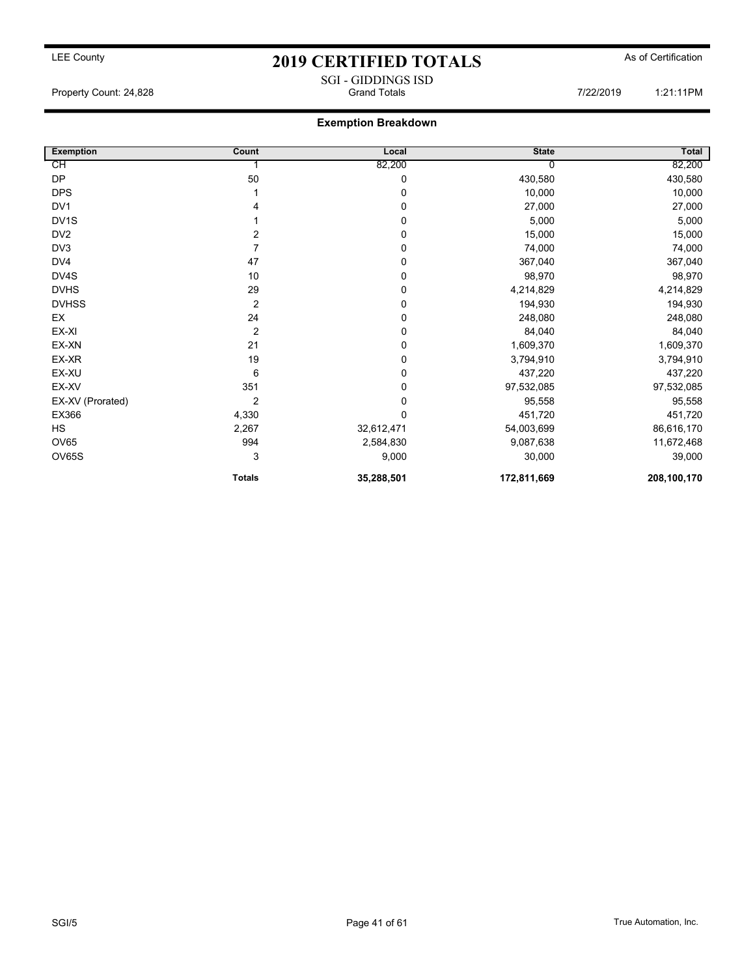## LEE County As of Certification **2019 CERTIFIED TOTALS** As of Certification SGI - GIDDINGS ISD<br>Grand Totals

Property Count: 24,828 **Fig. 2018** Grand Totals **Grand Totals** 7/22/2019 1:21:11PM

### Exemption Breakdown

| <b>Exemption</b>  | Count          | Local       | <b>State</b> | Total       |
|-------------------|----------------|-------------|--------------|-------------|
| СH                |                | 82,200      |              | 82,200      |
| DP                | 50             | 0           | 430,580      | 430,580     |
| <b>DPS</b>        |                | 0           | 10,000       | 10,000      |
| DV <sub>1</sub>   | 4              | 0           | 27,000       | 27,000      |
| DV <sub>1</sub> S |                | 0           | 5,000        | 5,000       |
| DV <sub>2</sub>   | 2              | 0           | 15,000       | 15,000      |
| DV3               | 7              | 0           | 74,000       | 74,000      |
| DV4               | 47             | 0           | 367,040      | 367,040     |
| DV4S              | 10             | 0           | 98,970       | 98,970      |
| <b>DVHS</b>       | 29             | 0           | 4,214,829    | 4,214,829   |
| <b>DVHSS</b>      | $\overline{2}$ | 0           | 194,930      | 194,930     |
| EX                | 24             | 0           | 248,080      | 248,080     |
| EX-XI             | $\overline{2}$ | 0           | 84,040       | 84,040      |
| EX-XN             | 21             | 0           | 1,609,370    | 1,609,370   |
| EX-XR             | 19             | 0           | 3,794,910    | 3,794,910   |
| EX-XU             | 6              | 0           | 437,220      | 437,220     |
| EX-XV             | 351            | 0           | 97,532,085   | 97,532,085  |
| EX-XV (Prorated)  | 2              | 0           | 95,558       | 95,558      |
| EX366             | 4,330          | $\mathbf 0$ | 451,720      | 451,720     |
| <b>HS</b>         | 2,267          | 32,612,471  | 54,003,699   | 86,616,170  |
| <b>OV65</b>       | 994            | 2,584,830   | 9,087,638    | 11,672,468  |
| OV65S             | 3              | 9,000       | 30,000       | 39,000      |
|                   | <b>Totals</b>  | 35,288,501  | 172,811,669  | 208,100,170 |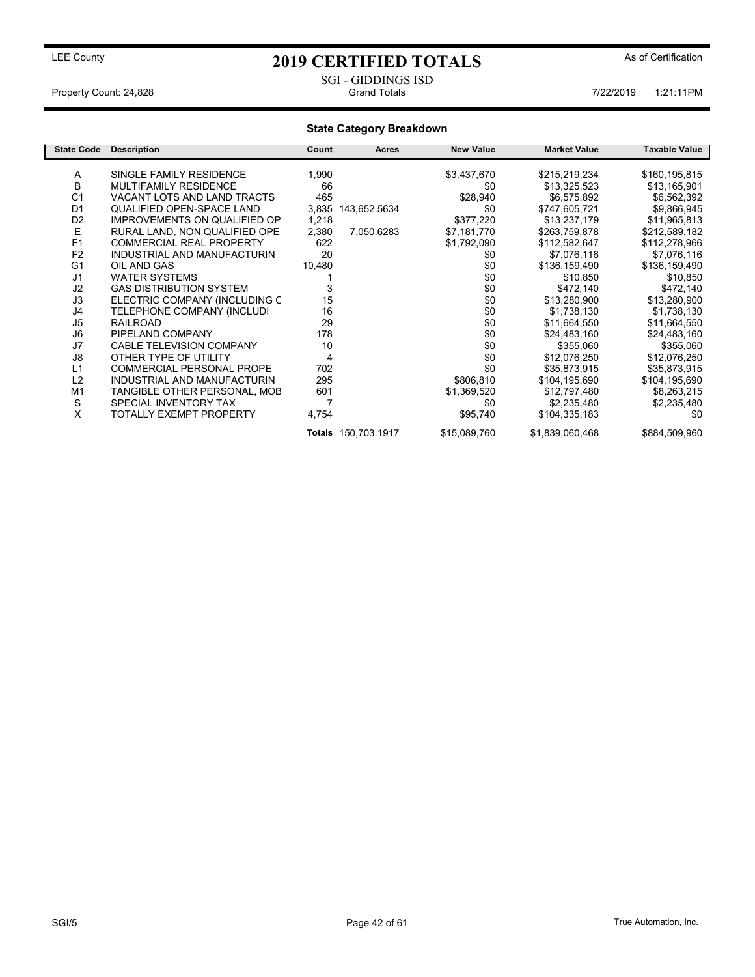### SGI - GIDDINGS ISD<br>Grand Totals Property Count: 24,828 **7/22/2019** 1:21:11PM

### State Category Breakdown

| <b>State Code</b> | <b>Description</b>               | Count  | <b>Acres</b>        | <b>New Value</b> | <b>Market Value</b> | <b>Taxable Value</b> |
|-------------------|----------------------------------|--------|---------------------|------------------|---------------------|----------------------|
|                   |                                  |        |                     |                  |                     |                      |
| A                 | SINGLE FAMILY RESIDENCE          | 1,990  |                     | \$3,437,670      | \$215,219,234       | \$160,195,815        |
| B                 | <b>MULTIFAMILY RESIDENCE</b>     | 66     |                     | \$0              | \$13,325,523        | \$13,165,901         |
| C <sub>1</sub>    | VACANT LOTS AND LAND TRACTS      | 465    |                     | \$28,940         | \$6,575,892         | \$6,562,392          |
| D <sub>1</sub>    | QUALIFIED OPEN-SPACE LAND        | 3,835  | 143,652.5634        | \$0              | \$747,605,721       | \$9,866,945          |
| D <sub>2</sub>    | IMPROVEMENTS ON QUALIFIED OP     | 1,218  |                     | \$377,220        | \$13,237,179        | \$11,965,813         |
| E                 | RURAL LAND, NON QUALIFIED OPE    | 2,380  | 7,050.6283          | \$7,181,770      | \$263,759,878       | \$212,589,182        |
| F <sub>1</sub>    | <b>COMMERCIAL REAL PROPERTY</b>  | 622    |                     | \$1,792,090      | \$112,582,647       | \$112,278,966        |
| F <sub>2</sub>    | INDUSTRIAL AND MANUFACTURIN      | 20     |                     | \$0              | \$7,076,116         | \$7,076,116          |
| G <sub>1</sub>    | OIL AND GAS                      | 10,480 |                     | \$0              | \$136,159,490       | \$136,159,490        |
| J <sub>1</sub>    | <b>WATER SYSTEMS</b>             |        |                     | \$0              | \$10,850            | \$10,850             |
| J <sub>2</sub>    | <b>GAS DISTRIBUTION SYSTEM</b>   |        |                     | \$0              | \$472,140           | \$472,140            |
| J3                | ELECTRIC COMPANY (INCLUDING C    | 15     |                     | \$0              | \$13,280,900        | \$13,280,900         |
| J4                | TELEPHONE COMPANY (INCLUDI       | 16     |                     | \$0              | \$1,738,130         | \$1,738,130          |
| J <sub>5</sub>    | <b>RAILROAD</b>                  | 29     |                     | \$0              | \$11,664,550        | \$11,664,550         |
| J6                | PIPELAND COMPANY                 | 178    |                     | \$0              | \$24,483,160        | \$24,483,160         |
| J7                | <b>CABLE TELEVISION COMPANY</b>  | 10     |                     | \$0              | \$355,060           | \$355,060            |
| J8                | OTHER TYPE OF UTILITY            | 4      |                     | \$0              | \$12,076,250        | \$12,076,250         |
| L1                | <b>COMMERCIAL PERSONAL PROPE</b> | 702    |                     | \$0              | \$35,873,915        | \$35,873,915         |
| L2                | INDUSTRIAL AND MANUFACTURIN      | 295    |                     | \$806,810        | \$104,195,690       | \$104,195,690        |
| M1                | TANGIBLE OTHER PERSONAL, MOB     | 601    |                     | \$1,369,520      | \$12,797,480        | \$8,263,215          |
| S                 | SPECIAL INVENTORY TAX            |        |                     | \$0              | \$2,235,480         | \$2,235,480          |
| X                 | TOTALLY EXEMPT PROPERTY          | 4,754  |                     | \$95,740         | \$104,335,183       | \$0                  |
|                   |                                  |        | Totals 150,703.1917 | \$15,089,760     | \$1,839,060,468     | \$884,509,960        |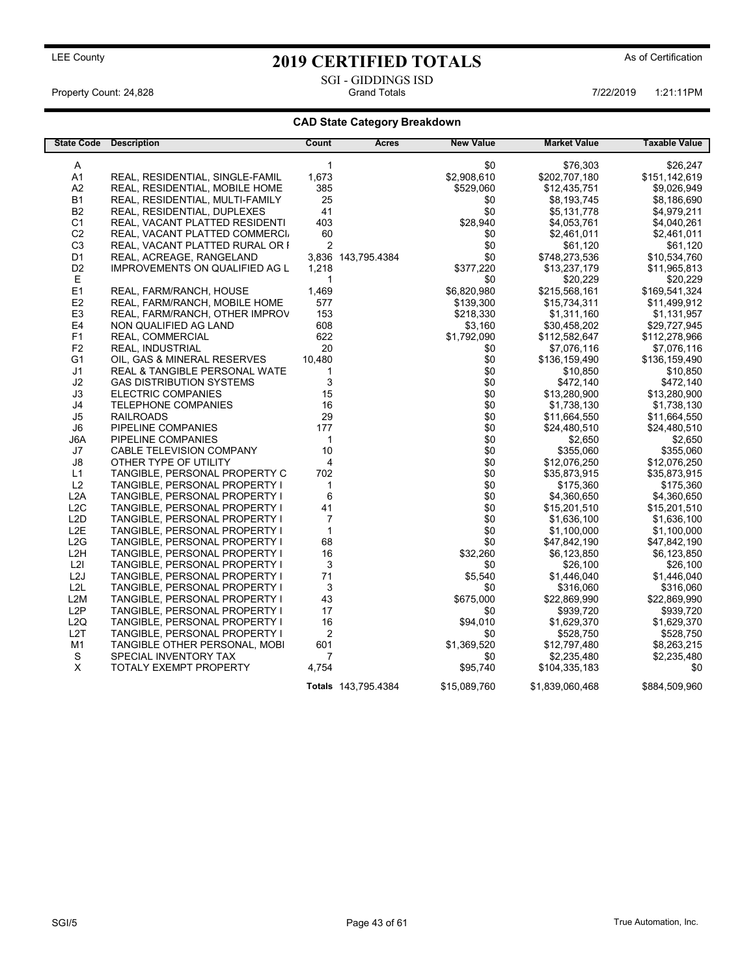## LEE County As of Certification **2019 CERTIFIED TOTALS** As of Certification SGI - GIDDINGS ISD<br>Grand Totals

Property Count: 24,828 **Property Count: 24,828** Crand Totals 1:21:11PM 7/22/2019 1:21:11PM

### CAD State Category Breakdown

| <b>State Code</b> | <b>Description</b>                       | Count                     | Acres               | <b>New Value</b> | <b>Market Value</b> | <b>Taxable Value</b> |
|-------------------|------------------------------------------|---------------------------|---------------------|------------------|---------------------|----------------------|
|                   |                                          |                           |                     |                  |                     |                      |
| A                 |                                          | $\mathbf{1}$              |                     | \$0              | \$76,303            | \$26,247             |
| A <sub>1</sub>    | REAL, RESIDENTIAL, SINGLE-FAMIL          | 1,673                     |                     | \$2,908,610      | \$202,707,180       | \$151,142,619        |
| A <sub>2</sub>    | REAL, RESIDENTIAL, MOBILE HOME           | 385                       |                     | \$529,060        | \$12,435,751        | \$9,026,949          |
| <b>B1</b>         | REAL, RESIDENTIAL, MULTI-FAMILY          | 25                        |                     | \$0              | \$8,193,745         | \$8,186,690          |
| <b>B2</b>         | REAL, RESIDENTIAL, DUPLEXES              | 41                        |                     | \$0              | \$5,131,778         | \$4,979,211          |
| C <sub>1</sub>    | REAL, VACANT PLATTED RESIDENTI           | 403                       |                     | \$28,940         | \$4,053,761         | \$4,040,261          |
| C <sub>2</sub>    | REAL, VACANT PLATTED COMMERCI.           | 60                        |                     | \$0              | \$2,461,011         | \$2,461,011          |
| C <sub>3</sub>    | REAL, VACANT PLATTED RURAL OR I          | $\overline{2}$            |                     | \$0              | \$61,120            | \$61,120             |
| D <sub>1</sub>    | REAL, ACREAGE, RANGELAND                 |                           | 3,836 143,795.4384  | \$0              | \$748,273,536       | \$10,534,760         |
| D <sub>2</sub>    | IMPROVEMENTS ON QUALIFIED AG L           | 1,218                     |                     | \$377,220        | \$13,237,179        | \$11,965,813         |
| E                 |                                          | 1                         |                     | \$0              | \$20,229            | \$20,229             |
| E <sub>1</sub>    | REAL, FARM/RANCH, HOUSE                  | 1,469                     |                     | \$6,820,980      | \$215,568,161       | \$169,541,324        |
| E2                | REAL, FARM/RANCH, MOBILE HOME            | 577                       |                     | \$139,300        | \$15,734,311        | \$11,499,912         |
| E <sub>3</sub>    | REAL, FARM/RANCH, OTHER IMPROV           | 153                       |                     | \$218,330        | \$1,311,160         | \$1,131,957          |
| E4                | NON QUALIFIED AG LAND                    | 608                       |                     | \$3,160          | \$30,458,202        | \$29,727,945         |
| F1                | REAL, COMMERCIAL                         | 622                       |                     | \$1,792,090      | \$112,582,647       | \$112,278,966        |
| F <sub>2</sub>    | <b>REAL, INDUSTRIAL</b>                  | 20                        |                     | \$0              | \$7,076,116         | \$7,076,116          |
| G1                | OIL, GAS & MINERAL RESERVES              | 10,480                    |                     | \$0              | \$136,159,490       | \$136,159,490        |
| J1                | <b>REAL &amp; TANGIBLE PERSONAL WATE</b> | 1                         |                     | \$0              | \$10,850            | \$10,850             |
| J2                | <b>GAS DISTRIBUTION SYSTEMS</b>          | 3                         |                     | \$0              | \$472,140           | \$472,140            |
| J3                | <b>ELECTRIC COMPANIES</b>                | 15                        |                     | \$0              | \$13,280,900        | \$13,280,900         |
| J4                | <b>TELEPHONE COMPANIES</b>               | 16                        |                     | \$0              | \$1,738,130         | \$1,738,130          |
| J5                | <b>RAILROADS</b>                         | 29                        |                     | \$0              | \$11,664,550        | \$11,664,550         |
| J6                | PIPELINE COMPANIES                       | 177                       |                     | \$0              | \$24,480,510        | \$24,480,510         |
| J6A               | PIPELINE COMPANIES                       | 1                         |                     | \$0              | \$2,650             | \$2,650              |
| J7                | CABLE TELEVISION COMPANY                 | 10                        |                     | \$0              | \$355,060           | \$355,060            |
| J8                | OTHER TYPE OF UTILITY                    | 4                         |                     | \$0              | \$12,076,250        | \$12,076,250         |
| L1                | TANGIBLE, PERSONAL PROPERTY C            | 702                       |                     | \$0              | \$35,873,915        | \$35,873,915         |
| L2                | TANGIBLE, PERSONAL PROPERTY I            | 1                         |                     | \$0              | \$175,360           | \$175,360            |
| L <sub>2</sub> A  | TANGIBLE, PERSONAL PROPERTY I            | 6                         |                     | \$0              | \$4,360,650         | \$4,360,650          |
| L2C               | TANGIBLE, PERSONAL PROPERTY I            | 41                        |                     | \$0              | \$15,201,510        | \$15,201,510         |
| L2D               | TANGIBLE, PERSONAL PROPERTY I            | $\overline{7}$            |                     | \$0              | \$1,636,100         | \$1,636,100          |
| L <sub>2</sub> E  | TANGIBLE, PERSONAL PROPERTY I            | $\mathbf{1}$              |                     | \$0              | \$1,100,000         | \$1,100,000          |
| L2G               | TANGIBLE, PERSONAL PROPERTY I            | 68                        |                     | \$0              | \$47,842,190        | \$47,842,190         |
| L <sub>2</sub> H  | TANGIBLE, PERSONAL PROPERTY I            | 16                        |                     | \$32,260         | \$6,123,850         | \$6,123,850          |
| L2I               | TANGIBLE, PERSONAL PROPERTY I            | $\ensuremath{\mathsf{3}}$ |                     | \$0              | \$26,100            | \$26,100             |
| L <sub>2</sub> J  | TANGIBLE, PERSONAL PROPERTY I            | 71                        |                     | \$5,540          | \$1,446,040         | \$1,446,040          |
| L2L               | TANGIBLE, PERSONAL PROPERTY I            | 3                         |                     | \$0              | \$316,060           | \$316,060            |
| L2M               | TANGIBLE, PERSONAL PROPERTY I            | 43                        |                     | \$675,000        | \$22,869,990        | \$22,869,990         |
| L <sub>2</sub> P  | TANGIBLE, PERSONAL PROPERTY I            | 17                        |                     | \$0              | \$939,720           | \$939,720            |
| L <sub>2Q</sub>   | TANGIBLE, PERSONAL PROPERTY I            | 16                        |                     | \$94,010         | \$1,629,370         | \$1,629,370          |
| L <sub>2</sub> T  | TANGIBLE, PERSONAL PROPERTY I            | 2                         |                     | \$0              | \$528,750           | \$528,750            |
| M1                | TANGIBLE OTHER PERSONAL, MOBI            | 601                       |                     | \$1,369,520      | \$12,797,480        | \$8,263,215          |
| ${\mathbb S}$     |                                          | 7                         |                     |                  |                     |                      |
| X                 | SPECIAL INVENTORY TAX                    | 4,754                     |                     | \$0<br>\$95,740  | \$2,235,480         | \$2,235,480          |
|                   | TOTALY EXEMPT PROPERTY                   |                           |                     |                  | \$104,335,183       | \$0                  |
|                   |                                          |                           | Totals 143,795.4384 | \$15,089,760     | \$1,839,060,468     | \$884,509,960        |
|                   |                                          |                           |                     |                  |                     |                      |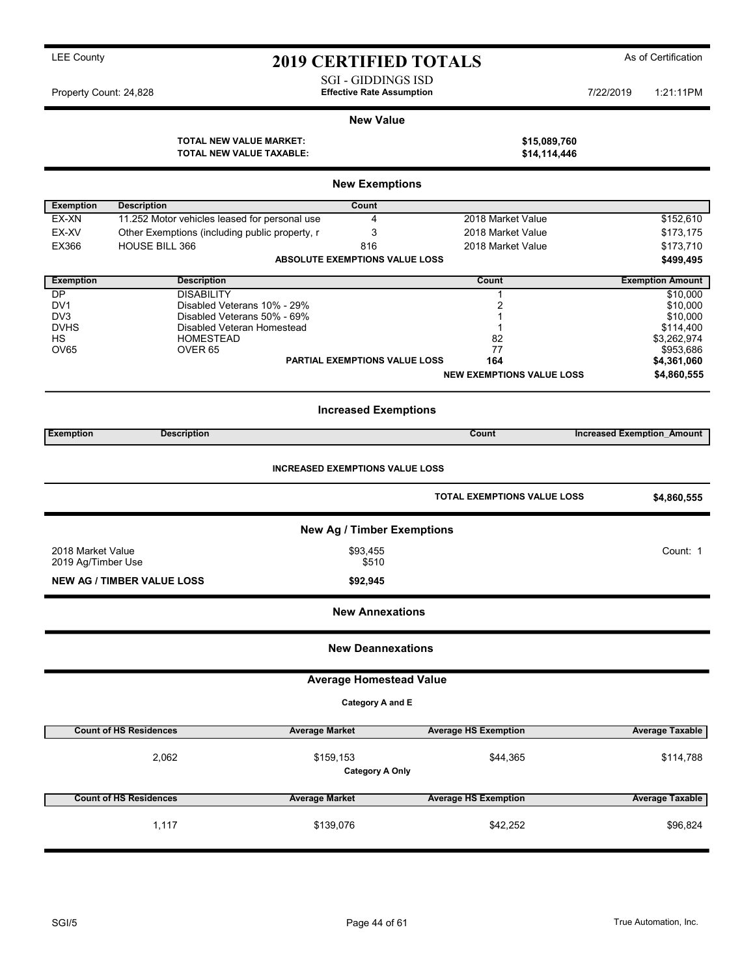## ty and the County of Certification 2019 CERTIFIED TOTALS As of Certification

SGI - GIDDINGS ISD

Property Count: 24,828 **7/22/2019 Effective Rate Assumption 1:21:11PM 7/22/2019** 1:21:11PM

#### New Value

TOTAL NEW VALUE MARKET: TOTAL NEW VALUE TAXABLE:

| \$15,089,760 |  |  |  |
|--------------|--|--|--|
| \$14,114,446 |  |  |  |

| <b>Exemption</b><br><b>Description</b><br>Count<br>11.252 Motor vehicles leased for personal use<br>\$152,610<br>EX-XN<br>4<br>2018 Market Value<br>EX-XV<br>3<br>Other Exemptions (including public property, r<br>2018 Market Value<br>\$173,175<br>HOUSE BILL 366<br>EX366<br>816<br>2018 Market Value<br>\$173,710<br><b>ABSOLUTE EXEMPTIONS VALUE LOSS</b><br>\$499,495<br><b>Exemption</b><br><b>Description</b><br>Count<br><b>Exemption Amount</b><br><b>DP</b><br><b>DISABILITY</b><br>\$10,000<br>1<br>Disabled Veterans 10% - 29%<br>2<br>DV <sub>1</sub><br>\$10,000<br>Disabled Veterans 50% - 69%<br>DV <sub>3</sub><br>\$10,000<br>1<br><b>DVHS</b><br>Disabled Veteran Homestead<br>\$114,400<br>1<br>HS<br><b>HOMESTEAD</b><br>82<br>\$3,262,974<br>OV65<br>OVER <sub>65</sub><br>77<br>\$953,686<br><b>PARTIAL EXEMPTIONS VALUE LOSS</b><br>164<br>\$4,361,060<br><b>NEW EXEMPTIONS VALUE LOSS</b><br>\$4,860,555<br><b>Increased Exemptions</b><br><b>Exemption</b><br><b>Description</b><br>Count<br><b>Increased Exemption Amount</b><br><b>INCREASED EXEMPTIONS VALUE LOSS</b><br><b>TOTAL EXEMPTIONS VALUE LOSS</b><br>\$4,860,555<br>New Ag / Timber Exemptions<br>2018 Market Value<br>\$93,455<br>Count: 1<br>2019 Ag/Timber Use<br>\$510<br><b>NEW AG / TIMBER VALUE LOSS</b><br>\$92,945<br><b>New Annexations</b><br><b>New Deannexations</b><br><b>Average Homestead Value</b><br>Category A and E<br><b>Count of HS Residences</b><br><b>Average Market</b><br><b>Average HS Exemption</b><br>Average Taxable<br>2,062<br>\$159,153<br>\$44,365<br>\$114,788<br><b>Category A Only</b><br><b>Count of HS Residences</b><br><b>Average Market</b><br><b>Average HS Exemption</b><br><b>Average Taxable</b><br>1,117<br>\$42,252<br>\$139,076<br>\$96,824 |  | <b>New Exemptions</b> |  |
|----------------------------------------------------------------------------------------------------------------------------------------------------------------------------------------------------------------------------------------------------------------------------------------------------------------------------------------------------------------------------------------------------------------------------------------------------------------------------------------------------------------------------------------------------------------------------------------------------------------------------------------------------------------------------------------------------------------------------------------------------------------------------------------------------------------------------------------------------------------------------------------------------------------------------------------------------------------------------------------------------------------------------------------------------------------------------------------------------------------------------------------------------------------------------------------------------------------------------------------------------------------------------------------------------------------------------------------------------------------------------------------------------------------------------------------------------------------------------------------------------------------------------------------------------------------------------------------------------------------------------------------------------------------------------------------------------------------------------------------------------------------------------------------|--|-----------------------|--|
|                                                                                                                                                                                                                                                                                                                                                                                                                                                                                                                                                                                                                                                                                                                                                                                                                                                                                                                                                                                                                                                                                                                                                                                                                                                                                                                                                                                                                                                                                                                                                                                                                                                                                                                                                                                        |  |                       |  |
|                                                                                                                                                                                                                                                                                                                                                                                                                                                                                                                                                                                                                                                                                                                                                                                                                                                                                                                                                                                                                                                                                                                                                                                                                                                                                                                                                                                                                                                                                                                                                                                                                                                                                                                                                                                        |  |                       |  |
|                                                                                                                                                                                                                                                                                                                                                                                                                                                                                                                                                                                                                                                                                                                                                                                                                                                                                                                                                                                                                                                                                                                                                                                                                                                                                                                                                                                                                                                                                                                                                                                                                                                                                                                                                                                        |  |                       |  |
|                                                                                                                                                                                                                                                                                                                                                                                                                                                                                                                                                                                                                                                                                                                                                                                                                                                                                                                                                                                                                                                                                                                                                                                                                                                                                                                                                                                                                                                                                                                                                                                                                                                                                                                                                                                        |  |                       |  |
|                                                                                                                                                                                                                                                                                                                                                                                                                                                                                                                                                                                                                                                                                                                                                                                                                                                                                                                                                                                                                                                                                                                                                                                                                                                                                                                                                                                                                                                                                                                                                                                                                                                                                                                                                                                        |  |                       |  |
|                                                                                                                                                                                                                                                                                                                                                                                                                                                                                                                                                                                                                                                                                                                                                                                                                                                                                                                                                                                                                                                                                                                                                                                                                                                                                                                                                                                                                                                                                                                                                                                                                                                                                                                                                                                        |  |                       |  |
|                                                                                                                                                                                                                                                                                                                                                                                                                                                                                                                                                                                                                                                                                                                                                                                                                                                                                                                                                                                                                                                                                                                                                                                                                                                                                                                                                                                                                                                                                                                                                                                                                                                                                                                                                                                        |  |                       |  |
|                                                                                                                                                                                                                                                                                                                                                                                                                                                                                                                                                                                                                                                                                                                                                                                                                                                                                                                                                                                                                                                                                                                                                                                                                                                                                                                                                                                                                                                                                                                                                                                                                                                                                                                                                                                        |  |                       |  |
|                                                                                                                                                                                                                                                                                                                                                                                                                                                                                                                                                                                                                                                                                                                                                                                                                                                                                                                                                                                                                                                                                                                                                                                                                                                                                                                                                                                                                                                                                                                                                                                                                                                                                                                                                                                        |  |                       |  |
|                                                                                                                                                                                                                                                                                                                                                                                                                                                                                                                                                                                                                                                                                                                                                                                                                                                                                                                                                                                                                                                                                                                                                                                                                                                                                                                                                                                                                                                                                                                                                                                                                                                                                                                                                                                        |  |                       |  |
|                                                                                                                                                                                                                                                                                                                                                                                                                                                                                                                                                                                                                                                                                                                                                                                                                                                                                                                                                                                                                                                                                                                                                                                                                                                                                                                                                                                                                                                                                                                                                                                                                                                                                                                                                                                        |  |                       |  |
|                                                                                                                                                                                                                                                                                                                                                                                                                                                                                                                                                                                                                                                                                                                                                                                                                                                                                                                                                                                                                                                                                                                                                                                                                                                                                                                                                                                                                                                                                                                                                                                                                                                                                                                                                                                        |  |                       |  |
|                                                                                                                                                                                                                                                                                                                                                                                                                                                                                                                                                                                                                                                                                                                                                                                                                                                                                                                                                                                                                                                                                                                                                                                                                                                                                                                                                                                                                                                                                                                                                                                                                                                                                                                                                                                        |  |                       |  |
|                                                                                                                                                                                                                                                                                                                                                                                                                                                                                                                                                                                                                                                                                                                                                                                                                                                                                                                                                                                                                                                                                                                                                                                                                                                                                                                                                                                                                                                                                                                                                                                                                                                                                                                                                                                        |  |                       |  |
|                                                                                                                                                                                                                                                                                                                                                                                                                                                                                                                                                                                                                                                                                                                                                                                                                                                                                                                                                                                                                                                                                                                                                                                                                                                                                                                                                                                                                                                                                                                                                                                                                                                                                                                                                                                        |  |                       |  |
|                                                                                                                                                                                                                                                                                                                                                                                                                                                                                                                                                                                                                                                                                                                                                                                                                                                                                                                                                                                                                                                                                                                                                                                                                                                                                                                                                                                                                                                                                                                                                                                                                                                                                                                                                                                        |  |                       |  |
|                                                                                                                                                                                                                                                                                                                                                                                                                                                                                                                                                                                                                                                                                                                                                                                                                                                                                                                                                                                                                                                                                                                                                                                                                                                                                                                                                                                                                                                                                                                                                                                                                                                                                                                                                                                        |  |                       |  |
|                                                                                                                                                                                                                                                                                                                                                                                                                                                                                                                                                                                                                                                                                                                                                                                                                                                                                                                                                                                                                                                                                                                                                                                                                                                                                                                                                                                                                                                                                                                                                                                                                                                                                                                                                                                        |  |                       |  |
|                                                                                                                                                                                                                                                                                                                                                                                                                                                                                                                                                                                                                                                                                                                                                                                                                                                                                                                                                                                                                                                                                                                                                                                                                                                                                                                                                                                                                                                                                                                                                                                                                                                                                                                                                                                        |  |                       |  |
|                                                                                                                                                                                                                                                                                                                                                                                                                                                                                                                                                                                                                                                                                                                                                                                                                                                                                                                                                                                                                                                                                                                                                                                                                                                                                                                                                                                                                                                                                                                                                                                                                                                                                                                                                                                        |  |                       |  |
|                                                                                                                                                                                                                                                                                                                                                                                                                                                                                                                                                                                                                                                                                                                                                                                                                                                                                                                                                                                                                                                                                                                                                                                                                                                                                                                                                                                                                                                                                                                                                                                                                                                                                                                                                                                        |  |                       |  |
|                                                                                                                                                                                                                                                                                                                                                                                                                                                                                                                                                                                                                                                                                                                                                                                                                                                                                                                                                                                                                                                                                                                                                                                                                                                                                                                                                                                                                                                                                                                                                                                                                                                                                                                                                                                        |  |                       |  |
|                                                                                                                                                                                                                                                                                                                                                                                                                                                                                                                                                                                                                                                                                                                                                                                                                                                                                                                                                                                                                                                                                                                                                                                                                                                                                                                                                                                                                                                                                                                                                                                                                                                                                                                                                                                        |  |                       |  |
|                                                                                                                                                                                                                                                                                                                                                                                                                                                                                                                                                                                                                                                                                                                                                                                                                                                                                                                                                                                                                                                                                                                                                                                                                                                                                                                                                                                                                                                                                                                                                                                                                                                                                                                                                                                        |  |                       |  |
|                                                                                                                                                                                                                                                                                                                                                                                                                                                                                                                                                                                                                                                                                                                                                                                                                                                                                                                                                                                                                                                                                                                                                                                                                                                                                                                                                                                                                                                                                                                                                                                                                                                                                                                                                                                        |  |                       |  |
|                                                                                                                                                                                                                                                                                                                                                                                                                                                                                                                                                                                                                                                                                                                                                                                                                                                                                                                                                                                                                                                                                                                                                                                                                                                                                                                                                                                                                                                                                                                                                                                                                                                                                                                                                                                        |  |                       |  |
|                                                                                                                                                                                                                                                                                                                                                                                                                                                                                                                                                                                                                                                                                                                                                                                                                                                                                                                                                                                                                                                                                                                                                                                                                                                                                                                                                                                                                                                                                                                                                                                                                                                                                                                                                                                        |  |                       |  |
|                                                                                                                                                                                                                                                                                                                                                                                                                                                                                                                                                                                                                                                                                                                                                                                                                                                                                                                                                                                                                                                                                                                                                                                                                                                                                                                                                                                                                                                                                                                                                                                                                                                                                                                                                                                        |  |                       |  |
|                                                                                                                                                                                                                                                                                                                                                                                                                                                                                                                                                                                                                                                                                                                                                                                                                                                                                                                                                                                                                                                                                                                                                                                                                                                                                                                                                                                                                                                                                                                                                                                                                                                                                                                                                                                        |  |                       |  |
|                                                                                                                                                                                                                                                                                                                                                                                                                                                                                                                                                                                                                                                                                                                                                                                                                                                                                                                                                                                                                                                                                                                                                                                                                                                                                                                                                                                                                                                                                                                                                                                                                                                                                                                                                                                        |  |                       |  |
|                                                                                                                                                                                                                                                                                                                                                                                                                                                                                                                                                                                                                                                                                                                                                                                                                                                                                                                                                                                                                                                                                                                                                                                                                                                                                                                                                                                                                                                                                                                                                                                                                                                                                                                                                                                        |  |                       |  |
|                                                                                                                                                                                                                                                                                                                                                                                                                                                                                                                                                                                                                                                                                                                                                                                                                                                                                                                                                                                                                                                                                                                                                                                                                                                                                                                                                                                                                                                                                                                                                                                                                                                                                                                                                                                        |  |                       |  |
|                                                                                                                                                                                                                                                                                                                                                                                                                                                                                                                                                                                                                                                                                                                                                                                                                                                                                                                                                                                                                                                                                                                                                                                                                                                                                                                                                                                                                                                                                                                                                                                                                                                                                                                                                                                        |  |                       |  |
|                                                                                                                                                                                                                                                                                                                                                                                                                                                                                                                                                                                                                                                                                                                                                                                                                                                                                                                                                                                                                                                                                                                                                                                                                                                                                                                                                                                                                                                                                                                                                                                                                                                                                                                                                                                        |  |                       |  |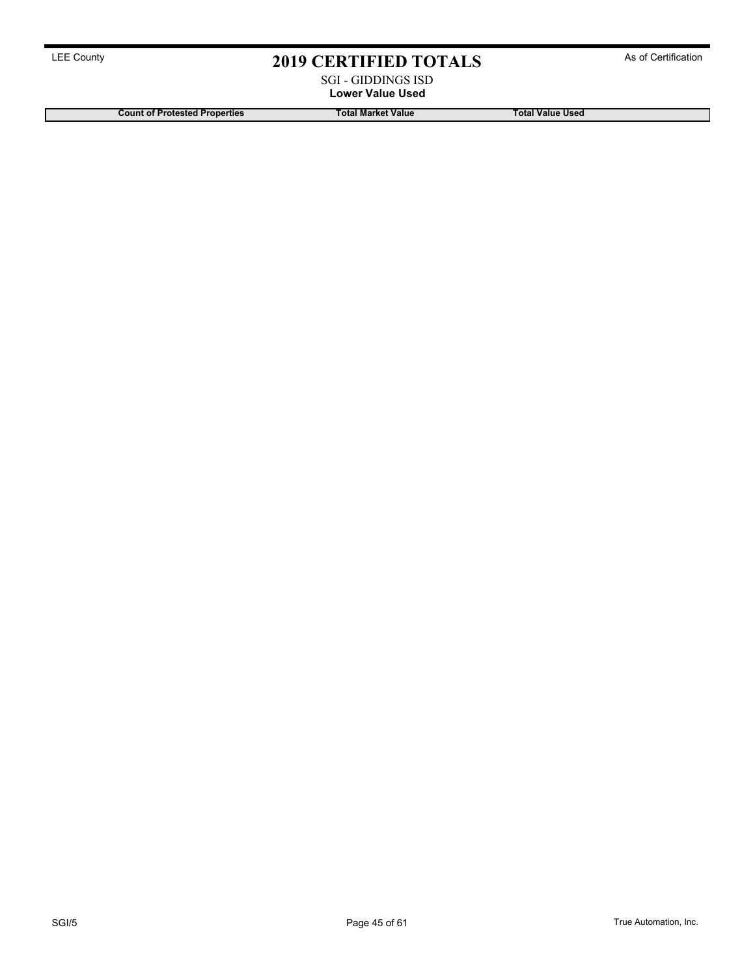### SGI - GIDDINGS ISD Lower Value Used

Count of Protested Properties Total Market Value Total Market Value Total Value Used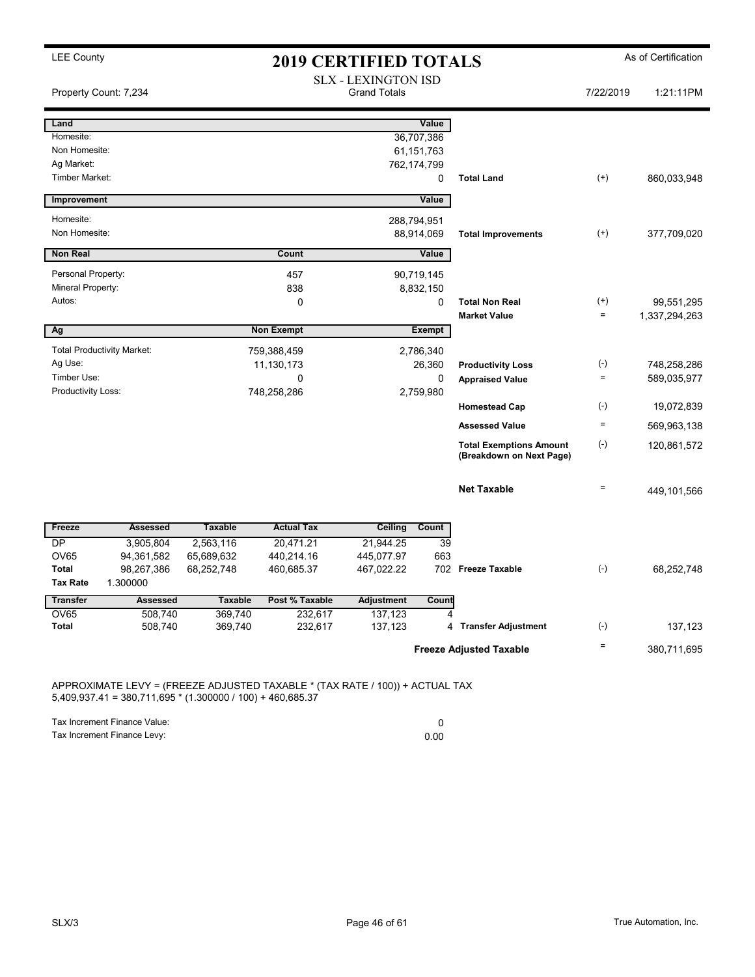| <b>LEE County</b>           |                                   |                    | <b>2019 CERTIFIED TOTALS</b> |                                                   |                          |                                                            |                          | As of Certification |
|-----------------------------|-----------------------------------|--------------------|------------------------------|---------------------------------------------------|--------------------------|------------------------------------------------------------|--------------------------|---------------------|
|                             | Property Count: 7,234             |                    |                              | <b>SLX - LEXINGTON ISD</b><br><b>Grand Totals</b> |                          |                                                            | 7/22/2019                | 1:21:11PM           |
| Land                        |                                   |                    |                              |                                                   | Value                    |                                                            |                          |                     |
| Homesite:                   |                                   |                    |                              |                                                   | 36,707,386               |                                                            |                          |                     |
| Non Homesite:<br>Ag Market: |                                   |                    |                              |                                                   | 61,151,763               |                                                            |                          |                     |
| Timber Market:              |                                   |                    |                              |                                                   | 762,174,799<br>0         | <b>Total Land</b>                                          | $^{(+)}$                 | 860,033,948         |
| Improvement                 |                                   |                    |                              |                                                   | Value                    |                                                            |                          |                     |
| Homesite:                   |                                   |                    |                              |                                                   | 288,794,951              |                                                            |                          |                     |
| Non Homesite:               |                                   |                    |                              |                                                   | 88,914,069               | <b>Total Improvements</b>                                  | $^{(+)}$                 | 377,709,020         |
| <b>Non Real</b>             |                                   |                    | Count                        |                                                   | <b>Value</b>             |                                                            |                          |                     |
| Personal Property:          |                                   |                    | 457                          |                                                   | 90,719,145               |                                                            |                          |                     |
| Mineral Property:           |                                   |                    | 838                          |                                                   | 8,832,150                |                                                            |                          |                     |
| Autos:                      |                                   |                    | 0                            |                                                   | $\mathbf 0$              | <b>Total Non Real</b>                                      | $^{(+)}$                 | 99,551,295          |
|                             |                                   |                    |                              |                                                   |                          | <b>Market Value</b>                                        | $\equiv$                 | 1,337,294,263       |
| Ag                          |                                   |                    | <b>Non Exempt</b>            |                                                   | Exempt                   |                                                            |                          |                     |
|                             | <b>Total Productivity Market:</b> |                    | 759,388,459                  |                                                   | 2,786,340                |                                                            |                          |                     |
| Ag Use:<br>Timber Use:      |                                   |                    | 11,130,173                   |                                                   | 26,360                   | <b>Productivity Loss</b>                                   | $(\text{-})$<br>$\equiv$ | 748,258,286         |
| Productivity Loss:          |                                   |                    | 0<br>748,258,286             |                                                   | $\mathbf 0$<br>2,759,980 | <b>Appraised Value</b>                                     |                          | 589,035,977         |
|                             |                                   |                    |                              |                                                   |                          | <b>Homestead Cap</b>                                       | $(-)$                    | 19,072,839          |
|                             |                                   |                    |                              |                                                   |                          | <b>Assessed Value</b>                                      | $\equiv$                 | 569,963,138         |
|                             |                                   |                    |                              |                                                   |                          | <b>Total Exemptions Amount</b><br>(Breakdown on Next Page) | $(-)$                    | 120,861,572         |
|                             |                                   |                    |                              |                                                   |                          | <b>Net Taxable</b>                                         | $\equiv$                 | 449,101,566         |
| Freeze                      | <b>Assessed</b>                   | <b>Taxable</b>     | <b>Actual Tax</b>            | <b>Ceiling</b>                                    | Count                    |                                                            |                          |                     |
| $\overline{DP}$             | 3.905.804                         | 2,563,116          | 20.471.21                    | 21,944.25                                         | 39                       |                                                            |                          |                     |
| OV65                        | 94,361,582                        | 65,689,632         | 440,214.16                   | 445,077.97                                        | 663                      |                                                            |                          |                     |
| Total                       | 98,267,386                        | 68,252,748         | 460,685.37                   | 467,022.22                                        |                          | 702 Freeze Taxable                                         | $(-)$                    | 68,252,748          |
| <b>Tax Rate</b>             | 1.300000                          |                    |                              |                                                   |                          |                                                            |                          |                     |
| <b>Transfer</b>             | <b>Assessed</b>                   | <b>Taxable</b>     | Post % Taxable               | <b>Adjustment</b>                                 | Count                    |                                                            |                          |                     |
| OV65<br>Total               | 508,740<br>508,740                | 369,740<br>369,740 | 232,617<br>232,617           | 137,123<br>137,123                                |                          | 4 Transfer Adjustment                                      | $(-)$                    | 137,123             |
|                             |                                   |                    |                              |                                                   |                          |                                                            | $\equiv$                 |                     |
|                             |                                   |                    |                              |                                                   |                          | <b>Freeze Adjusted Taxable</b>                             |                          | 380,711,695         |

APPROXIMATE LEVY = (FREEZE ADJUSTED TAXABLE \* (TAX RATE / 100)) + ACTUAL TAX  $5,409,937.41 = 380,711,695 * (1.300000 / 100) + 460,685.37$ 

Tax Increment Finance Value: 0

Tax Increment Finance Levy: 0.00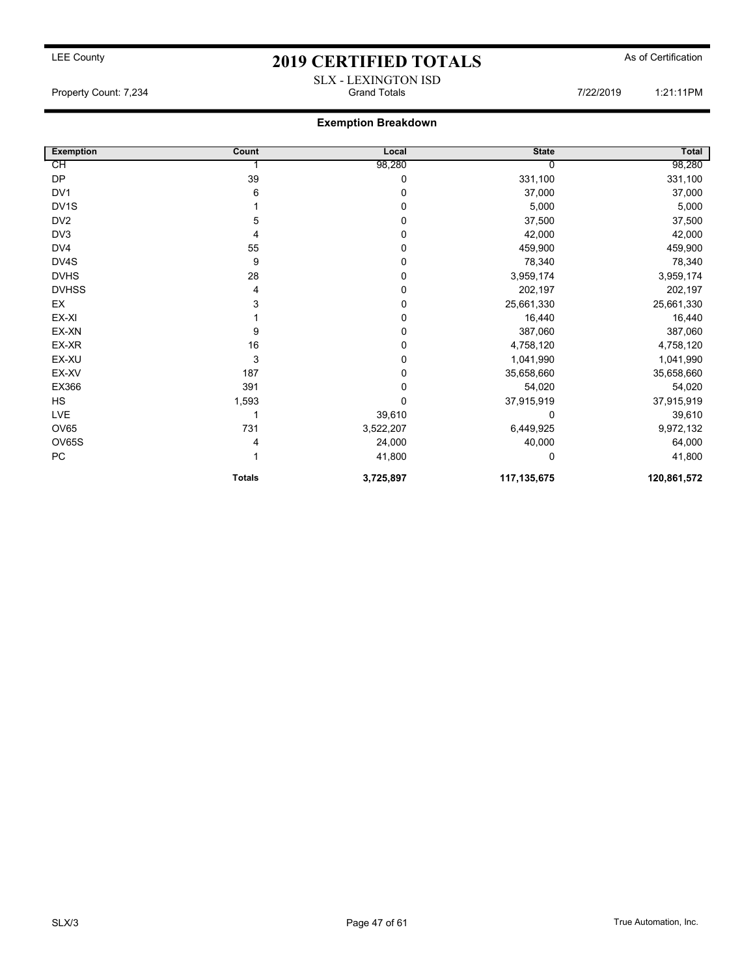## LEE County As of Certification **2019 CERTIFIED TOTALS** As of Certification SLX - LEXINGTON ISD

Property Count: 7,234 **Figure 1:21:11PM** Grand Totals 7/22/2019 1:21:11PM

### Exemption Breakdown

| <b>Exemption</b>  | Count         | Local     | <b>State</b> | <b>Total</b> |
|-------------------|---------------|-----------|--------------|--------------|
| СH                |               | 98,280    |              | 98,280       |
| DP                | 39            | 0         | 331,100      | 331,100      |
| DV <sub>1</sub>   | 6             | 0         | 37,000       | 37,000       |
| DV <sub>1</sub> S |               | 0         | 5,000        | 5,000        |
| DV <sub>2</sub>   | 5             | 0         | 37,500       | 37,500       |
| DV3               | 4             | 0         | 42,000       | 42,000       |
| DV4               | 55            | 0         | 459,900      | 459,900      |
| DV4S              | 9             | 0         | 78,340       | 78,340       |
| <b>DVHS</b>       | 28            | 0         | 3,959,174    | 3,959,174    |
| <b>DVHSS</b>      | 4             | 0         | 202,197      | 202,197      |
| EX                | 3             | 0         | 25,661,330   | 25,661,330   |
| EX-XI             |               | 0         | 16,440       | 16,440       |
| EX-XN             | 9             | 0         | 387,060      | 387,060      |
| EX-XR             | 16            | 0         | 4,758,120    | 4,758,120    |
| EX-XU             | 3             | 0         | 1,041,990    | 1,041,990    |
| EX-XV             | 187           | 0         | 35,658,660   | 35,658,660   |
| EX366             | 391           | 0         | 54,020       | 54,020       |
| HS                | 1,593         | 0         | 37,915,919   | 37,915,919   |
| LVE               |               | 39,610    | 0            | 39,610       |
| <b>OV65</b>       | 731           | 3,522,207 | 6,449,925    | 9,972,132    |
| OV65S             |               | 24,000    | 40,000       | 64,000       |
| PC                |               | 41,800    | 0            | 41,800       |
|                   | <b>Totals</b> | 3,725,897 | 117,135,675  | 120,861,572  |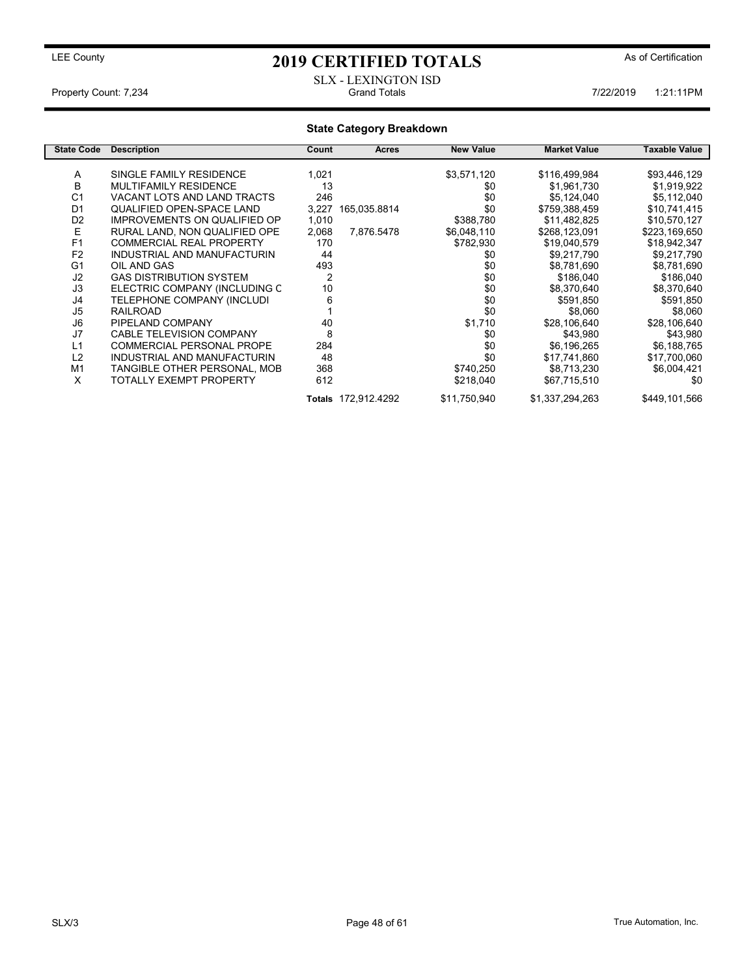### SLX - LEXINGTON ISD Property Count: 7,234 7122/2019 1:21:11PM Grand Totals 7/22/2019 1:21:11PM

### State Category Breakdown

| <b>State Code</b> | <b>Description</b>                  | Count | <b>Acres</b>        | <b>New Value</b> | <b>Market Value</b> | Taxable Value |
|-------------------|-------------------------------------|-------|---------------------|------------------|---------------------|---------------|
|                   |                                     |       |                     |                  |                     |               |
| A                 | SINGLE FAMILY RESIDENCE             | 1,021 |                     | \$3,571,120      | \$116,499,984       | \$93,446,129  |
| B                 | <b>MULTIFAMILY RESIDENCE</b>        | 13    |                     | \$0              | \$1,961,730         | \$1,919,922   |
| C <sub>1</sub>    | VACANT LOTS AND LAND TRACTS         | 246   |                     | \$0              | \$5,124,040         | \$5,112,040   |
| D <sub>1</sub>    | QUALIFIED OPEN-SPACE LAND           | 3,227 | 165,035.8814        | \$0              | \$759,388,459       | \$10,741,415  |
| D <sub>2</sub>    | <b>IMPROVEMENTS ON QUALIFIED OP</b> | 1,010 |                     | \$388,780        | \$11,482,825        | \$10,570,127  |
| E                 | RURAL LAND, NON QUALIFIED OPE       | 2,068 | 7,876.5478          | \$6,048,110      | \$268,123,091       | \$223,169,650 |
| F <sub>1</sub>    | <b>COMMERCIAL REAL PROPERTY</b>     | 170   |                     | \$782,930        | \$19,040,579        | \$18,942,347  |
| F <sub>2</sub>    | INDUSTRIAL AND MANUFACTURIN         | 44    |                     | \$0              | \$9,217,790         | \$9,217,790   |
| G <sub>1</sub>    | OIL AND GAS                         | 493   |                     | \$0              | \$8,781,690         | \$8,781,690   |
| J2                | <b>GAS DISTRIBUTION SYSTEM</b>      | 2     |                     | \$0              | \$186,040           | \$186,040     |
| J3                | ELECTRIC COMPANY (INCLUDING C       | 10    |                     | \$0              | \$8,370,640         | \$8,370,640   |
| J4                | TELEPHONE COMPANY (INCLUDI          | 6     |                     | \$0              | \$591,850           | \$591,850     |
| J <sub>5</sub>    | <b>RAILROAD</b>                     |       |                     | \$0              | \$8,060             | \$8,060       |
| J6                | PIPELAND COMPANY                    | 40    |                     | \$1,710          | \$28,106,640        | \$28,106,640  |
| J7                | <b>CABLE TELEVISION COMPANY</b>     | 8     |                     | \$0              | \$43.980            | \$43,980      |
| L1                | <b>COMMERCIAL PERSONAL PROPE</b>    | 284   |                     | \$0              | \$6,196,265         | \$6,188,765   |
| L2                | INDUSTRIAL AND MANUFACTURIN         | 48    |                     | \$0              | \$17,741,860        | \$17,700,060  |
| M1                | TANGIBLE OTHER PERSONAL, MOB        | 368   |                     | \$740,250        | \$8,713,230         | \$6,004,421   |
| X                 | TOTALLY EXEMPT PROPERTY             | 612   |                     | \$218,040        | \$67,715,510        | \$0           |
|                   |                                     |       | Totals 172,912.4292 | \$11,750,940     | \$1,337,294,263     | \$449,101,566 |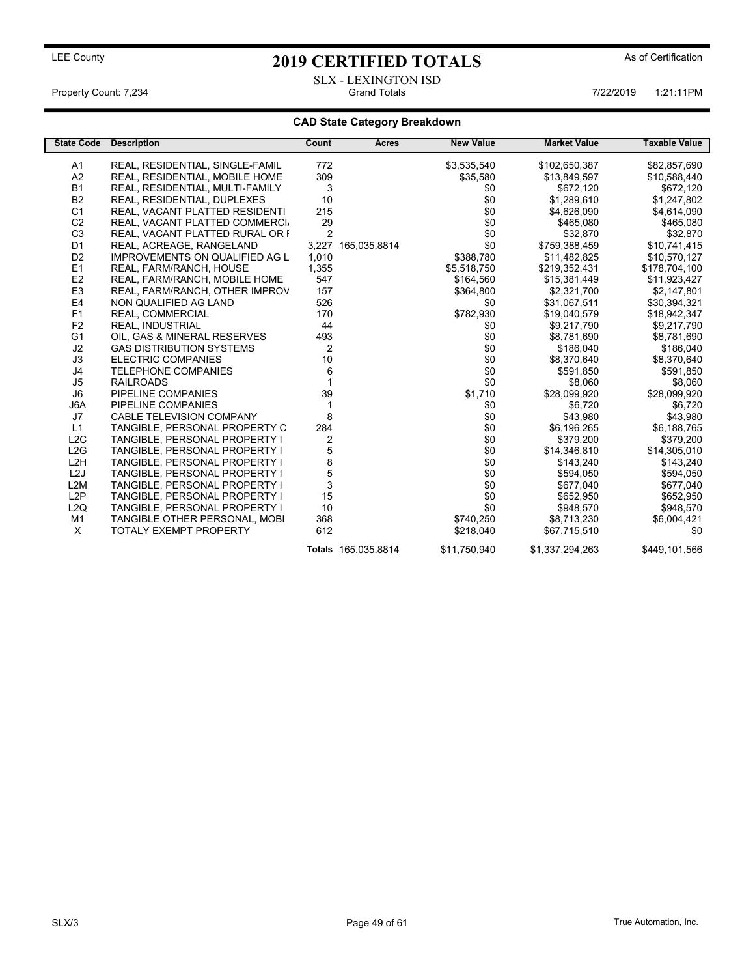SLX - LEXINGTON ISD Property Count: 7,234 **Count: 7,234** Crand Totals 1:21:11PM Grand Totals 1:22/2019 1:21:11PM

### CAD State Category Breakdown

| <b>State Code</b> | <b>Description</b>                    | Count          | Acres               | <b>New Value</b> | <b>Market Value</b> | <b>Taxable Value</b> |
|-------------------|---------------------------------------|----------------|---------------------|------------------|---------------------|----------------------|
| A1                | REAL, RESIDENTIAL, SINGLE-FAMIL       | 772            |                     | \$3,535,540      | \$102,650,387       | \$82,857,690         |
| A2                | REAL, RESIDENTIAL, MOBILE HOME        | 309            |                     | \$35,580         | \$13,849,597        | \$10,588,440         |
| <b>B1</b>         | REAL, RESIDENTIAL, MULTI-FAMILY       | 3              |                     | \$0              | \$672,120           | \$672,120            |
| B <sub>2</sub>    | REAL, RESIDENTIAL, DUPLEXES           | 10             |                     | \$0              | \$1,289,610         | \$1,247,802          |
| C <sub>1</sub>    | REAL, VACANT PLATTED RESIDENTI        | 215            |                     | \$0              | \$4,626,090         | \$4,614,090          |
| C <sub>2</sub>    | REAL, VACANT PLATTED COMMERCI.        | 29             |                     | \$0              | \$465,080           | \$465,080            |
| C <sub>3</sub>    | REAL, VACANT PLATTED RURAL OR I       | $\overline{2}$ |                     | \$0              | \$32,870            | \$32,870             |
| D <sub>1</sub>    | REAL, ACREAGE, RANGELAND              | 3,227          | 165,035.8814        | \$0              | \$759,388,459       | \$10,741,415         |
| D <sub>2</sub>    | <b>IMPROVEMENTS ON QUALIFIED AG L</b> | 1,010          |                     | \$388,780        | \$11,482,825        | \$10,570,127         |
| E1                | REAL, FARM/RANCH, HOUSE               | 1,355          |                     | \$5,518,750      | \$219,352,431       | \$178,704,100        |
| E <sub>2</sub>    | REAL, FARM/RANCH, MOBILE HOME         | 547            |                     | \$164,560        | \$15,381,449        | \$11,923,427         |
| E <sub>3</sub>    | REAL, FARM/RANCH, OTHER IMPROV        | 157            |                     | \$364,800        | \$2,321,700         | \$2,147,801          |
| E4                | NON QUALIFIED AG LAND                 | 526            |                     | \$0              | \$31,067,511        | \$30,394,321         |
| F <sub>1</sub>    | REAL, COMMERCIAL                      | 170            |                     | \$782,930        | \$19,040,579        | \$18,942,347         |
| F <sub>2</sub>    | <b>REAL, INDUSTRIAL</b>               | 44             |                     | \$0              | \$9,217,790         | \$9,217,790          |
| G <sub>1</sub>    | OIL, GAS & MINERAL RESERVES           | 493            |                     | \$0              | \$8,781,690         | \$8,781,690          |
| J2                | <b>GAS DISTRIBUTION SYSTEMS</b>       | $\overline{2}$ |                     | \$0              | \$186,040           | \$186,040            |
| J3                | <b>ELECTRIC COMPANIES</b>             | 10             |                     | \$0              | \$8,370,640         | \$8,370,640          |
| J4                | <b>TELEPHONE COMPANIES</b>            | 6              |                     | \$0              | \$591,850           | \$591,850            |
| J5                | <b>RAILROADS</b>                      |                |                     | \$0              | \$8,060             | \$8,060              |
| J <sub>6</sub>    | PIPELINE COMPANIES                    | 39             |                     | \$1,710          | \$28,099,920        | \$28,099,920         |
| J6A               | PIPELINE COMPANIES                    |                |                     | \$0              | \$6,720             | \$6,720              |
| J7                | CABLE TELEVISION COMPANY              | 8              |                     | \$0              | \$43,980            | \$43,980             |
| L1                | TANGIBLE, PERSONAL PROPERTY C         | 284            |                     | \$0              | \$6,196,265         | \$6,188,765          |
| L2C               | TANGIBLE, PERSONAL PROPERTY I         | $\overline{2}$ |                     | \$0              | \$379,200           | \$379,200            |
| L2G               | TANGIBLE, PERSONAL PROPERTY I         | 5              |                     | \$0              | \$14,346,810        | \$14,305,010         |
| L <sub>2</sub> H  | TANGIBLE, PERSONAL PROPERTY I         | 8              |                     | \$0              | \$143,240           | \$143,240            |
| L <sub>2</sub> J  | TANGIBLE, PERSONAL PROPERTY I         | 5              |                     | \$0              | \$594,050           | \$594,050            |
| L2M               | TANGIBLE, PERSONAL PROPERTY I         | 3              |                     | \$0              | \$677,040           | \$677,040            |
| L2P               | TANGIBLE, PERSONAL PROPERTY I         | 15             |                     | \$0              | \$652,950           | \$652,950            |
| L <sub>2</sub> Q  | TANGIBLE, PERSONAL PROPERTY I         | 10             |                     | \$0              | \$948,570           | \$948,570            |
| M1                | TANGIBLE OTHER PERSONAL, MOBI         | 368            |                     | \$740,250        | \$8.713.230         | \$6,004,421          |
| $\times$          | <b>TOTALY EXEMPT PROPERTY</b>         | 612            |                     | \$218,040        | \$67,715,510        | \$0                  |
|                   |                                       |                | Totals 165,035.8814 | \$11,750,940     | \$1,337,294,263     | \$449,101,566        |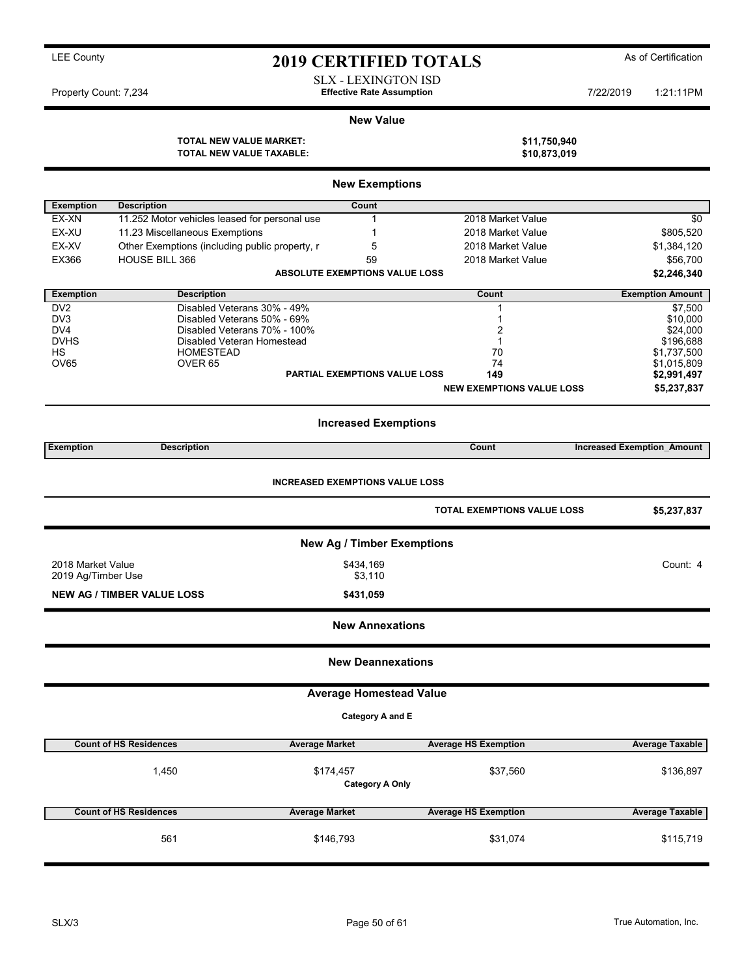SLX - LEXINGTON ISD Property Count: 7,234 **7/22/2019** Terretive Rate Assumption **1:21:11PM** Property Count: 7,234

#### New Value

|                                        |                                                            | <b>New Exemptions</b>                 |                                    |                                   |  |  |  |  |
|----------------------------------------|------------------------------------------------------------|---------------------------------------|------------------------------------|-----------------------------------|--|--|--|--|
| <b>Exemption</b>                       | <b>Description</b>                                         | Count                                 |                                    |                                   |  |  |  |  |
| EX-XN                                  | 11.252 Motor vehicles leased for personal use              | 1                                     | 2018 Market Value                  | \$0                               |  |  |  |  |
| EX-XU                                  | 11.23 Miscellaneous Exemptions                             |                                       | 2018 Market Value                  | \$805,520                         |  |  |  |  |
| EX-XV                                  | Other Exemptions (including public property, r             | 5                                     | 2018 Market Value                  | \$1,384,120                       |  |  |  |  |
| EX366                                  | HOUSE BILL 366                                             | 59                                    | 2018 Market Value                  | \$56,700                          |  |  |  |  |
|                                        |                                                            | <b>ABSOLUTE EXEMPTIONS VALUE LOSS</b> |                                    | \$2,246,340                       |  |  |  |  |
| <b>Exemption</b>                       | <b>Description</b>                                         |                                       | Count                              | <b>Exemption Amount</b>           |  |  |  |  |
| DV <sub>2</sub>                        | Disabled Veterans 30% - 49%                                |                                       |                                    | \$7,500                           |  |  |  |  |
| DV3                                    | Disabled Veterans 50% - 69%                                |                                       | 1                                  | \$10,000                          |  |  |  |  |
| DV <sub>4</sub><br><b>DVHS</b>         | Disabled Veterans 70% - 100%<br>Disabled Veteran Homestead |                                       | 2<br>1                             | \$24,000<br>\$196,688             |  |  |  |  |
| HS                                     | <b>HOMESTEAD</b>                                           |                                       | 70                                 | \$1,737,500                       |  |  |  |  |
| OV65                                   | OVER <sub>65</sub>                                         |                                       | 74                                 | \$1,015,809                       |  |  |  |  |
|                                        |                                                            | <b>PARTIAL EXEMPTIONS VALUE LOSS</b>  | 149                                | \$2,991,497                       |  |  |  |  |
|                                        |                                                            |                                       | <b>NEW EXEMPTIONS VALUE LOSS</b>   | \$5,237,837                       |  |  |  |  |
| <b>Increased Exemptions</b>            |                                                            |                                       |                                    |                                   |  |  |  |  |
| <b>Exemption</b>                       | <b>Description</b>                                         |                                       | Count                              | <b>Increased Exemption Amount</b> |  |  |  |  |
| <b>INCREASED EXEMPTIONS VALUE LOSS</b> |                                                            |                                       |                                    |                                   |  |  |  |  |
|                                        |                                                            |                                       | <b>TOTAL EXEMPTIONS VALUE LOSS</b> | \$5,237,837                       |  |  |  |  |
|                                        |                                                            | <b>New Ag / Timber Exemptions</b>     |                                    |                                   |  |  |  |  |
| 2018 Market Value                      |                                                            | \$434,169                             |                                    | Count: 4                          |  |  |  |  |
| 2019 Ag/Timber Use                     |                                                            | \$3,110                               |                                    |                                   |  |  |  |  |
|                                        | <b>NEW AG / TIMBER VALUE LOSS</b>                          | \$431,059                             |                                    |                                   |  |  |  |  |
|                                        |                                                            | <b>New Annexations</b>                |                                    |                                   |  |  |  |  |
|                                        |                                                            | <b>New Deannexations</b>              |                                    |                                   |  |  |  |  |
|                                        |                                                            | <b>Average Homestead Value</b>        |                                    |                                   |  |  |  |  |
|                                        |                                                            | Category A and E                      |                                    |                                   |  |  |  |  |
|                                        | <b>Count of HS Residences</b><br><b>Average Market</b>     |                                       | <b>Average HS Exemption</b>        | <b>Average Taxable</b>            |  |  |  |  |
|                                        | 1,450                                                      | \$174,457<br><b>Category A Only</b>   | \$37,560                           | \$136,897                         |  |  |  |  |
|                                        | <b>Count of HS Residences</b><br><b>Average Market</b>     |                                       | <b>Average HS Exemption</b>        | <b>Average Taxable</b>            |  |  |  |  |
|                                        | 561                                                        | \$146,793                             | \$31,074                           | \$115,719                         |  |  |  |  |

TOTAL NEW VALUE MARKET: \$11,750,940 TOTAL NEW VALUE TAXABLE: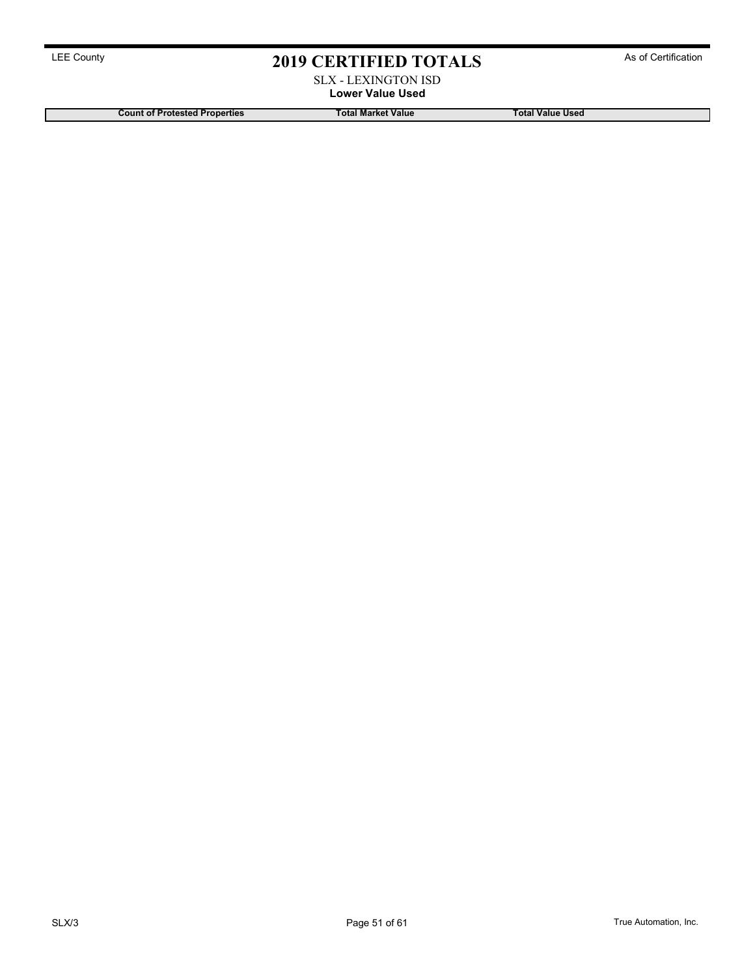### SLX - LEXINGTON ISD Lower Value Used

Count of Protested Properties Total Market Value Total Market Value Total Value Used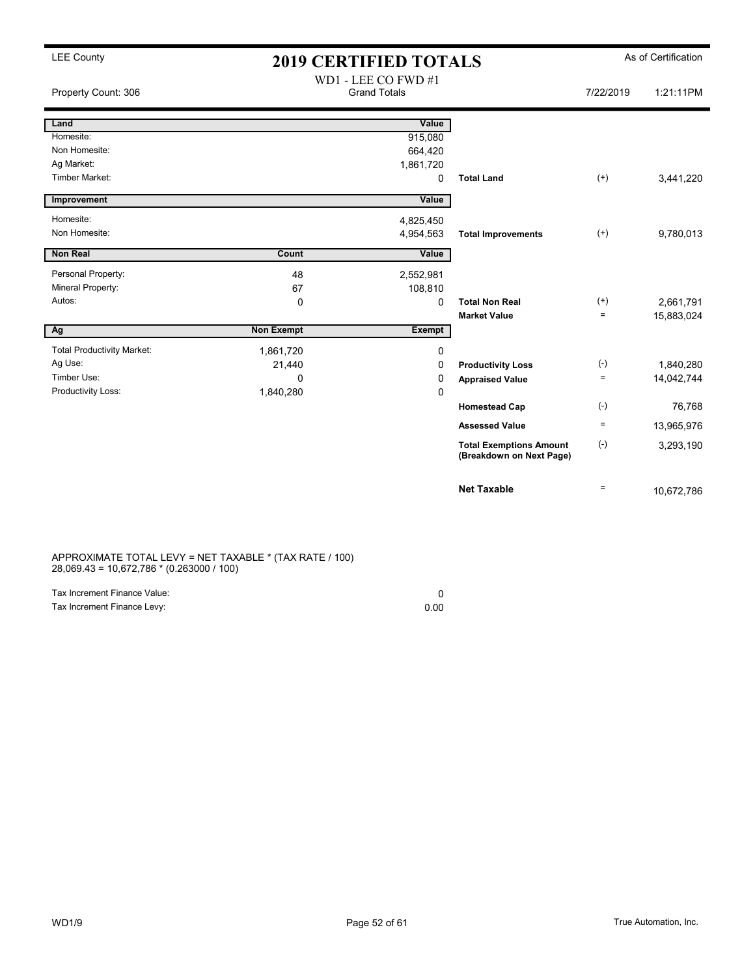## LEE County **2019 CERTIFIED TOTALS** As of Certification

| Property Count: 306               |                   | WD1 - LEE CO FWD #1<br><b>Grand Totals</b> |                                                            | 7/22/2019    | 1:21:11PM  |
|-----------------------------------|-------------------|--------------------------------------------|------------------------------------------------------------|--------------|------------|
| Land                              |                   | Value                                      |                                                            |              |            |
| Homesite:                         |                   | 915,080                                    |                                                            |              |            |
| Non Homesite:                     |                   | 664,420                                    |                                                            |              |            |
| Ag Market:                        |                   | 1,861,720                                  |                                                            |              |            |
| <b>Timber Market:</b>             |                   | 0                                          | <b>Total Land</b>                                          | $^{(+)}$     | 3,441,220  |
| Improvement                       |                   | Value                                      |                                                            |              |            |
| Homesite:                         |                   | 4,825,450                                  |                                                            |              |            |
| Non Homesite:                     |                   | 4,954,563                                  | <b>Total Improvements</b>                                  | $^{(+)}$     | 9,780,013  |
| <b>Non Real</b>                   | Count             | Value                                      |                                                            |              |            |
| Personal Property:                | 48                | 2,552,981                                  |                                                            |              |            |
| Mineral Property:                 | 67                | 108,810                                    |                                                            |              |            |
| Autos:                            | 0                 | 0                                          | <b>Total Non Real</b>                                      | $^{(+)}$     | 2,661,791  |
|                                   |                   |                                            | <b>Market Value</b>                                        | $\equiv$     | 15,883,024 |
| Ag                                | <b>Non Exempt</b> | <b>Exempt</b>                              |                                                            |              |            |
| <b>Total Productivity Market:</b> | 1,861,720         | 0                                          |                                                            |              |            |
| Ag Use:                           | 21,440            | 0                                          | <b>Productivity Loss</b>                                   | $(-)$        | 1,840,280  |
| Timber Use:                       | $\Omega$          | 0                                          | <b>Appraised Value</b>                                     | $\equiv$     | 14,042,744 |
| Productivity Loss:                | 1,840,280         | 0                                          |                                                            |              |            |
|                                   |                   |                                            | <b>Homestead Cap</b>                                       | $(-)$        | 76,768     |
|                                   |                   |                                            | <b>Assessed Value</b>                                      | $\equiv$     | 13,965,976 |
|                                   |                   |                                            | <b>Total Exemptions Amount</b><br>(Breakdown on Next Page) | $(\text{-})$ | 3,293,190  |
|                                   |                   |                                            | <b>Net Taxable</b>                                         | $=$          | 10,672,786 |

APPROXIMATE TOTAL LEVY = NET TAXABLE \* (TAX RATE / 100) 28,069.43 = 10,672,786 \* (0.263000 / 100)

| Tax Increment Finance Value: |      |
|------------------------------|------|
| Tax Increment Finance Levy:  | 0.00 |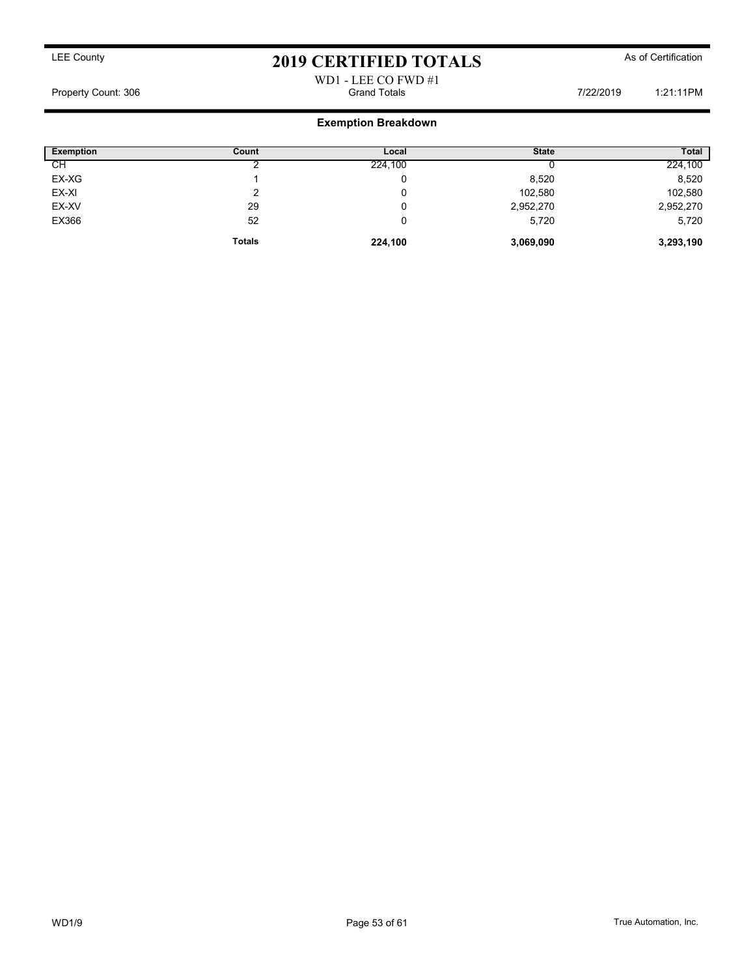### WD1 - LEE CO FWD #1 Property Count: 306 **Figure 1:21:11PM** Grand Totals **7/22/2019** 1:21:11PM

### Exemption Breakdown

| Exemption | Count         | Local   | <b>State</b> | <b>Total</b> |
|-----------|---------------|---------|--------------|--------------|
| CН        |               | 224,100 |              | 224,100      |
| EX-XG     |               | 0       | 8,520        | 8,520        |
| EX-XI     |               | 0       | 102,580      | 102,580      |
| EX-XV     | 29            | U       | 2,952,270    | 2,952,270    |
| EX366     | 52            | 0       | 5,720        | 5,720        |
|           | <b>Totals</b> | 224,100 | 3,069,090    | 3,293,190    |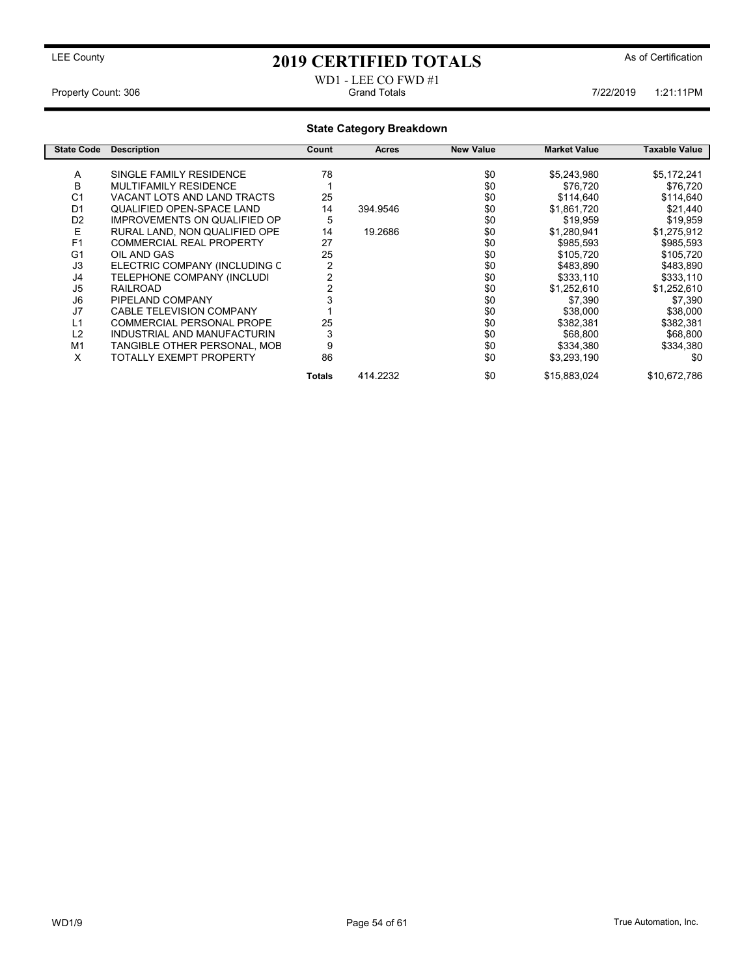### WD1 - LEE CO FWD #1 Property Count: 306 **7/22/2019** 1:21:11PM Grand Totals **Counting the County of Counting terms** of Counting Section 4:21:11PM

### State Category Breakdown

| <b>State Code</b> | <b>Description</b>                  | Count          | Acres    | <b>New Value</b> | <b>Market Value</b> | Taxable Value |
|-------------------|-------------------------------------|----------------|----------|------------------|---------------------|---------------|
|                   |                                     |                |          |                  |                     |               |
| A                 | SINGLE FAMILY RESIDENCE             | 78             |          | \$0              | \$5,243,980         | \$5,172,241   |
| в                 | MULTIFAMILY RESIDENCE               |                |          | \$0              | \$76,720            | \$76,720      |
| C <sub>1</sub>    | VACANT LOTS AND LAND TRACTS         | 25             |          | \$0              | \$114,640           | \$114,640     |
| D <sub>1</sub>    | QUALIFIED OPEN-SPACE LAND           | 14             | 394.9546 | \$0              | \$1,861,720         | \$21,440      |
| D <sub>2</sub>    | <b>IMPROVEMENTS ON QUALIFIED OP</b> | 5              |          | \$0              | \$19.959            | \$19,959      |
| E                 | RURAL LAND. NON QUALIFIED OPE       | 14             | 19.2686  | \$0              | \$1,280,941         | \$1,275,912   |
| F <sub>1</sub>    | <b>COMMERCIAL REAL PROPERTY</b>     | 27             |          | \$0              | \$985,593           | \$985,593     |
| G <sub>1</sub>    | OIL AND GAS                         | 25             |          | \$0              | \$105,720           | \$105,720     |
| J3                | ELECTRIC COMPANY (INCLUDING C       | $\overline{2}$ |          | \$0              | \$483,890           | \$483,890     |
| J4                | TELEPHONE COMPANY (INCLUDI          | 2              |          | \$0              | \$333,110           | \$333,110     |
| J5                | <b>RAILROAD</b>                     |                |          | \$0              | \$1,252,610         | \$1,252,610   |
| J6                | PIPELAND COMPANY                    |                |          | \$0              | \$7,390             | \$7,390       |
| J7                | <b>CABLE TELEVISION COMPANY</b>     |                |          | \$0              | \$38,000            | \$38,000      |
| L1                | COMMERCIAL PERSONAL PROPE           | 25             |          | \$0              | \$382,381           | \$382,381     |
| L2                | INDUSTRIAL AND MANUFACTURIN         | 3              |          | \$0              | \$68,800            | \$68,800      |
| M <sub>1</sub>    | TANGIBLE OTHER PERSONAL, MOB        | 9              |          | \$0              | \$334,380           | \$334,380     |
| X                 | TOTALLY EXEMPT PROPERTY             | 86             |          | \$0              | \$3,293,190         | \$0           |
|                   |                                     | Totals         | 414.2232 | \$0              | \$15,883,024        | \$10,672,786  |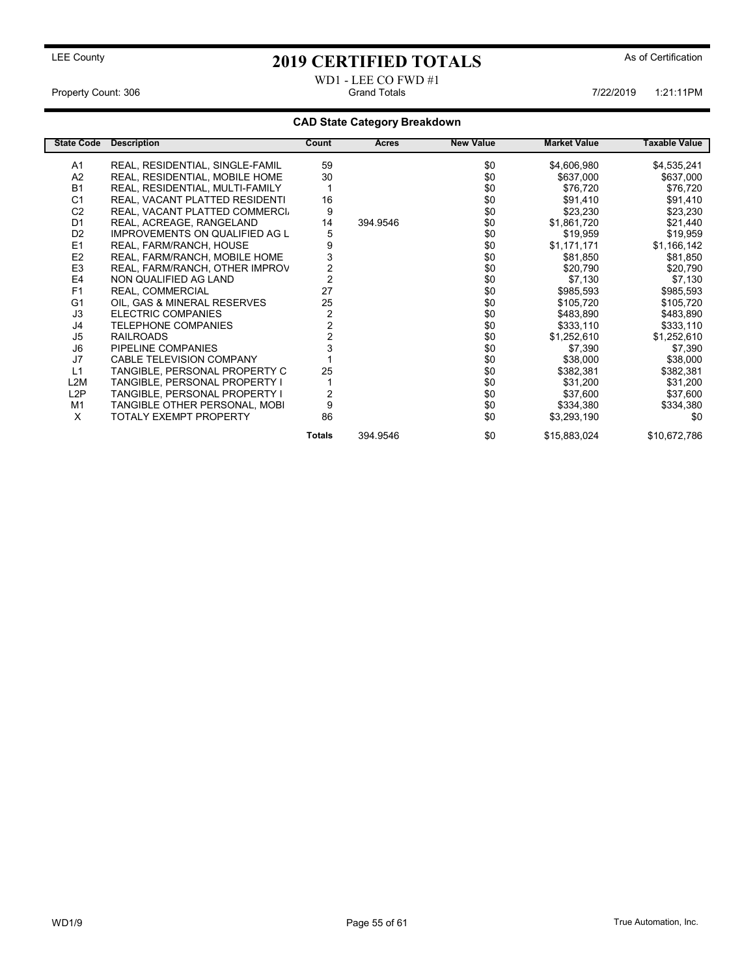### WD1 - LEE CO FWD #1 Property Count: 306 **Property Count: 306** Grand Totals 1:21:11PM 7/22/2019 1:21:11PM

### CAD State Category Breakdown

| <b>State Code</b> | <b>Description</b>                    | Count                   | <b>Acres</b> | <b>New Value</b> | <b>Market Value</b> | Taxable Value |
|-------------------|---------------------------------------|-------------------------|--------------|------------------|---------------------|---------------|
| A1                | REAL, RESIDENTIAL, SINGLE-FAMIL       | 59                      |              | \$0              | \$4,606,980         | \$4,535,241   |
| A2                | REAL, RESIDENTIAL, MOBILE HOME        | 30                      |              | \$0              | \$637,000           | \$637,000     |
| <b>B1</b>         | REAL, RESIDENTIAL, MULTI-FAMILY       |                         |              | \$0              | \$76,720            | \$76,720      |
| C <sub>1</sub>    | REAL, VACANT PLATTED RESIDENTI        | 16                      |              | \$0              | \$91,410            | \$91,410      |
| C <sub>2</sub>    | REAL, VACANT PLATTED COMMERCI.        | 9                       |              | \$0              | \$23,230            | \$23,230      |
| D <sub>1</sub>    | REAL, ACREAGE, RANGELAND              | 14                      | 394.9546     | \$0              | \$1,861,720         | \$21,440      |
| D <sub>2</sub>    | <b>IMPROVEMENTS ON QUALIFIED AG L</b> | 5                       |              | \$0              | \$19,959            | \$19,959      |
| E1                | REAL, FARM/RANCH, HOUSE               | 9                       |              | \$0              | \$1,171,171         | \$1,166,142   |
| E <sub>2</sub>    | REAL, FARM/RANCH, MOBILE HOME         | 3                       |              | \$0              | \$81,850            | \$81,850      |
| E <sub>3</sub>    | REAL, FARM/RANCH, OTHER IMPROV        | $\overline{\mathbf{c}}$ |              | \$0              | \$20,790            | \$20,790      |
| E <sub>4</sub>    | NON QUALIFIED AG LAND                 | $\overline{2}$          |              | \$0              | \$7,130             | \$7,130       |
| F <sub>1</sub>    | REAL, COMMERCIAL                      | 27                      |              | \$0              | \$985,593           | \$985,593     |
| G <sub>1</sub>    | OIL, GAS & MINERAL RESERVES           | 25                      |              | \$0              | \$105,720           | \$105,720     |
| J3                | <b>ELECTRIC COMPANIES</b>             | $\overline{c}$          |              | \$0              | \$483,890           | \$483,890     |
| J4                | <b>TELEPHONE COMPANIES</b>            | $\overline{2}$          |              | \$0              | \$333,110           | \$333,110     |
| J <sub>5</sub>    | <b>RAILROADS</b>                      | $\overline{2}$          |              | \$0              | \$1,252,610         | \$1,252,610   |
| J6                | PIPELINE COMPANIES                    |                         |              | \$0              | \$7,390             | \$7,390       |
| J7                | <b>CABLE TELEVISION COMPANY</b>       |                         |              | \$0              | \$38,000            | \$38,000      |
| L1                | TANGIBLE, PERSONAL PROPERTY C         | 25                      |              | \$0              | \$382,381           | \$382,381     |
| L2M               | TANGIBLE, PERSONAL PROPERTY I         |                         |              | \$0              | \$31,200            | \$31,200      |
| L2P               | TANGIBLE, PERSONAL PROPERTY I         | 2                       |              | \$0              | \$37,600            | \$37,600      |
| M <sub>1</sub>    | TANGIBLE OTHER PERSONAL, MOBI         | 9                       |              | \$0              | \$334,380           | \$334,380     |
| X                 | <b>TOTALY EXEMPT PROPERTY</b>         | 86                      |              | \$0              | \$3,293,190         | \$0           |
|                   |                                       | <b>Totals</b>           | 394.9546     | \$0              | \$15,883,024        | \$10,672,786  |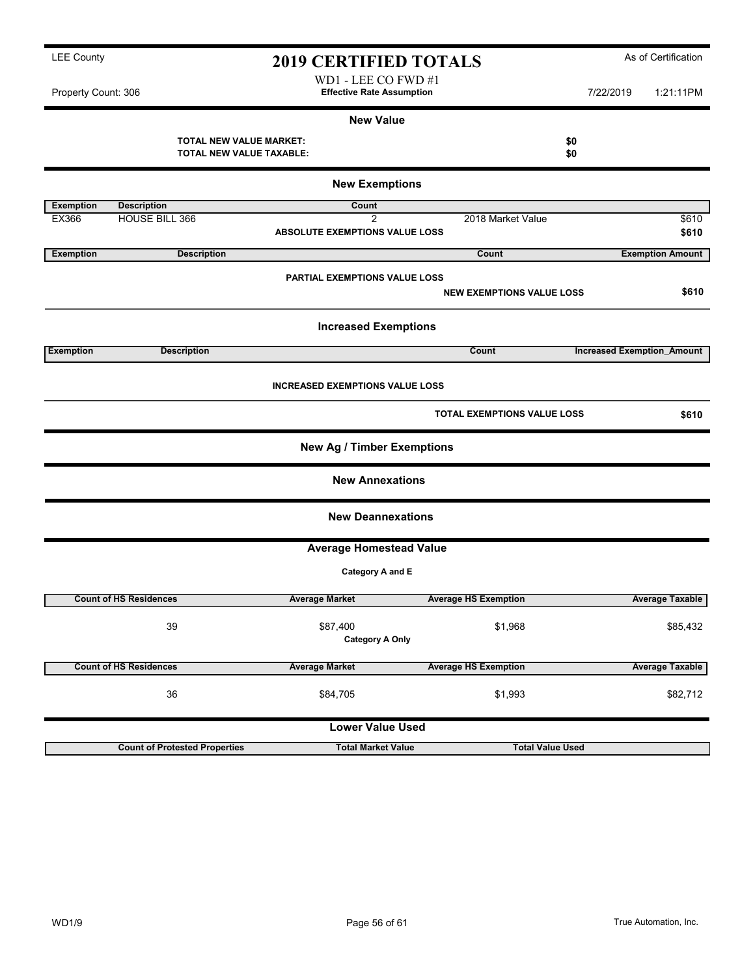WD1 - LEE CO FWD #1 Property Count: 306 **7/22/2019** 1:21:11PM

### New Value

TOTAL NEW VALUE MARKET:<br>
TOTAL NEW VALUE TAXABLE: \$0 TOTAL NEW VALUE TAXABLE:

|                  | <b>New Exemptions</b>                |                                        |                                    |                                   |  |  |  |
|------------------|--------------------------------------|----------------------------------------|------------------------------------|-----------------------------------|--|--|--|
| <b>Exemption</b> | <b>Description</b>                   | Count                                  |                                    |                                   |  |  |  |
| EX366            | <b>HOUSE BILL 366</b>                | $\overline{2}$                         | 2018 Market Value                  | \$610                             |  |  |  |
|                  |                                      | ABSOLUTE EXEMPTIONS VALUE LOSS         |                                    | \$610                             |  |  |  |
| <b>Exemption</b> | <b>Description</b>                   |                                        | Count                              | <b>Exemption Amount</b>           |  |  |  |
|                  |                                      | <b>PARTIAL EXEMPTIONS VALUE LOSS</b>   |                                    |                                   |  |  |  |
|                  |                                      |                                        | <b>NEW EXEMPTIONS VALUE LOSS</b>   | \$610                             |  |  |  |
|                  |                                      | <b>Increased Exemptions</b>            |                                    |                                   |  |  |  |
| <b>Exemption</b> | <b>Description</b>                   |                                        | Count                              | <b>Increased Exemption Amount</b> |  |  |  |
|                  |                                      | <b>INCREASED EXEMPTIONS VALUE LOSS</b> |                                    |                                   |  |  |  |
|                  |                                      |                                        | <b>TOTAL EXEMPTIONS VALUE LOSS</b> | \$610                             |  |  |  |
|                  |                                      | <b>New Ag / Timber Exemptions</b>      |                                    |                                   |  |  |  |
|                  |                                      | <b>New Annexations</b>                 |                                    |                                   |  |  |  |
|                  |                                      | <b>New Deannexations</b>               |                                    |                                   |  |  |  |
|                  |                                      | <b>Average Homestead Value</b>         |                                    |                                   |  |  |  |
|                  |                                      | Category A and E                       |                                    |                                   |  |  |  |
|                  | <b>Count of HS Residences</b>        | <b>Average Market</b>                  | <b>Average HS Exemption</b>        | <b>Average Taxable</b>            |  |  |  |
|                  | 39                                   | \$87,400<br><b>Category A Only</b>     | \$1,968                            | \$85,432                          |  |  |  |
|                  | <b>Count of HS Residences</b>        | <b>Average Market</b>                  | <b>Average HS Exemption</b>        | <b>Average Taxable</b>            |  |  |  |
|                  | 36                                   | \$84,705                               | \$1,993                            | \$82,712                          |  |  |  |
|                  |                                      | <b>Lower Value Used</b>                |                                    |                                   |  |  |  |
|                  | <b>Count of Protested Properties</b> | <b>Total Market Value</b>              | <b>Total Value Used</b>            |                                   |  |  |  |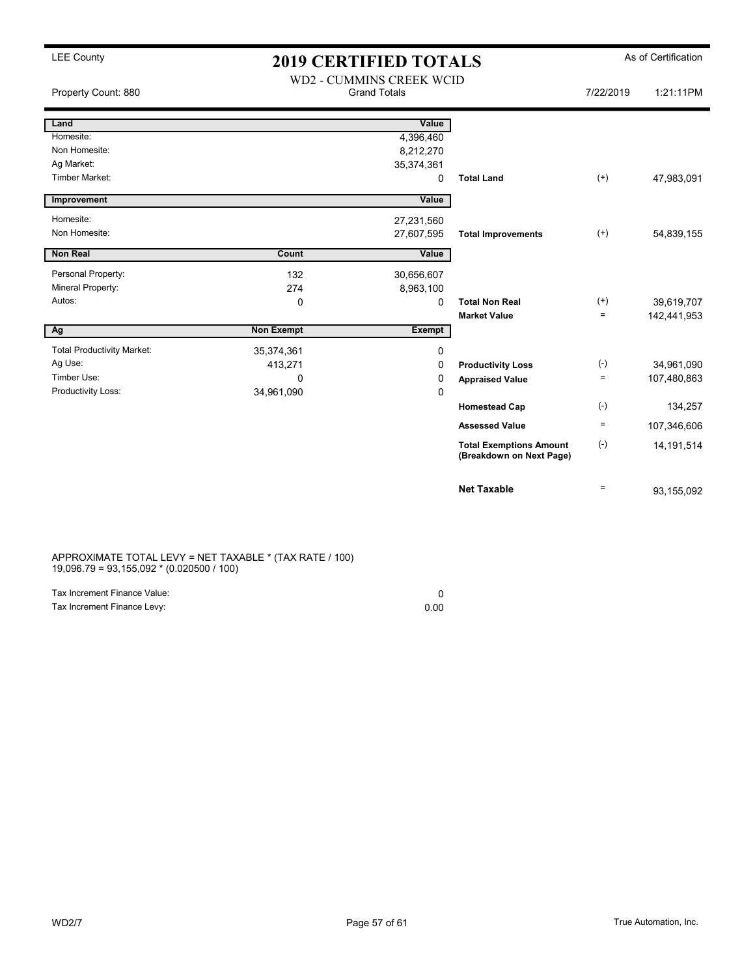## LEE County  $2019$  CERTIFIED TOTALS As of Certification

|                                   |                   | WD2 - CUMMINS CREEK WCID |                                                            |           |              |
|-----------------------------------|-------------------|--------------------------|------------------------------------------------------------|-----------|--------------|
| Property Count: 880               |                   | <b>Grand Totals</b>      |                                                            | 7/22/2019 | 1:21:11PM    |
| Land                              |                   | Value                    |                                                            |           |              |
| Homesite:                         |                   | 4,396,460                |                                                            |           |              |
| Non Homesite:                     |                   | 8,212,270                |                                                            |           |              |
| Ag Market:                        |                   | 35,374,361               |                                                            |           |              |
| <b>Timber Market:</b>             |                   | 0                        | <b>Total Land</b>                                          | $^{(+)}$  | 47,983,091   |
| Improvement                       |                   | Value                    |                                                            |           |              |
| Homesite:                         |                   | 27,231,560               |                                                            |           |              |
| Non Homesite:                     |                   | 27,607,595               | <b>Total Improvements</b>                                  | $^{(+)}$  | 54,839,155   |
| <b>Non Real</b>                   | Count             | Value                    |                                                            |           |              |
| Personal Property:                | 132               | 30,656,607               |                                                            |           |              |
| Mineral Property:                 | 274               | 8,963,100                |                                                            |           |              |
| Autos:                            | 0                 | 0                        | <b>Total Non Real</b>                                      | $^{(+)}$  | 39,619,707   |
|                                   |                   |                          | <b>Market Value</b>                                        | $=$       | 142,441,953  |
| Ag                                | <b>Non Exempt</b> | Exempt                   |                                                            |           |              |
| <b>Total Productivity Market:</b> | 35,374,361        | 0                        |                                                            |           |              |
| Ag Use:                           | 413,271           | $\Omega$                 | <b>Productivity Loss</b>                                   | $(-)$     | 34,961,090   |
| Timber Use:                       | $\Omega$          | 0                        | <b>Appraised Value</b>                                     | $=$       | 107,480,863  |
| Productivity Loss:                | 34,961,090        | $\Omega$                 |                                                            |           |              |
|                                   |                   |                          | <b>Homestead Cap</b>                                       | $(-)$     | 134,257      |
|                                   |                   |                          | <b>Assessed Value</b>                                      | $=$       | 107,346,606  |
|                                   |                   |                          | <b>Total Exemptions Amount</b><br>(Breakdown on Next Page) | $(-)$     | 14, 191, 514 |
|                                   |                   |                          | <b>Net Taxable</b>                                         | $=$       | 93,155,092   |

APPROXIMATE TOTAL LEVY = NET TAXABLE \* (TAX RATE / 100) 19,096.79 = 93,155,092 \* (0.020500 / 100)

| Tax Increment Finance Value: |      |
|------------------------------|------|
| Tax Increment Finance Levy:  | 0.00 |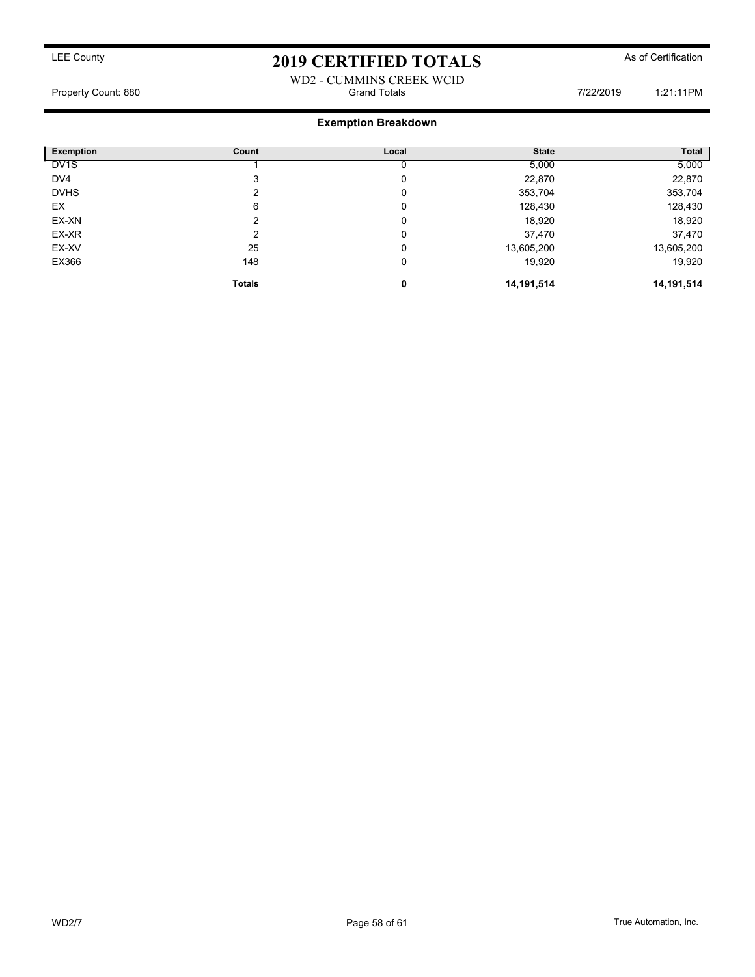### WD2 - CUMMINS CREEK WCID Property Count: 880 **Figure 1:21:11PM** Grand Totals **7/22/2019** 1:21:11PM

### Exemption Breakdown

| <b>Exemption</b>  | Count         | Local | <b>State</b> | Total        |
|-------------------|---------------|-------|--------------|--------------|
| DV <sub>1</sub> S |               |       | 5,000        | 5,000        |
| DV4               | 3             | 0     | 22,870       | 22,870       |
| <b>DVHS</b>       |               | 0     | 353,704      | 353,704      |
| EX                | 6             | 0     | 128,430      | 128,430      |
| EX-XN             | າ             | 0     | 18,920       | 18,920       |
| EX-XR             | າ             | 0     | 37,470       | 37,470       |
| EX-XV             | 25            | 0     | 13,605,200   | 13,605,200   |
| EX366             | 148           | 0     | 19,920       | 19,920       |
|                   | <b>Totals</b> | 0     | 14,191,514   | 14, 191, 514 |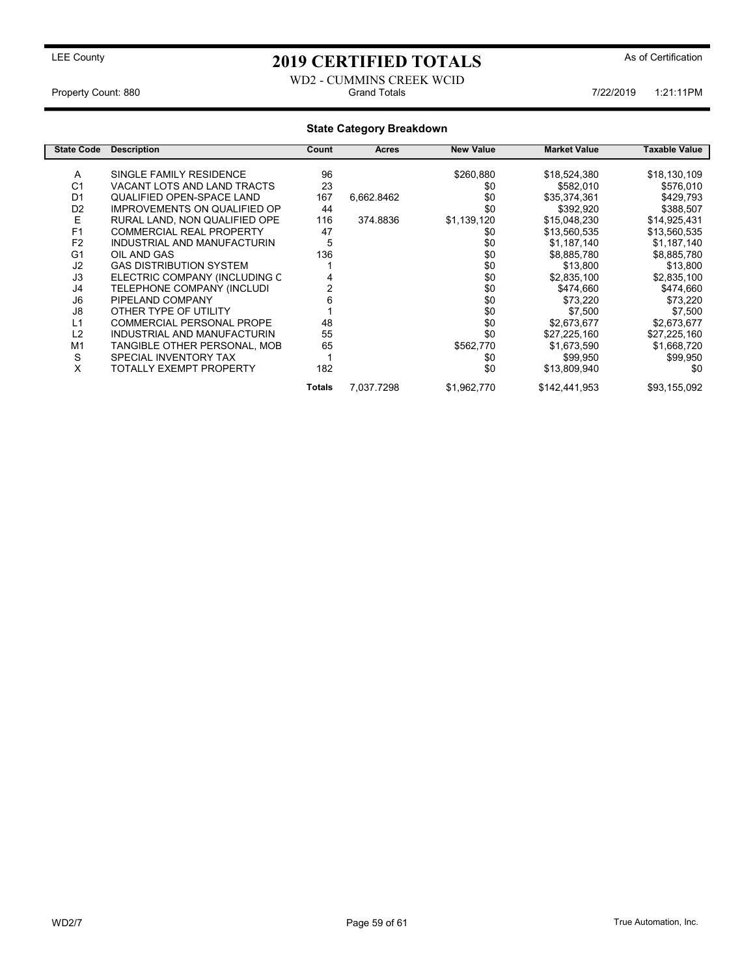### WD2 - CUMMINS CREEK WCID<br>Grand Totals Property Count: 880 **7/22/2019** 1:21:11PM

### State Category Breakdown

| <b>State Code</b> | <b>Description</b>                  | Count  | Acres      | <b>New Value</b> | <b>Market Value</b> | Taxable Value |
|-------------------|-------------------------------------|--------|------------|------------------|---------------------|---------------|
|                   | SINGLE FAMILY RESIDENCE             | 96     |            |                  |                     |               |
| A                 |                                     |        |            | \$260,880        | \$18,524,380        | \$18,130,109  |
| C <sub>1</sub>    | VACANT LOTS AND LAND TRACTS         | 23     |            | \$0              | \$582,010           | \$576,010     |
| D <sub>1</sub>    | <b>QUALIFIED OPEN-SPACE LAND</b>    | 167    | 6,662.8462 | \$0              | \$35,374,361        | \$429,793     |
| D <sub>2</sub>    | <b>IMPROVEMENTS ON QUALIFIED OP</b> | 44     |            | \$0              | \$392,920           | \$388,507     |
| E                 | RURAL LAND, NON QUALIFIED OPE       | 116    | 374.8836   | \$1,139,120      | \$15,048,230        | \$14,925,431  |
| F <sub>1</sub>    | <b>COMMERCIAL REAL PROPERTY</b>     | 47     |            | \$0              | \$13,560,535        | \$13,560,535  |
| F <sub>2</sub>    | INDUSTRIAL AND MANUFACTURIN         | 5      |            | \$0              | \$1,187,140         | \$1,187,140   |
| G <sub>1</sub>    | OIL AND GAS                         | 136    |            | \$0              | \$8,885,780         | \$8,885,780   |
| J2                | <b>GAS DISTRIBUTION SYSTEM</b>      |        |            | \$0              | \$13,800            | \$13,800      |
| J3                | ELECTRIC COMPANY (INCLUDING C       |        |            | \$0              | \$2,835,100         | \$2,835,100   |
| J4                | TELEPHONE COMPANY (INCLUDI          |        |            | \$0              | \$474,660           | \$474,660     |
| J6                | PIPELAND COMPANY                    | 6      |            | \$0              | \$73,220            | \$73,220      |
| J8                | OTHER TYPE OF UTILITY               |        |            | \$0              | \$7,500             | \$7,500       |
| L1                | <b>COMMERCIAL PERSONAL PROPE</b>    | 48     |            | \$0              | \$2,673,677         | \$2,673,677   |
| L2                | INDUSTRIAL AND MANUFACTURIN         | 55     |            | \$0              | \$27,225,160        | \$27,225,160  |
| M1                | TANGIBLE OTHER PERSONAL, MOB        | 65     |            | \$562,770        | \$1,673,590         | \$1,668,720   |
| S                 | SPECIAL INVENTORY TAX               |        |            | \$0              | \$99,950            | \$99,950      |
| X                 | TOTALLY EXEMPT PROPERTY             | 182    |            | \$0              | \$13,809,940        | \$0           |
|                   |                                     | Totals | 7.037.7298 | \$1,962,770      | \$142,441,953       | \$93,155,092  |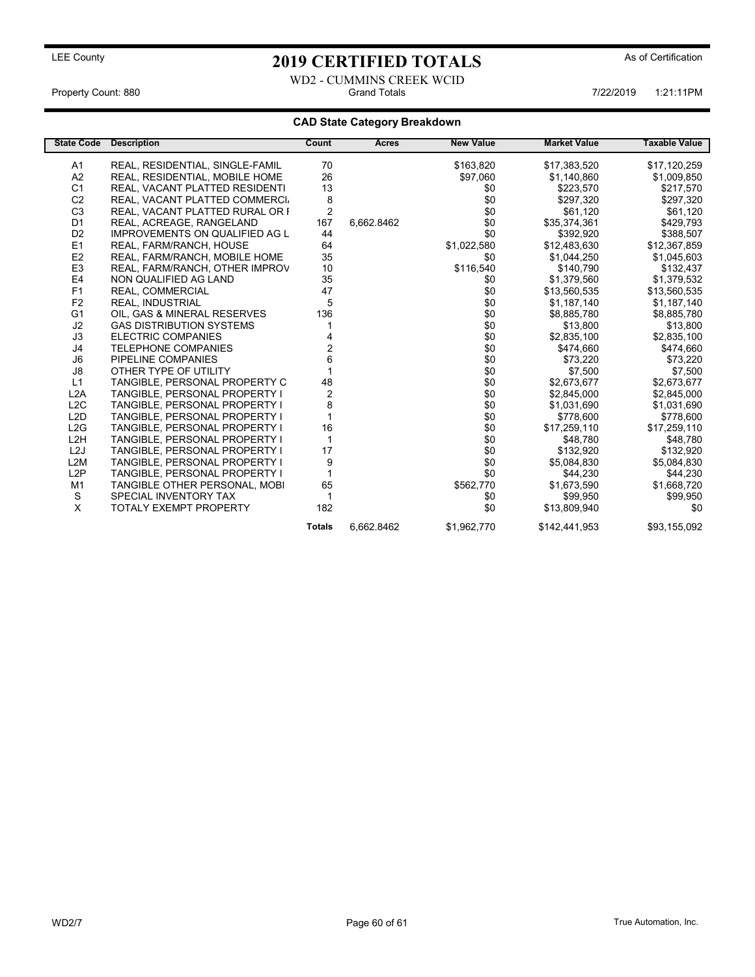WD2 - CUMMINS CREEK WCID Property Count: 880 **Figure 1:21:11PM** 6rand Totals 1:22/2019 1:21:11PM 7/22/2019 1:21:11PM

### CAD State Category Breakdown

| <b>State Code</b> | <b>Description</b>                    | Count          | Acres      | <b>New Value</b> | <b>Market Value</b> | <b>Taxable Value</b> |
|-------------------|---------------------------------------|----------------|------------|------------------|---------------------|----------------------|
| A1                | REAL, RESIDENTIAL, SINGLE-FAMIL       | 70             |            | \$163,820        | \$17,383,520        | \$17,120,259         |
| A2                | REAL, RESIDENTIAL, MOBILE HOME        | 26             |            | \$97,060         | \$1,140,860         | \$1,009,850          |
| C <sub>1</sub>    | REAL, VACANT PLATTED RESIDENTI        | 13             |            | \$0              | \$223,570           | \$217,570            |
| C <sub>2</sub>    | REAL, VACANT PLATTED COMMERCI.        | 8              |            | \$0              | \$297,320           | \$297,320            |
| C <sub>3</sub>    | REAL, VACANT PLATTED RURAL OR I       | $\overline{2}$ |            | \$0              | \$61.120            | \$61,120             |
| D <sub>1</sub>    | REAL, ACREAGE, RANGELAND              | 167            | 6,662.8462 | \$0              | \$35,374,361        | \$429,793            |
| D <sub>2</sub>    | <b>IMPROVEMENTS ON QUALIFIED AG L</b> | 44             |            | \$0              | \$392,920           | \$388,507            |
| E1                | REAL, FARM/RANCH, HOUSE               | 64             |            | \$1,022,580      | \$12.483.630        | \$12,367,859         |
| E <sub>2</sub>    | REAL, FARM/RANCH, MOBILE HOME         | 35             |            | \$0              | \$1,044,250         | \$1,045,603          |
| E <sub>3</sub>    | REAL, FARM/RANCH, OTHER IMPROV        | 10             |            | \$116,540        | \$140,790           | \$132,437            |
| E4                | NON QUALIFIED AG LAND                 | 35             |            | \$0              | \$1,379,560         | \$1,379,532          |
| F <sub>1</sub>    | REAL, COMMERCIAL                      | 47             |            | \$0              | \$13,560,535        | \$13,560,535         |
| F <sub>2</sub>    | <b>REAL. INDUSTRIAL</b>               | 5              |            | \$0              | \$1,187,140         | \$1,187,140          |
| G <sub>1</sub>    | OIL, GAS & MINERAL RESERVES           | 136            |            | \$0              | \$8,885,780         | \$8,885,780          |
| J2                | <b>GAS DISTRIBUTION SYSTEMS</b>       |                |            | \$0              | \$13,800            | \$13,800             |
| J3                | ELECTRIC COMPANIES                    |                |            | \$0              | \$2,835,100         | \$2,835,100          |
| J4                | <b>TELEPHONE COMPANIES</b>            | $\overline{c}$ |            | \$0              | \$474,660           | \$474,660            |
| J6                | PIPELINE COMPANIES                    | 6              |            | \$0              | \$73,220            | \$73,220             |
| J8                | OTHER TYPE OF UTILITY                 |                |            | \$0              | \$7,500             | \$7,500              |
| L1                | TANGIBLE, PERSONAL PROPERTY C         | 48             |            | \$0              | \$2.673.677         | \$2,673,677          |
| L <sub>2</sub> A  | TANGIBLE, PERSONAL PROPERTY I         | $\overline{2}$ |            | \$0              | \$2,845,000         | \$2,845,000          |
| L2C               | TANGIBLE, PERSONAL PROPERTY I         | 8              |            | \$0              | \$1,031,690         | \$1,031,690          |
| L <sub>2</sub> D  | TANGIBLE, PERSONAL PROPERTY I         |                |            | \$0              | \$778,600           | \$778,600            |
| L2G               | TANGIBLE, PERSONAL PROPERTY I         | 16             |            | \$0              | \$17,259,110        | \$17,259,110         |
| L <sub>2</sub> H  | TANGIBLE, PERSONAL PROPERTY I         | $\mathbf{1}$   |            | \$0              | \$48,780            | \$48,780             |
| L <sub>2</sub> J  | TANGIBLE, PERSONAL PROPERTY I         | 17             |            | \$0              | \$132,920           | \$132,920            |
| L <sub>2</sub> M  | TANGIBLE, PERSONAL PROPERTY I         | 9              |            | \$0              | \$5,084,830         | \$5,084,830          |
| L2P               | TANGIBLE, PERSONAL PROPERTY I         |                |            | \$0              | \$44,230            | \$44,230             |
| M1                | TANGIBLE OTHER PERSONAL, MOBI         | 65             |            | \$562,770        | \$1,673,590         | \$1,668,720          |
| S                 | SPECIAL INVENTORY TAX                 |                |            | \$0              | \$99,950            | \$99,950             |
| X                 | <b>TOTALY EXEMPT PROPERTY</b>         | 182            |            | \$0              | \$13,809,940        | \$0                  |
|                   |                                       | <b>Totals</b>  | 6,662.8462 | \$1,962,770      | \$142,441,953       | \$93,155,092         |